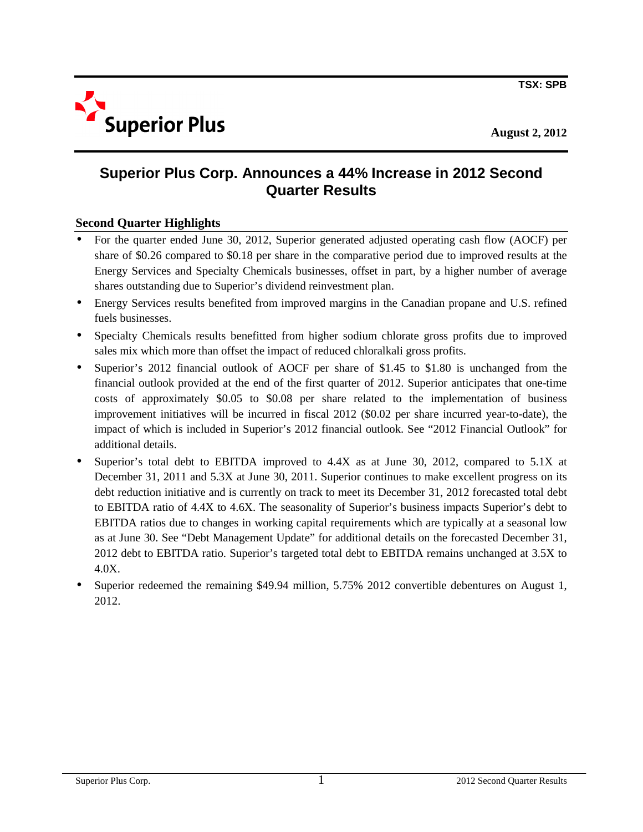**TSX: SPB** 



# **Superior Plus Corp. Announces a 44% Increase in 2012 Second Quarter Results**

# **Second Quarter Highlights**

- For the quarter ended June 30, 2012, Superior generated adjusted operating cash flow (AOCF) per share of \$0.26 compared to \$0.18 per share in the comparative period due to improved results at the Energy Services and Specialty Chemicals businesses, offset in part, by a higher number of average shares outstanding due to Superior's dividend reinvestment plan.
- Energy Services results benefited from improved margins in the Canadian propane and U.S. refined fuels businesses.
- Specialty Chemicals results benefitted from higher sodium chlorate gross profits due to improved sales mix which more than offset the impact of reduced chloralkali gross profits.
- Superior's 2012 financial outlook of AOCF per share of \$1.45 to \$1.80 is unchanged from the financial outlook provided at the end of the first quarter of 2012. Superior anticipates that one-time costs of approximately \$0.05 to \$0.08 per share related to the implementation of business improvement initiatives will be incurred in fiscal 2012 (\$0.02 per share incurred year-to-date), the impact of which is included in Superior's 2012 financial outlook. See "2012 Financial Outlook" for additional details.
- Superior's total debt to EBITDA improved to 4.4X as at June 30, 2012, compared to 5.1X at December 31, 2011 and 5.3X at June 30, 2011. Superior continues to make excellent progress on its debt reduction initiative and is currently on track to meet its December 31, 2012 forecasted total debt to EBITDA ratio of 4.4X to 4.6X. The seasonality of Superior's business impacts Superior's debt to EBITDA ratios due to changes in working capital requirements which are typically at a seasonal low as at June 30. See "Debt Management Update" for additional details on the forecasted December 31, 2012 debt to EBITDA ratio. Superior's targeted total debt to EBITDA remains unchanged at 3.5X to 4.0X.
- Superior redeemed the remaining \$49.94 million, 5.75% 2012 convertible debentures on August 1, 2012.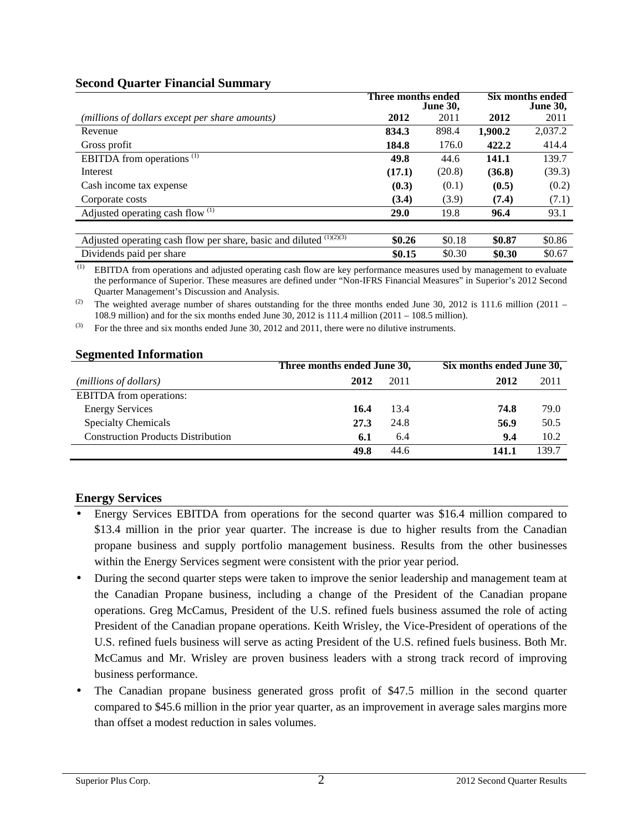# **Second Quarter Financial Summary**

|                                                                     | Three months ended | <b>June 30,</b> | Six months ended<br><b>June 30,</b> |         |
|---------------------------------------------------------------------|--------------------|-----------------|-------------------------------------|---------|
| (millions of dollars except per share amounts)                      | 2012               | 2011            | 2012                                | 2011    |
| Revenue                                                             | 834.3              | 898.4           | 1,900.2                             | 2,037.2 |
| Gross profit                                                        | 184.8              | 176.0           | 422.2                               | 414.4   |
| EBITDA from operations <sup>(1)</sup>                               | 49.8               | 44.6            | 141.1                               | 139.7   |
| Interest                                                            | (17.1)             | (20.8)          | (36.8)                              | (39.3)  |
| Cash income tax expense                                             | (0.3)              | (0.1)           | (0.5)                               | (0.2)   |
| Corporate costs                                                     | (3.4)              | (3.9)           | (7.4)                               | (7.1)   |
| Adjusted operating cash flow (1)                                    | 29.0               | 19.8            | 96.4                                | 93.1    |
|                                                                     |                    |                 |                                     |         |
| Adjusted operating cash flow per share, basic and diluted (1)(2)(3) | \$0.26             | \$0.18          | \$0.87                              | \$0.86  |
| Dividends paid per share                                            | \$0.15             | \$0.30          | \$0.30                              | \$0.67  |

 (1) EBITDA from operations and adjusted operating cash flow are key performance measures used by management to evaluate the performance of Superior. These measures are defined under "Non-IFRS Financial Measures" in Superior's 2012 Second Quarter Management's Discussion and Analysis.

<sup>(2)</sup> The weighted average number of shares outstanding for the three months ended June 30, 2012 is 111.6 million (2011 – 108.9 million) and for the six months ended June 30, 2012 is 111.4 million (2011 – 108.5 million).

(3) For the three and six months ended June 30, 2012 and 2011, there were no dilutive instruments.

|                                           | Three months ended June 30, |      | Six months ended June 30, |       |
|-------------------------------------------|-----------------------------|------|---------------------------|-------|
| (millions of dollars)                     | 2012                        | 2011 | 2012                      | 2011  |
| <b>EBITDA</b> from operations:            |                             |      |                           |       |
| <b>Energy Services</b>                    | 16.4                        | 13.4 | 74.8                      | 79.0  |
| <b>Specialty Chemicals</b>                | 27.3                        | 24.8 | 56.9                      | 50.5  |
| <b>Construction Products Distribution</b> | 6.1                         | 6.4  | 9.4                       | 10.2  |
|                                           | 49.8                        | 44.6 | 141.1                     | 139.7 |

## **Segmented Information**

# **Energy Services**

- Energy Services EBITDA from operations for the second quarter was \$16.4 million compared to \$13.4 million in the prior year quarter. The increase is due to higher results from the Canadian propane business and supply portfolio management business. Results from the other businesses within the Energy Services segment were consistent with the prior year period.
- During the second quarter steps were taken to improve the senior leadership and management team at the Canadian Propane business, including a change of the President of the Canadian propane operations. Greg McCamus, President of the U.S. refined fuels business assumed the role of acting President of the Canadian propane operations. Keith Wrisley, the Vice-President of operations of the U.S. refined fuels business will serve as acting President of the U.S. refined fuels business. Both Mr. McCamus and Mr. Wrisley are proven business leaders with a strong track record of improving business performance.
- The Canadian propane business generated gross profit of \$47.5 million in the second quarter compared to \$45.6 million in the prior year quarter, as an improvement in average sales margins more than offset a modest reduction in sales volumes.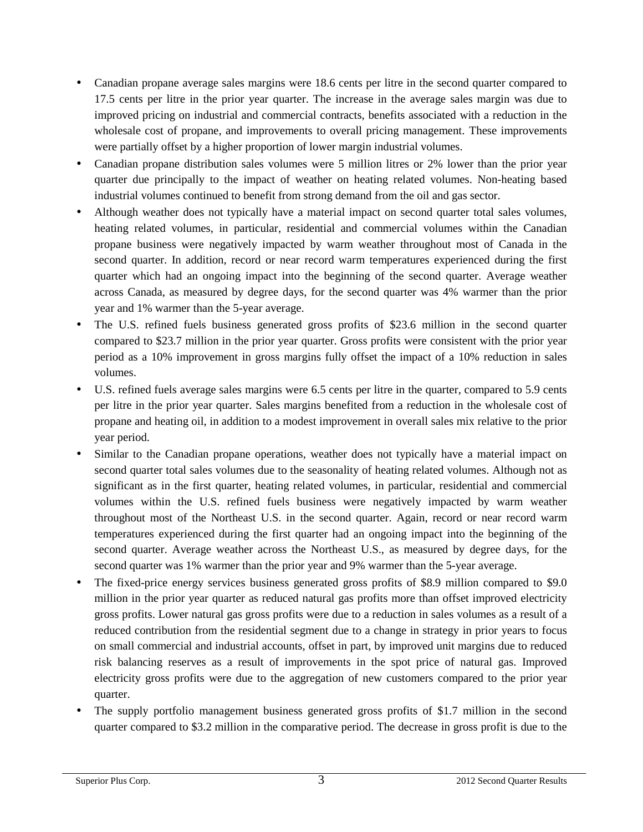- Canadian propane average sales margins were 18.6 cents per litre in the second quarter compared to 17.5 cents per litre in the prior year quarter. The increase in the average sales margin was due to improved pricing on industrial and commercial contracts, benefits associated with a reduction in the wholesale cost of propane, and improvements to overall pricing management. These improvements were partially offset by a higher proportion of lower margin industrial volumes.
- Canadian propane distribution sales volumes were 5 million litres or 2% lower than the prior year quarter due principally to the impact of weather on heating related volumes. Non-heating based industrial volumes continued to benefit from strong demand from the oil and gas sector.
- Although weather does not typically have a material impact on second quarter total sales volumes, heating related volumes, in particular, residential and commercial volumes within the Canadian propane business were negatively impacted by warm weather throughout most of Canada in the second quarter. In addition, record or near record warm temperatures experienced during the first quarter which had an ongoing impact into the beginning of the second quarter. Average weather across Canada, as measured by degree days, for the second quarter was 4% warmer than the prior year and 1% warmer than the 5-year average.
- The U.S. refined fuels business generated gross profits of \$23.6 million in the second quarter compared to \$23.7 million in the prior year quarter. Gross profits were consistent with the prior year period as a 10% improvement in gross margins fully offset the impact of a 10% reduction in sales volumes.
- U.S. refined fuels average sales margins were 6.5 cents per litre in the quarter, compared to 5.9 cents per litre in the prior year quarter. Sales margins benefited from a reduction in the wholesale cost of propane and heating oil, in addition to a modest improvement in overall sales mix relative to the prior year period.
- Similar to the Canadian propane operations, weather does not typically have a material impact on second quarter total sales volumes due to the seasonality of heating related volumes. Although not as significant as in the first quarter, heating related volumes, in particular, residential and commercial volumes within the U.S. refined fuels business were negatively impacted by warm weather throughout most of the Northeast U.S. in the second quarter. Again, record or near record warm temperatures experienced during the first quarter had an ongoing impact into the beginning of the second quarter. Average weather across the Northeast U.S., as measured by degree days, for the second quarter was 1% warmer than the prior year and 9% warmer than the 5-year average.
- The fixed-price energy services business generated gross profits of \$8.9 million compared to \$9.0 million in the prior year quarter as reduced natural gas profits more than offset improved electricity gross profits. Lower natural gas gross profits were due to a reduction in sales volumes as a result of a reduced contribution from the residential segment due to a change in strategy in prior years to focus on small commercial and industrial accounts, offset in part, by improved unit margins due to reduced risk balancing reserves as a result of improvements in the spot price of natural gas. Improved electricity gross profits were due to the aggregation of new customers compared to the prior year quarter.
- The supply portfolio management business generated gross profits of \$1.7 million in the second quarter compared to \$3.2 million in the comparative period. The decrease in gross profit is due to the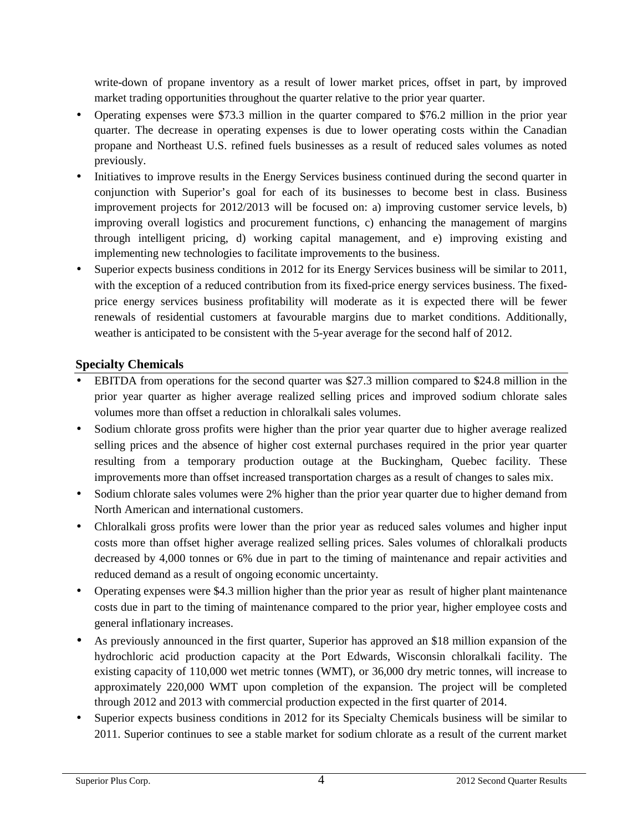write-down of propane inventory as a result of lower market prices, offset in part, by improved market trading opportunities throughout the quarter relative to the prior year quarter.

- Operating expenses were \$73.3 million in the quarter compared to \$76.2 million in the prior year quarter. The decrease in operating expenses is due to lower operating costs within the Canadian propane and Northeast U.S. refined fuels businesses as a result of reduced sales volumes as noted previously.
- Initiatives to improve results in the Energy Services business continued during the second quarter in conjunction with Superior's goal for each of its businesses to become best in class. Business improvement projects for 2012/2013 will be focused on: a) improving customer service levels, b) improving overall logistics and procurement functions, c) enhancing the management of margins through intelligent pricing, d) working capital management, and e) improving existing and implementing new technologies to facilitate improvements to the business.
- Superior expects business conditions in 2012 for its Energy Services business will be similar to 2011, with the exception of a reduced contribution from its fixed-price energy services business. The fixedprice energy services business profitability will moderate as it is expected there will be fewer renewals of residential customers at favourable margins due to market conditions. Additionally, weather is anticipated to be consistent with the 5-year average for the second half of 2012.

# **Specialty Chemicals**

- EBITDA from operations for the second quarter was \$27.3 million compared to \$24.8 million in the prior year quarter as higher average realized selling prices and improved sodium chlorate sales volumes more than offset a reduction in chloralkali sales volumes.
- Sodium chlorate gross profits were higher than the prior year quarter due to higher average realized selling prices and the absence of higher cost external purchases required in the prior year quarter resulting from a temporary production outage at the Buckingham, Quebec facility. These improvements more than offset increased transportation charges as a result of changes to sales mix.
- Sodium chlorate sales volumes were 2% higher than the prior year quarter due to higher demand from North American and international customers.
- Chloralkali gross profits were lower than the prior year as reduced sales volumes and higher input costs more than offset higher average realized selling prices. Sales volumes of chloralkali products decreased by 4,000 tonnes or 6% due in part to the timing of maintenance and repair activities and reduced demand as a result of ongoing economic uncertainty.
- Operating expenses were \$4.3 million higher than the prior year as result of higher plant maintenance costs due in part to the timing of maintenance compared to the prior year, higher employee costs and general inflationary increases.
- As previously announced in the first quarter, Superior has approved an \$18 million expansion of the hydrochloric acid production capacity at the Port Edwards, Wisconsin chloralkali facility. The existing capacity of 110,000 wet metric tonnes (WMT), or 36,000 dry metric tonnes, will increase to approximately 220,000 WMT upon completion of the expansion. The project will be completed through 2012 and 2013 with commercial production expected in the first quarter of 2014.
- Superior expects business conditions in 2012 for its Specialty Chemicals business will be similar to 2011. Superior continues to see a stable market for sodium chlorate as a result of the current market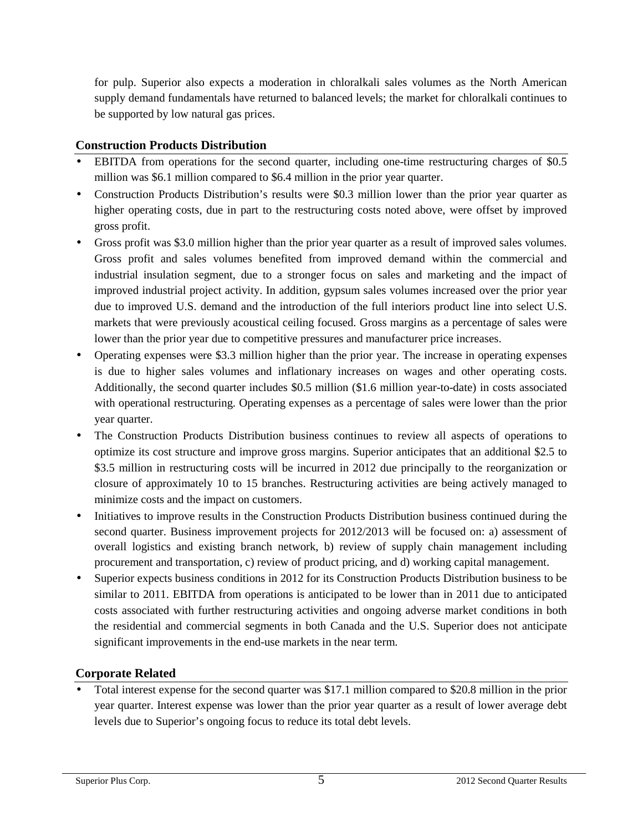for pulp. Superior also expects a moderation in chloralkali sales volumes as the North American supply demand fundamentals have returned to balanced levels; the market for chloralkali continues to be supported by low natural gas prices.

# **Construction Products Distribution**

- EBITDA from operations for the second quarter, including one-time restructuring charges of \$0.5 million was \$6.1 million compared to \$6.4 million in the prior year quarter.
- Construction Products Distribution's results were \$0.3 million lower than the prior year quarter as higher operating costs, due in part to the restructuring costs noted above, were offset by improved gross profit.
- Gross profit was \$3.0 million higher than the prior year quarter as a result of improved sales volumes. Gross profit and sales volumes benefited from improved demand within the commercial and industrial insulation segment, due to a stronger focus on sales and marketing and the impact of improved industrial project activity. In addition, gypsum sales volumes increased over the prior year due to improved U.S. demand and the introduction of the full interiors product line into select U.S. markets that were previously acoustical ceiling focused. Gross margins as a percentage of sales were lower than the prior year due to competitive pressures and manufacturer price increases.
- Operating expenses were \$3.3 million higher than the prior year. The increase in operating expenses is due to higher sales volumes and inflationary increases on wages and other operating costs. Additionally, the second quarter includes \$0.5 million (\$1.6 million year-to-date) in costs associated with operational restructuring. Operating expenses as a percentage of sales were lower than the prior year quarter.
- The Construction Products Distribution business continues to review all aspects of operations to optimize its cost structure and improve gross margins. Superior anticipates that an additional \$2.5 to \$3.5 million in restructuring costs will be incurred in 2012 due principally to the reorganization or closure of approximately 10 to 15 branches. Restructuring activities are being actively managed to minimize costs and the impact on customers.
- Initiatives to improve results in the Construction Products Distribution business continued during the second quarter. Business improvement projects for 2012/2013 will be focused on: a) assessment of overall logistics and existing branch network, b) review of supply chain management including procurement and transportation, c) review of product pricing, and d) working capital management.
- Superior expects business conditions in 2012 for its Construction Products Distribution business to be similar to 2011. EBITDA from operations is anticipated to be lower than in 2011 due to anticipated costs associated with further restructuring activities and ongoing adverse market conditions in both the residential and commercial segments in both Canada and the U.S. Superior does not anticipate significant improvements in the end-use markets in the near term.

# **Corporate Related**

• Total interest expense for the second quarter was \$17.1 million compared to \$20.8 million in the prior year quarter. Interest expense was lower than the prior year quarter as a result of lower average debt levels due to Superior's ongoing focus to reduce its total debt levels.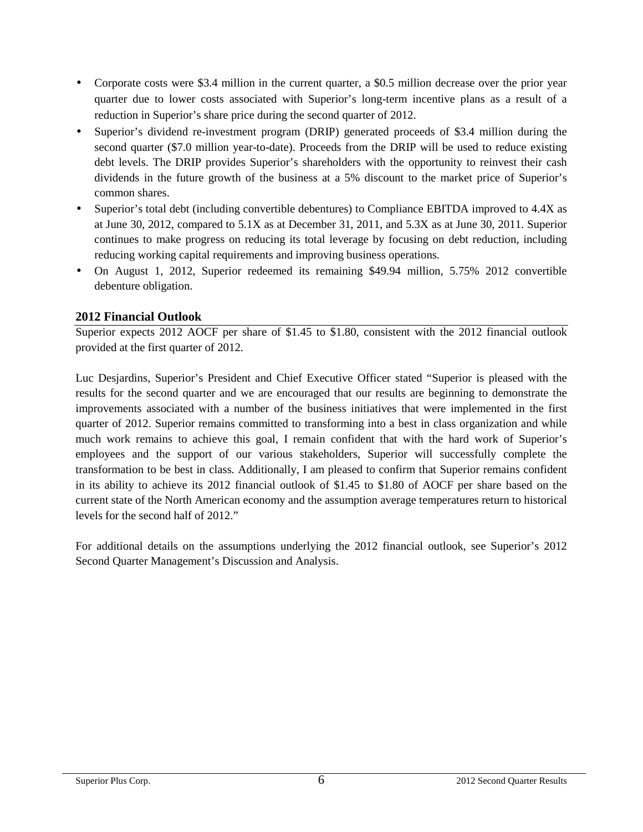- Corporate costs were \$3.4 million in the current quarter, a \$0.5 million decrease over the prior year quarter due to lower costs associated with Superior's long-term incentive plans as a result of a reduction in Superior's share price during the second quarter of 2012.
- Superior's dividend re-investment program (DRIP) generated proceeds of \$3.4 million during the second quarter (\$7.0 million year-to-date). Proceeds from the DRIP will be used to reduce existing debt levels. The DRIP provides Superior's shareholders with the opportunity to reinvest their cash dividends in the future growth of the business at a 5% discount to the market price of Superior's common shares.
- Superior's total debt (including convertible debentures) to Compliance EBITDA improved to 4.4X as at June 30, 2012, compared to 5.1X as at December 31, 2011, and 5.3X as at June 30, 2011. Superior continues to make progress on reducing its total leverage by focusing on debt reduction, including reducing working capital requirements and improving business operations.
- On August 1, 2012, Superior redeemed its remaining \$49.94 million, 5.75% 2012 convertible debenture obligation.

# **2012 Financial Outlook**

Superior expects 2012 AOCF per share of \$1.45 to \$1.80, consistent with the 2012 financial outlook provided at the first quarter of 2012.

Luc Desjardins, Superior's President and Chief Executive Officer stated "Superior is pleased with the results for the second quarter and we are encouraged that our results are beginning to demonstrate the improvements associated with a number of the business initiatives that were implemented in the first quarter of 2012. Superior remains committed to transforming into a best in class organization and while much work remains to achieve this goal, I remain confident that with the hard work of Superior's employees and the support of our various stakeholders, Superior will successfully complete the transformation to be best in class. Additionally, I am pleased to confirm that Superior remains confident in its ability to achieve its 2012 financial outlook of \$1.45 to \$1.80 of AOCF per share based on the current state of the North American economy and the assumption average temperatures return to historical levels for the second half of 2012."

For additional details on the assumptions underlying the 2012 financial outlook, see Superior's 2012 Second Quarter Management's Discussion and Analysis.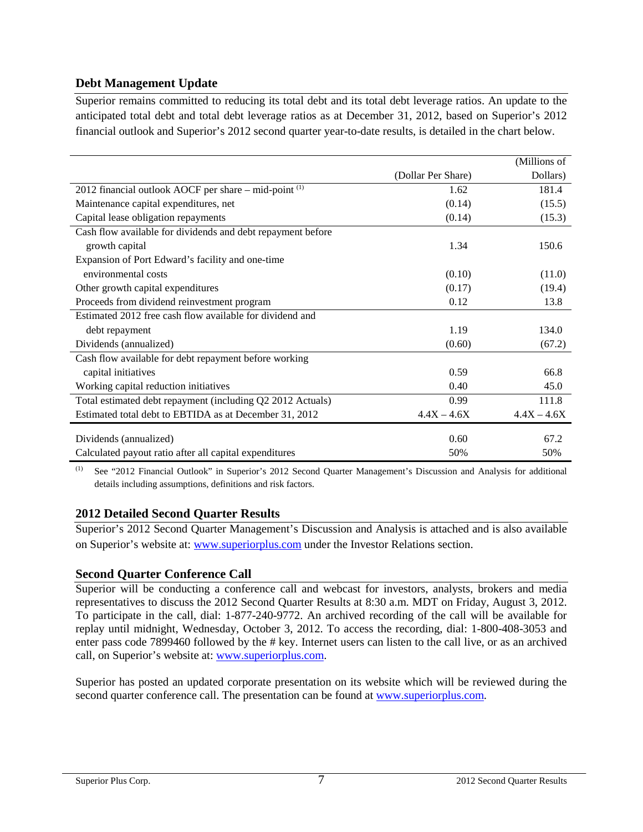# **Debt Management Update**

Superior remains committed to reducing its total debt and its total debt leverage ratios. An update to the anticipated total debt and total debt leverage ratios as at December 31, 2012, based on Superior's 2012 financial outlook and Superior's 2012 second quarter year-to-date results, is detailed in the chart below.

|                                                             |                    | (Millions of  |
|-------------------------------------------------------------|--------------------|---------------|
|                                                             | (Dollar Per Share) | Dollars)      |
| 2012 financial outlook AOCF per share – mid-point $(1)$     | 1.62               | 181.4         |
| Maintenance capital expenditures, net                       | (0.14)             | (15.5)        |
| Capital lease obligation repayments                         | (0.14)             | (15.3)        |
| Cash flow available for dividends and debt repayment before |                    |               |
| growth capital                                              | 1.34               | 150.6         |
| Expansion of Port Edward's facility and one-time            |                    |               |
| environmental costs                                         | (0.10)             | (11.0)        |
| Other growth capital expenditures                           | (0.17)             | (19.4)        |
| Proceeds from dividend reinvestment program                 | 0.12               | 13.8          |
| Estimated 2012 free cash flow available for dividend and    |                    |               |
| debt repayment                                              | 1.19               | 134.0         |
| Dividends (annualized)                                      | (0.60)             | (67.2)        |
| Cash flow available for debt repayment before working       |                    |               |
| capital initiatives                                         | 0.59               | 66.8          |
| Working capital reduction initiatives                       | 0.40               | 45.0          |
| Total estimated debt repayment (including Q2 2012 Actuals)  | 0.99               | 111.8         |
| Estimated total debt to EBTIDA as at December 31, 2012      | $4.4X - 4.6X$      | $4.4X - 4.6X$ |
| Dividends (annualized)                                      | 0.60               | 67.2          |
| Calculated payout ratio after all capital expenditures      | 50%                | 50%           |

 $(1)$  See "2012 Financial Outlook" in Superior's 2012 Second Quarter Management's Discussion and Analysis for additional details including assumptions, definitions and risk factors.

# **2012 Detailed Second Quarter Results**

Superior's 2012 Second Quarter Management's Discussion and Analysis is attached and is also available on Superior's website at: www.superiorplus.com under the Investor Relations section.

# **Second Quarter Conference Call**

Superior will be conducting a conference call and webcast for investors, analysts, brokers and media representatives to discuss the 2012 Second Quarter Results at 8:30 a.m. MDT on Friday, August 3, 2012. To participate in the call, dial: 1-877-240-9772. An archived recording of the call will be available for replay until midnight, Wednesday, October 3, 2012. To access the recording, dial: 1-800-408-3053 and enter pass code 7899460 followed by the # key. Internet users can listen to the call live, or as an archived call, on Superior's website at: www.superiorplus.com.

Superior has posted an updated corporate presentation on its website which will be reviewed during the second quarter conference call. The presentation can be found at www.superiorplus.com.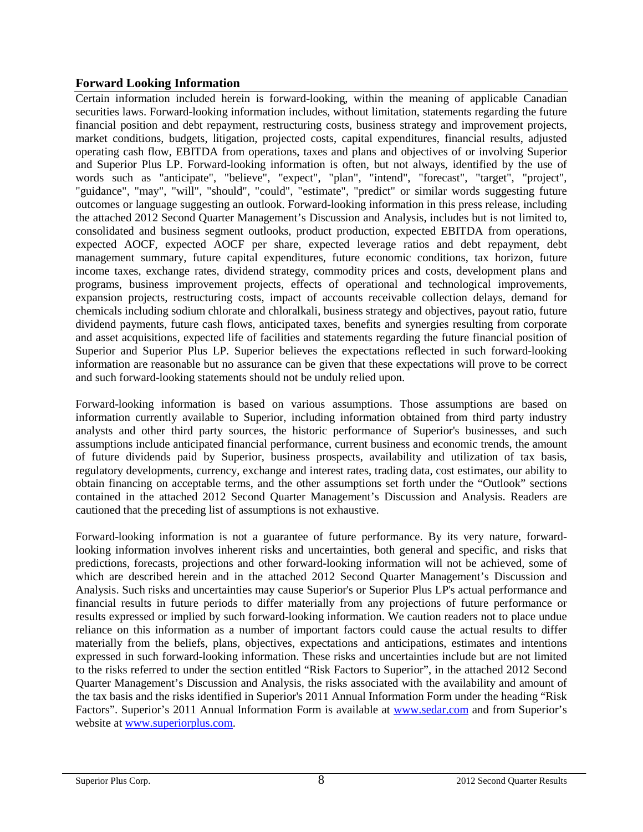# **Forward Looking Information**

Certain information included herein is forward-looking, within the meaning of applicable Canadian securities laws. Forward-looking information includes, without limitation, statements regarding the future financial position and debt repayment, restructuring costs, business strategy and improvement projects, market conditions, budgets, litigation, projected costs, capital expenditures, financial results, adjusted operating cash flow, EBITDA from operations, taxes and plans and objectives of or involving Superior and Superior Plus LP. Forward-looking information is often, but not always, identified by the use of words such as "anticipate", "believe", "expect", "plan", "intend", "forecast", "target", "project", "guidance", "may", "will", "should", "could", "estimate", "predict" or similar words suggesting future outcomes or language suggesting an outlook. Forward-looking information in this press release, including the attached 2012 Second Quarter Management's Discussion and Analysis, includes but is not limited to, consolidated and business segment outlooks, product production, expected EBITDA from operations, expected AOCF, expected AOCF per share, expected leverage ratios and debt repayment, debt management summary, future capital expenditures, future economic conditions, tax horizon, future income taxes, exchange rates, dividend strategy, commodity prices and costs, development plans and programs, business improvement projects, effects of operational and technological improvements, expansion projects, restructuring costs, impact of accounts receivable collection delays, demand for chemicals including sodium chlorate and chloralkali, business strategy and objectives, payout ratio, future dividend payments, future cash flows, anticipated taxes, benefits and synergies resulting from corporate and asset acquisitions, expected life of facilities and statements regarding the future financial position of Superior and Superior Plus LP. Superior believes the expectations reflected in such forward-looking information are reasonable but no assurance can be given that these expectations will prove to be correct and such forward-looking statements should not be unduly relied upon.

Forward-looking information is based on various assumptions. Those assumptions are based on information currently available to Superior, including information obtained from third party industry analysts and other third party sources, the historic performance of Superior's businesses, and such assumptions include anticipated financial performance, current business and economic trends, the amount of future dividends paid by Superior, business prospects, availability and utilization of tax basis, regulatory developments, currency, exchange and interest rates, trading data, cost estimates, our ability to obtain financing on acceptable terms, and the other assumptions set forth under the "Outlook" sections contained in the attached 2012 Second Quarter Management's Discussion and Analysis. Readers are cautioned that the preceding list of assumptions is not exhaustive.

Forward-looking information is not a guarantee of future performance. By its very nature, forwardlooking information involves inherent risks and uncertainties, both general and specific, and risks that predictions, forecasts, projections and other forward-looking information will not be achieved, some of which are described herein and in the attached 2012 Second Quarter Management's Discussion and Analysis. Such risks and uncertainties may cause Superior's or Superior Plus LP's actual performance and financial results in future periods to differ materially from any projections of future performance or results expressed or implied by such forward-looking information. We caution readers not to place undue reliance on this information as a number of important factors could cause the actual results to differ materially from the beliefs, plans, objectives, expectations and anticipations, estimates and intentions expressed in such forward-looking information. These risks and uncertainties include but are not limited to the risks referred to under the section entitled "Risk Factors to Superior", in the attached 2012 Second Quarter Management's Discussion and Analysis, the risks associated with the availability and amount of the tax basis and the risks identified in Superior's 2011 Annual Information Form under the heading "Risk Factors". Superior's 2011 Annual Information Form is available at www.sedar.com and from Superior's website at www.superiorplus.com.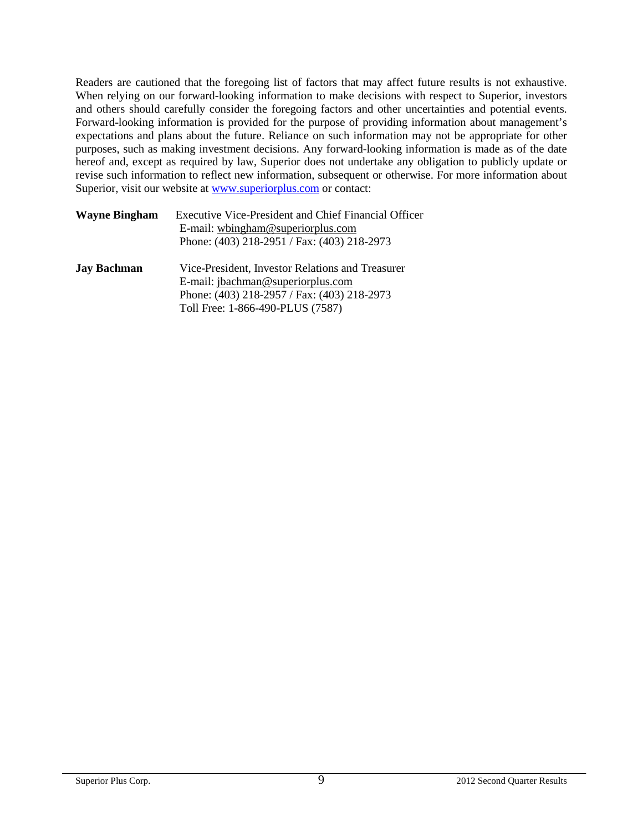Readers are cautioned that the foregoing list of factors that may affect future results is not exhaustive. When relying on our forward-looking information to make decisions with respect to Superior, investors and others should carefully consider the foregoing factors and other uncertainties and potential events. Forward-looking information is provided for the purpose of providing information about management's expectations and plans about the future. Reliance on such information may not be appropriate for other purposes, such as making investment decisions. Any forward-looking information is made as of the date hereof and, except as required by law, Superior does not undertake any obligation to publicly update or revise such information to reflect new information, subsequent or otherwise. For more information about Superior, visit our website at www.superiorplus.com or contact:

| <b>Wayne Bingham</b> | <b>Executive Vice-President and Chief Financial Officer</b><br>E-mail: whingham@superiorplus.com<br>Phone: (403) 218-2951 / Fax: (403) 218-2973                          |
|----------------------|--------------------------------------------------------------------------------------------------------------------------------------------------------------------------|
| <b>Jay Bachman</b>   | Vice-President, Investor Relations and Treasurer<br>E-mail: jbachman@superiorplus.com<br>Phone: (403) 218-2957 / Fax: (403) 218-2973<br>Toll Free: 1-866-490-PLUS (7587) |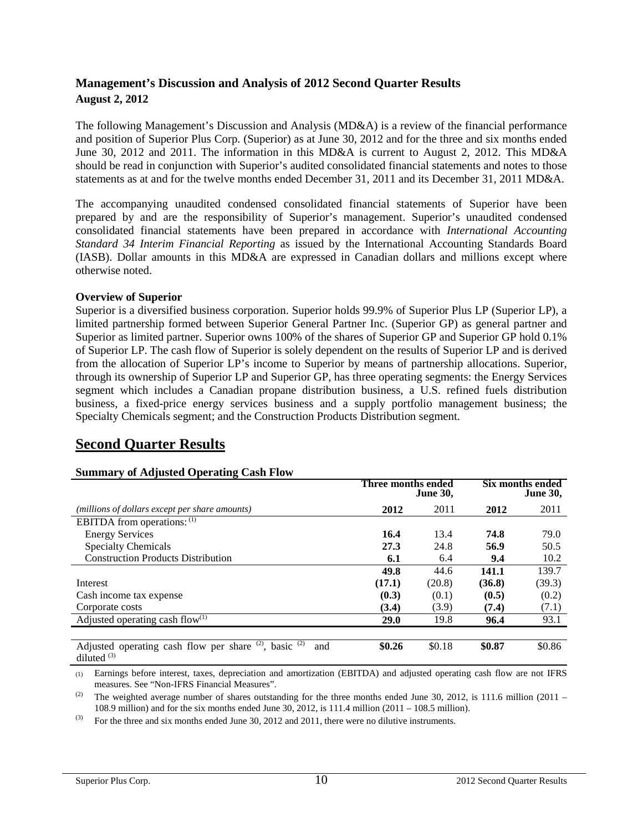# **Management's Discussion and Analysis of 2012 Second Quarter Results August 2, 2012**

The following Management's Discussion and Analysis (MD&A) is a review of the financial performance and position of Superior Plus Corp. (Superior) as at June 30, 2012 and for the three and six months ended June 30, 2012 and 2011. The information in this MD&A is current to August 2, 2012. This MD&A should be read in conjunction with Superior's audited consolidated financial statements and notes to those statements as at and for the twelve months ended December 31, 2011 and its December 31, 2011 MD&A.

The accompanying unaudited condensed consolidated financial statements of Superior have been prepared by and are the responsibility of Superior's management. Superior's unaudited condensed consolidated financial statements have been prepared in accordance with *International Accounting Standard 34 Interim Financial Reporting* as issued by the International Accounting Standards Board (IASB). Dollar amounts in this MD&A are expressed in Canadian dollars and millions except where otherwise noted.

## **Overview of Superior**

Superior is a diversified business corporation. Superior holds 99.9% of Superior Plus LP (Superior LP), a limited partnership formed between Superior General Partner Inc. (Superior GP) as general partner and Superior as limited partner. Superior owns 100% of the shares of Superior GP and Superior GP hold 0.1% of Superior LP. The cash flow of Superior is solely dependent on the results of Superior LP and is derived from the allocation of Superior LP's income to Superior by means of partnership allocations. Superior, through its ownership of Superior LP and Superior GP, has three operating segments: the Energy Services segment which includes a Canadian propane distribution business, a U.S. refined fuels distribution business, a fixed-price energy services business and a supply portfolio management business; the Specialty Chemicals segment; and the Construction Products Distribution segment.

# **Second Quarter Results**

# **Summary of Adjusted Operating Cash Flow**

|                                                                   | Three months ended | <b>June 30,</b> | <b>Six months ended</b><br><b>June 30,</b> |        |
|-------------------------------------------------------------------|--------------------|-----------------|--------------------------------------------|--------|
| (millions of dollars except per share amounts)                    | 2012               | 2011            | 2012                                       | 2011   |
| EBITDA from operations: $(1)$                                     |                    |                 |                                            |        |
| <b>Energy Services</b>                                            | 16.4               | 13.4            | 74.8                                       | 79.0   |
| <b>Specialty Chemicals</b>                                        | 27.3               | 24.8            | 56.9                                       | 50.5   |
| <b>Construction Products Distribution</b>                         | 6.1                | 6.4             | 9.4                                        | 10.2   |
|                                                                   | 49.8               | 44.6            | 141.1                                      | 139.7  |
| Interest                                                          | (17.1)             | (20.8)          | (36.8)                                     | (39.3) |
| Cash income tax expense                                           | (0.3)              | (0.1)           | (0.5)                                      | (0.2)  |
| Corporate costs                                                   | (3.4)              | (3.9)           | (7.4)                                      | (7.1)  |
| Adjusted operating cash flow $^{(1)}$                             | 29.0               | 19.8            | 96.4                                       | 93.1   |
|                                                                   |                    |                 |                                            |        |
| Adjusted operating cash flow per share $(2)$ , basic $(2)$<br>and | \$0.26             | \$0.18          | \$0.87                                     | \$0.86 |

diluted<sup>(3)</sup>

(1) Earnings before interest, taxes, depreciation and amortization (EBITDA) and adjusted operating cash flow are not IFRS measures. See "Non-IFRS Financial Measures".

<sup>(2)</sup> The weighted average number of shares outstanding for the three months ended June 30, 2012, is 111.6 million (2011 – 108.9 million) and for the six months ended June 30, 2012, is 111.4 million (2011 – 108.5 million).

(3) For the three and six months ended June 30, 2012 and 2011, there were no dilutive instruments.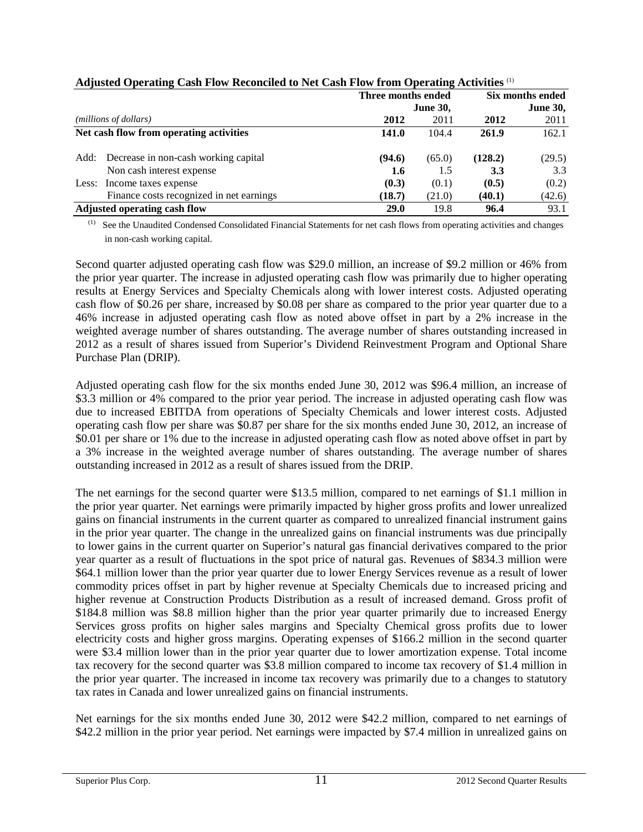|       |                                          |        | Three months ended |         |                 |
|-------|------------------------------------------|--------|--------------------|---------|-----------------|
|       |                                          |        | <b>June 30,</b>    |         | <b>June 30,</b> |
|       | (millions of dollars)                    | 2012   | 2011               | 2012    | 2011            |
|       | Net cash flow from operating activities  | 141.0  | 104.4              | 261.9   | 162.1           |
| Add:  | Decrease in non-cash working capital     | (94.6) | (65.0)             | (128.2) | (29.5)          |
|       | Non cash interest expense                | 1.6    | 1.5                | 3.3     | 3.3             |
| Less: | Income taxes expense                     | (0.3)  | (0.1)              | (0.5)   | (0.2)           |
|       | Finance costs recognized in net earnings | (18.7) | (21.0)             | (40.1)  | (42.6)          |
|       | Adjusted operating cash flow             | 29.0   | 19.8               | 96.4    | 93.1            |

## **Adjusted Operating Cash Flow Reconciled to Net Cash Flow from Operating Activities** (1)

(1) See the Unaudited Condensed Consolidated Financial Statements for net cash flows from operating activities and changes in non-cash working capital.

Second quarter adjusted operating cash flow was \$29.0 million, an increase of \$9.2 million or 46% from the prior year quarter. The increase in adjusted operating cash flow was primarily due to higher operating results at Energy Services and Specialty Chemicals along with lower interest costs. Adjusted operating cash flow of \$0.26 per share, increased by \$0.08 per share as compared to the prior year quarter due to a 46% increase in adjusted operating cash flow as noted above offset in part by a 2% increase in the weighted average number of shares outstanding. The average number of shares outstanding increased in 2012 as a result of shares issued from Superior's Dividend Reinvestment Program and Optional Share Purchase Plan (DRIP).

Adjusted operating cash flow for the six months ended June 30, 2012 was \$96.4 million, an increase of \$3.3 million or 4% compared to the prior year period. The increase in adjusted operating cash flow was due to increased EBITDA from operations of Specialty Chemicals and lower interest costs. Adjusted operating cash flow per share was \$0.87 per share for the six months ended June 30, 2012, an increase of \$0.01 per share or 1% due to the increase in adjusted operating cash flow as noted above offset in part by a 3% increase in the weighted average number of shares outstanding. The average number of shares outstanding increased in 2012 as a result of shares issued from the DRIP.

The net earnings for the second quarter were \$13.5 million, compared to net earnings of \$1.1 million in the prior year quarter. Net earnings were primarily impacted by higher gross profits and lower unrealized gains on financial instruments in the current quarter as compared to unrealized financial instrument gains in the prior year quarter. The change in the unrealized gains on financial instruments was due principally to lower gains in the current quarter on Superior's natural gas financial derivatives compared to the prior year quarter as a result of fluctuations in the spot price of natural gas. Revenues of \$834.3 million were \$64.1 million lower than the prior year quarter due to lower Energy Services revenue as a result of lower commodity prices offset in part by higher revenue at Specialty Chemicals due to increased pricing and higher revenue at Construction Products Distribution as a result of increased demand. Gross profit of \$184.8 million was \$8.8 million higher than the prior year quarter primarily due to increased Energy Services gross profits on higher sales margins and Specialty Chemical gross profits due to lower electricity costs and higher gross margins. Operating expenses of \$166.2 million in the second quarter were \$3.4 million lower than in the prior year quarter due to lower amortization expense. Total income tax recovery for the second quarter was \$3.8 million compared to income tax recovery of \$1.4 million in the prior year quarter. The increased in income tax recovery was primarily due to a changes to statutory tax rates in Canada and lower unrealized gains on financial instruments.

Net earnings for the six months ended June 30, 2012 were \$42.2 million, compared to net earnings of \$42.2 million in the prior year period. Net earnings were impacted by \$7.4 million in unrealized gains on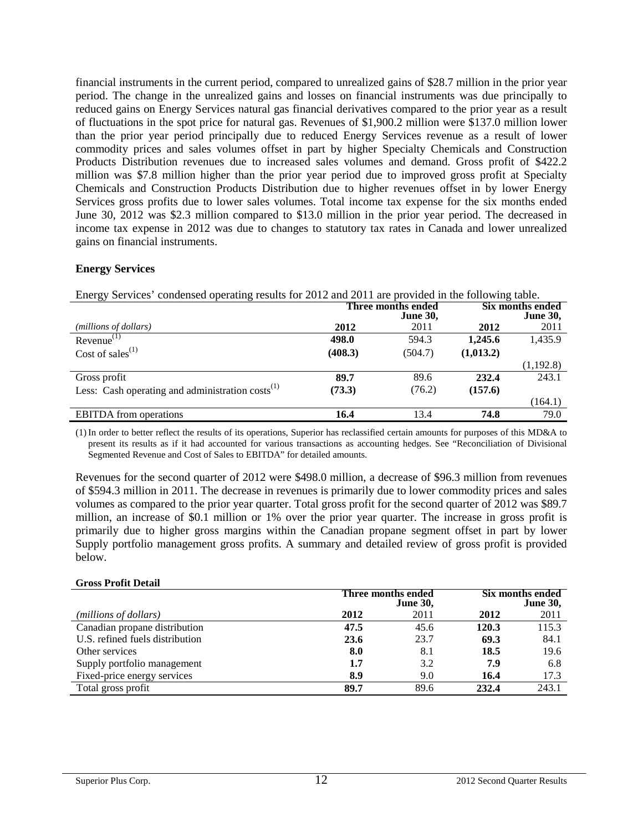financial instruments in the current period, compared to unrealized gains of \$28.7 million in the prior year period. The change in the unrealized gains and losses on financial instruments was due principally to reduced gains on Energy Services natural gas financial derivatives compared to the prior year as a result of fluctuations in the spot price for natural gas. Revenues of \$1,900.2 million were \$137.0 million lower than the prior year period principally due to reduced Energy Services revenue as a result of lower commodity prices and sales volumes offset in part by higher Specialty Chemicals and Construction Products Distribution revenues due to increased sales volumes and demand. Gross profit of \$422.2 million was \$7.8 million higher than the prior year period due to improved gross profit at Specialty Chemicals and Construction Products Distribution due to higher revenues offset in by lower Energy Services gross profits due to lower sales volumes. Total income tax expense for the six months ended June 30, 2012 was \$2.3 million compared to \$13.0 million in the prior year period. The decreased in income tax expense in 2012 was due to changes to statutory tax rates in Canada and lower unrealized gains on financial instruments.

## **Energy Services**

|  | Energy Services' condensed operating results for 2012 and 2011 are provided in the following table. |
|--|-----------------------------------------------------------------------------------------------------|
|  |                                                                                                     |

|                                                       |         | Three months ended<br><b>June 30,</b> | Six months ended<br><b>June 30,</b> |            |  |
|-------------------------------------------------------|---------|---------------------------------------|-------------------------------------|------------|--|
| (millions of dollars)                                 | 2012    | 2011                                  | 2012                                | 2011       |  |
| $Revenue^{(1)}$                                       | 498.0   | 594.3                                 | 1,245.6                             | 1,435.9    |  |
| Cost of sales $^{(1)}$                                | (408.3) | (504.7)                               | (1,013.2)                           |            |  |
|                                                       |         |                                       |                                     | (1, 192.8) |  |
| Gross profit                                          | 89.7    | 89.6                                  | 232.4                               | 243.1      |  |
| Less: Cash operating and administration $costs^{(1)}$ | (73.3)  | (76.2)                                | (157.6)                             |            |  |
|                                                       |         |                                       |                                     | (164.1)    |  |
| <b>EBITDA</b> from operations                         | 16.4    | 13.4                                  | 74.8                                | 79.0       |  |

(1)In order to better reflect the results of its operations, Superior has reclassified certain amounts for purposes of this MD&A to present its results as if it had accounted for various transactions as accounting hedges. See "Reconciliation of Divisional Segmented Revenue and Cost of Sales to EBITDA" for detailed amounts.

Revenues for the second quarter of 2012 were \$498.0 million, a decrease of \$96.3 million from revenues of \$594.3 million in 2011. The decrease in revenues is primarily due to lower commodity prices and sales volumes as compared to the prior year quarter. Total gross profit for the second quarter of 2012 was \$89.7 million, an increase of \$0.1 million or 1% over the prior year quarter. The increase in gross profit is primarily due to higher gross margins within the Canadian propane segment offset in part by lower Supply portfolio management gross profits. A summary and detailed review of gross profit is provided below.

#### **Gross Profit Detail**

|                                 | Three months ended |                 | Six months ended |                 |
|---------------------------------|--------------------|-----------------|------------------|-----------------|
|                                 |                    | <b>June 30,</b> |                  | <b>June 30,</b> |
| (millions of dollars)           | 2012               | 2011            | 2012             | 2011            |
| Canadian propane distribution   | 47.5               | 45.6            | 120.3            | 115.3           |
| U.S. refined fuels distribution | 23.6               | 23.7            | 69.3             | 84.1            |
| Other services                  | 8.0                | 8.1             | 18.5             | 19.6            |
| Supply portfolio management     | 1.7                | 3.2             | 7.9              | 6.8             |
| Fixed-price energy services     | 8.9                | 9.0             | 16.4             | 17.3            |
| Total gross profit              | 89.7               | 89.6            | 232.4            | 243.1           |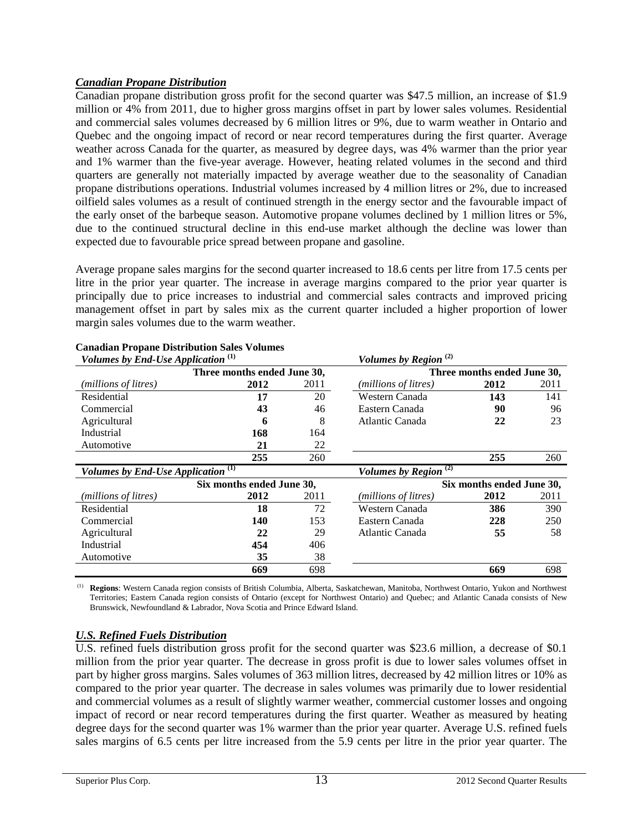# *Canadian Propane Distribution*

Canadian propane distribution gross profit for the second quarter was \$47.5 million, an increase of \$1.9 million or 4% from 2011, due to higher gross margins offset in part by lower sales volumes. Residential and commercial sales volumes decreased by 6 million litres or 9%, due to warm weather in Ontario and Quebec and the ongoing impact of record or near record temperatures during the first quarter. Average weather across Canada for the quarter, as measured by degree days, was 4% warmer than the prior year and 1% warmer than the five-year average. However, heating related volumes in the second and third quarters are generally not materially impacted by average weather due to the seasonality of Canadian propane distributions operations. Industrial volumes increased by 4 million litres or 2%, due to increased oilfield sales volumes as a result of continued strength in the energy sector and the favourable impact of the early onset of the barbeque season. Automotive propane volumes declined by 1 million litres or 5%, due to the continued structural decline in this end-use market although the decline was lower than expected due to favourable price spread between propane and gasoline.

Average propane sales margins for the second quarter increased to 18.6 cents per litre from 17.5 cents per litre in the prior year quarter. The increase in average margins compared to the prior year quarter is principally due to price increases to industrial and commercial sales contracts and improved pricing management offset in part by sales mix as the current quarter included a higher proportion of lower margin sales volumes due to the warm weather.

| Volumes by End-Use Application <sup>(1)</sup> |                             |      | Volumes by Region <sup>(2)</sup> |                             |      |
|-----------------------------------------------|-----------------------------|------|----------------------------------|-----------------------------|------|
|                                               | Three months ended June 30, |      |                                  | Three months ended June 30, |      |
| ( <i>millions of litres</i> )                 | 2012                        | 2011 | ( <i>millions of litres</i> )    | 2012                        | 2011 |
| Residential                                   | 17                          | 20   | Western Canada                   | 143                         | 141  |
| Commercial                                    | 43                          | 46   | Eastern Canada                   | 90                          | 96   |
| Agricultural                                  | 6                           | 8    | Atlantic Canada                  | 22                          | 23   |
| Industrial                                    | 168                         | 164  |                                  |                             |      |
| Automotive                                    | 21                          | 22   |                                  |                             |      |
|                                               | 255                         | 260  |                                  | 255                         | 260  |
| Volumes by End-Use Application $(1)$          |                             |      | Volumes by Region <sup>(2)</sup> |                             |      |
|                                               | Six months ended June 30,   |      |                                  | Six months ended June 30,   |      |
| (millions of litres)                          | 2012                        | 2011 | ( <i>millions of litres</i> )    | 2012                        | 2011 |
| Residential                                   | 18                          | 72   | Western Canada                   | 386                         | 390  |
| Commercial                                    | 140                         | 153  | Eastern Canada                   | 228                         | 250  |
| Agricultural                                  | 22                          | 29   | Atlantic Canada                  | 55                          | 58   |
| Industrial                                    | 454                         | 406  |                                  |                             |      |
| Automotive                                    | 35                          | 38   |                                  |                             |      |
|                                               | 669                         | 698  |                                  | 669                         | 698  |

# **Canadian Propane Distribution Sales Volumes**

(1) **Regions**: Western Canada region consists of British Columbia, Alberta, Saskatchewan, Manitoba, Northwest Ontario, Yukon and Northwest Territories; Eastern Canada region consists of Ontario (except for Northwest Ontario) and Quebec; and Atlantic Canada consists of New Brunswick, Newfoundland & Labrador, Nova Scotia and Prince Edward Island.

# *U.S. Refined Fuels Distribution*

U.S. refined fuels distribution gross profit for the second quarter was \$23.6 million, a decrease of \$0.1 million from the prior year quarter. The decrease in gross profit is due to lower sales volumes offset in part by higher gross margins. Sales volumes of 363 million litres, decreased by 42 million litres or 10% as compared to the prior year quarter. The decrease in sales volumes was primarily due to lower residential and commercial volumes as a result of slightly warmer weather, commercial customer losses and ongoing impact of record or near record temperatures during the first quarter. Weather as measured by heating degree days for the second quarter was 1% warmer than the prior year quarter. Average U.S. refined fuels sales margins of 6.5 cents per litre increased from the 5.9 cents per litre in the prior year quarter. The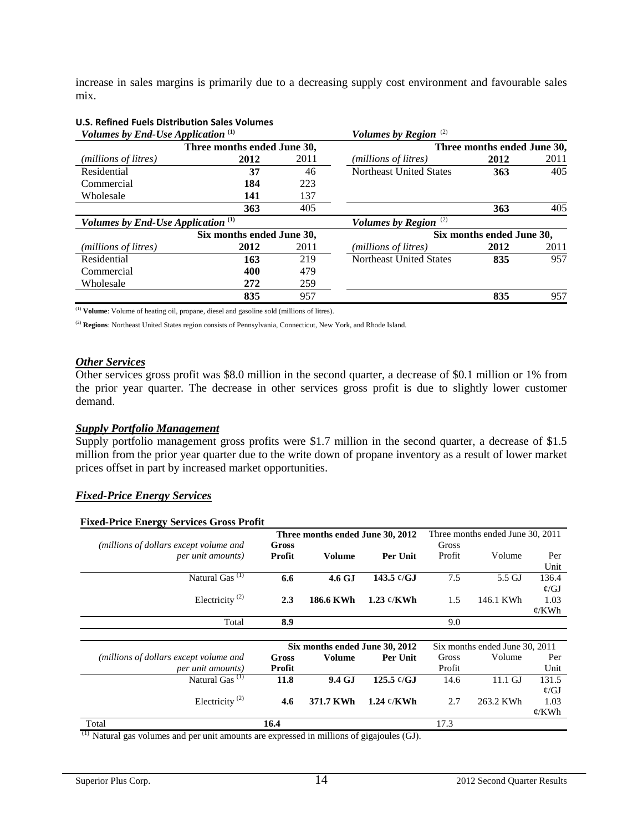increase in sales margins is primarily due to a decreasing supply cost environment and favourable sales mix.

| Volumes by End-Use Application $(1)$ |                             |      | Volumes by Region $(2)$          |                             |      |
|--------------------------------------|-----------------------------|------|----------------------------------|-----------------------------|------|
|                                      | Three months ended June 30, |      |                                  | Three months ended June 30, |      |
| (millions of litres)                 | 2012                        | 2011 | (millions of litres)             | 2012                        | 2011 |
| Residential                          | 37                          | 46   | <b>Northeast United States</b>   | 363                         | 405  |
| Commercial                           | 184                         | 223  |                                  |                             |      |
| Wholesale                            | 141                         | 137  |                                  |                             |      |
|                                      | 363                         | 405  |                                  | 363                         | 405  |
| Volumes by End-Use Application $(1)$ |                             |      | Volumes by Region <sup>(2)</sup> |                             |      |
|                                      | Six months ended June 30,   |      |                                  | Six months ended June 30,   |      |
| (millions of litres)                 | 2012                        | 2011 | (millions of litres)             | 2012                        | 2011 |
| Residential                          | 163                         | 219  | <b>Northeast United States</b>   | 835                         | 957  |
| Commercial                           | 400                         | 479  |                                  |                             |      |
| Wholesale                            | 272                         | 259  |                                  |                             |      |
|                                      | 835                         | 957  |                                  | 835                         | 957  |

# U.S. Refined Fuels Distribution Sales Volumes

(1) **Volume**: Volume of heating oil, propane, diesel and gasoline sold (millions of litres).

(2) **Regions**: Northeast United States region consists of Pennsylvania, Connecticut, New York, and Rhode Island.

#### *Other Services*

Other services gross profit was \$8.0 million in the second quarter, a decrease of \$0.1 million or 1% from the prior year quarter. The decrease in other services gross profit is due to slightly lower customer demand.

#### *Supply Portfolio Management*

Supply portfolio management gross profits were \$1.7 million in the second quarter, a decrease of \$1.5 million from the prior year quarter due to the write down of propane inventory as a result of lower market prices offset in part by increased market opportunities.

#### *Fixed-Price Energy Services*

#### **Fixed-Price Energy Services Gross Profit**

| ັັ                                      |        | Three months ended June 30, 2012 |                        |        | Three months ended June 30, 2011 |                   |
|-----------------------------------------|--------|----------------------------------|------------------------|--------|----------------------------------|-------------------|
| (millions of dollars except volume and  | Gross  |                                  |                        | Gross  |                                  |                   |
| per unit amounts)                       | Profit | <b>Volume</b>                    | Per Unit               | Profit | Volume                           | Per               |
|                                         |        |                                  |                        |        |                                  | Unit              |
| Natural Gas <sup>(1)</sup>              | 6.6    | 4.6 GJ                           | 143.5 ¢/GJ             | 7.5    | 5.5 GJ                           | 136.4             |
|                                         |        |                                  |                        |        |                                  | $\mathcal{C}/GJ$  |
| Electricity <sup><math>(2)</math></sup> | 2.3    | <b>186.6 KWh</b>                 | 1.23 $\mathcal{C}/KWh$ | 1.5    | 146.1 KWh                        | 1.03              |
|                                         |        |                                  |                        |        |                                  | $\mathcal{C}/KNh$ |
| Total                                   | 8.9    |                                  |                        | 9.0    |                                  |                   |
|                                         |        |                                  |                        |        |                                  |                   |
|                                         |        | Six months ended June 30, 2012   |                        |        | Six months ended June 30, 2011   |                   |
| (millions of dollars except volume and  | Gross  | Volume                           | Per Unit               | Gross  | Volume                           | Per               |
| per unit amounts)                       | Profit |                                  |                        | Profit |                                  | Unit              |
| Natural Gas <sup>(1)</sup>              | 11.8   | 9.4 GJ                           | 125.5 $c/GJ$           | 14.6   | $11.1 \text{ GJ}$                | 131.5             |
|                                         |        |                                  |                        |        |                                  | $\mathcal{C}/GJ$  |
| Electricity <sup><math>(2)</math></sup> | 4.6    | 371.7 KWh                        | 1.24 $\mathcal{C}/KWh$ | 2.7    | 263.2 KWh                        | 1.03              |
|                                         |        |                                  |                        |        |                                  | $\mathcal{C}/KNh$ |
| Total                                   | 16.4   |                                  |                        | 17.3   |                                  |                   |

 $<sup>(1)</sup>$  Natural gas volumes and per unit amounts are expressed in millions of gigajoules (GJ).</sup>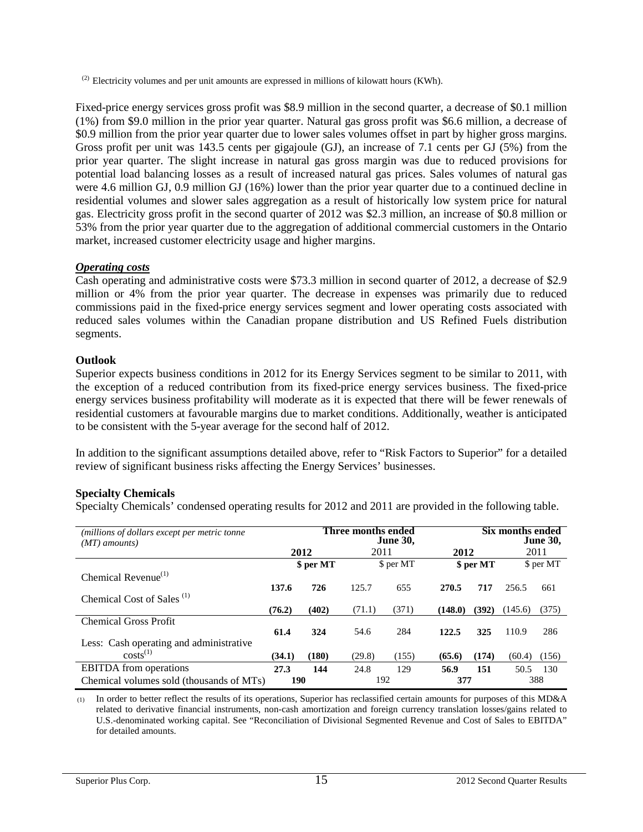$^{(2)}$  Electricity volumes and per unit amounts are expressed in millions of kilowatt hours (KWh).

Fixed-price energy services gross profit was \$8.9 million in the second quarter, a decrease of \$0.1 million (1%) from \$9.0 million in the prior year quarter. Natural gas gross profit was \$6.6 million, a decrease of \$0.9 million from the prior year quarter due to lower sales volumes offset in part by higher gross margins. Gross profit per unit was 143.5 cents per gigajoule (GJ), an increase of 7.1 cents per GJ (5%) from the prior year quarter. The slight increase in natural gas gross margin was due to reduced provisions for potential load balancing losses as a result of increased natural gas prices. Sales volumes of natural gas were 4.6 million GJ, 0.9 million GJ (16%) lower than the prior year quarter due to a continued decline in residential volumes and slower sales aggregation as a result of historically low system price for natural gas. Electricity gross profit in the second quarter of 2012 was \$2.3 million, an increase of \$0.8 million or 53% from the prior year quarter due to the aggregation of additional commercial customers in the Ontario market, increased customer electricity usage and higher margins.

## *Operating costs*

Cash operating and administrative costs were \$73.3 million in second quarter of 2012, a decrease of \$2.9 million or 4% from the prior year quarter. The decrease in expenses was primarily due to reduced commissions paid in the fixed-price energy services segment and lower operating costs associated with reduced sales volumes within the Canadian propane distribution and US Refined Fuels distribution segments.

# **Outlook**

Superior expects business conditions in 2012 for its Energy Services segment to be similar to 2011, with the exception of a reduced contribution from its fixed-price energy services business. The fixed-price energy services business profitability will moderate as it is expected that there will be fewer renewals of residential customers at favourable margins due to market conditions. Additionally, weather is anticipated to be consistent with the 5-year average for the second half of 2012.

In addition to the significant assumptions detailed above, refer to "Risk Factors to Superior" for a detailed review of significant business risks affecting the Energy Services' businesses.

# **Specialty Chemicals**

Specialty Chemicals' condensed operating results for 2012 and 2011 are provided in the following table.

| (millions of dollars except per metric tonne<br>$(MT)$ amounts) | Three months ended<br><b>June 30,</b> |           |        |           |         |           | Six months ended<br><b>June 30,</b> |           |  |
|-----------------------------------------------------------------|---------------------------------------|-----------|--------|-----------|---------|-----------|-------------------------------------|-----------|--|
|                                                                 |                                       | 2012      | 2011   |           | 2012    |           | 2011                                |           |  |
|                                                                 |                                       | \$ per MT |        | \$ per MT |         | \$ per MT |                                     | \$ per MT |  |
| Chemical Revenue <sup>(1)</sup>                                 |                                       |           |        |           |         |           |                                     |           |  |
|                                                                 | 137.6                                 | 726       | 125.7  | 655       | 270.5   | 717       | 256.5                               | 661       |  |
| Chemical Cost of Sales <sup>(1)</sup>                           |                                       |           |        |           |         |           |                                     |           |  |
|                                                                 | (76.2)                                | (402)     | (71.1) | (371)     | (148.0) | (392)     | (145.6)                             | (375)     |  |
| <b>Chemical Gross Profit</b>                                    |                                       |           |        |           |         |           |                                     |           |  |
|                                                                 | 61.4                                  | 324       | 54.6   | 284       | 122.5   | 325       | 110.9                               | 286       |  |
| Less: Cash operating and administrative                         |                                       |           |        |           |         |           |                                     |           |  |
| $costs^{(1)}$                                                   | (34.1)                                | (180)     | (29.8) | (155)     | (65.6)  | (174)     | (60.4)                              | (156)     |  |
| <b>EBITDA</b> from operations                                   | 27.3                                  | 144       | 24.8   | 129       | 56.9    | 151       | 50.5                                | 130       |  |
| Chemical volumes sold (thousands of MTs)                        | 190                                   |           | 192    |           | 377     |           |                                     | 388       |  |

(1) In order to better reflect the results of its operations, Superior has reclassified certain amounts for purposes of this MD&A related to derivative financial instruments, non-cash amortization and foreign currency translation losses/gains related to U.S.-denominated working capital. See "Reconciliation of Divisional Segmented Revenue and Cost of Sales to EBITDA" for detailed amounts.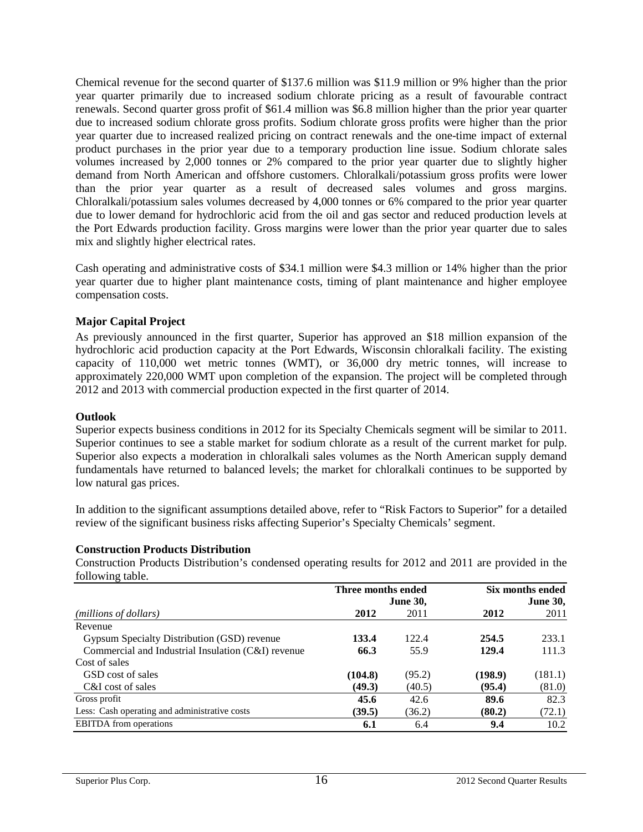Chemical revenue for the second quarter of \$137.6 million was \$11.9 million or 9% higher than the prior year quarter primarily due to increased sodium chlorate pricing as a result of favourable contract renewals. Second quarter gross profit of \$61.4 million was \$6.8 million higher than the prior year quarter due to increased sodium chlorate gross profits. Sodium chlorate gross profits were higher than the prior year quarter due to increased realized pricing on contract renewals and the one-time impact of external product purchases in the prior year due to a temporary production line issue. Sodium chlorate sales volumes increased by 2,000 tonnes or 2% compared to the prior year quarter due to slightly higher demand from North American and offshore customers. Chloralkali/potassium gross profits were lower than the prior year quarter as a result of decreased sales volumes and gross margins. Chloralkali/potassium sales volumes decreased by 4,000 tonnes or 6% compared to the prior year quarter due to lower demand for hydrochloric acid from the oil and gas sector and reduced production levels at the Port Edwards production facility. Gross margins were lower than the prior year quarter due to sales mix and slightly higher electrical rates.

Cash operating and administrative costs of \$34.1 million were \$4.3 million or 14% higher than the prior year quarter due to higher plant maintenance costs, timing of plant maintenance and higher employee compensation costs.

# **Major Capital Project**

As previously announced in the first quarter, Superior has approved an \$18 million expansion of the hydrochloric acid production capacity at the Port Edwards, Wisconsin chloralkali facility. The existing capacity of 110,000 wet metric tonnes (WMT), or 36,000 dry metric tonnes, will increase to approximately 220,000 WMT upon completion of the expansion. The project will be completed through 2012 and 2013 with commercial production expected in the first quarter of 2014.

## **Outlook**

Superior expects business conditions in 2012 for its Specialty Chemicals segment will be similar to 2011. Superior continues to see a stable market for sodium chlorate as a result of the current market for pulp. Superior also expects a moderation in chloralkali sales volumes as the North American supply demand fundamentals have returned to balanced levels; the market for chloralkali continues to be supported by low natural gas prices.

In addition to the significant assumptions detailed above, refer to "Risk Factors to Superior" for a detailed review of the significant business risks affecting Superior's Specialty Chemicals' segment.

# **Construction Products Distribution**

Construction Products Distribution's condensed operating results for 2012 and 2011 are provided in the following table.

|                                                    | Three months ended |                 |         | Six months ended |  |
|----------------------------------------------------|--------------------|-----------------|---------|------------------|--|
|                                                    |                    | <b>June 30,</b> |         | <b>June 30,</b>  |  |
| (millions of dollars)                              | 2012               | 2011            | 2012    | 2011             |  |
| Revenue                                            |                    |                 |         |                  |  |
| Gypsum Specialty Distribution (GSD) revenue        | 133.4              | 122.4           | 254.5   | 233.1            |  |
| Commercial and Industrial Insulation (C&I) revenue | 66.3               | 55.9            | 129.4   | 111.3            |  |
| Cost of sales                                      |                    |                 |         |                  |  |
| GSD cost of sales                                  | (104.8)            | (95.2)          | (198.9) | (181.1)          |  |
| C&I cost of sales                                  | (49.3)             | (40.5)          | (95.4)  | (81.0)           |  |
| Gross profit                                       | 45.6               | 42.6            | 89.6    | 82.3             |  |
| Less: Cash operating and administrative costs      | (39.5)             | (36.2)          | (80.2)  | (72.1)           |  |
| <b>EBITDA</b> from operations                      | 6.1                | 6.4             | 9.4     | 10.2             |  |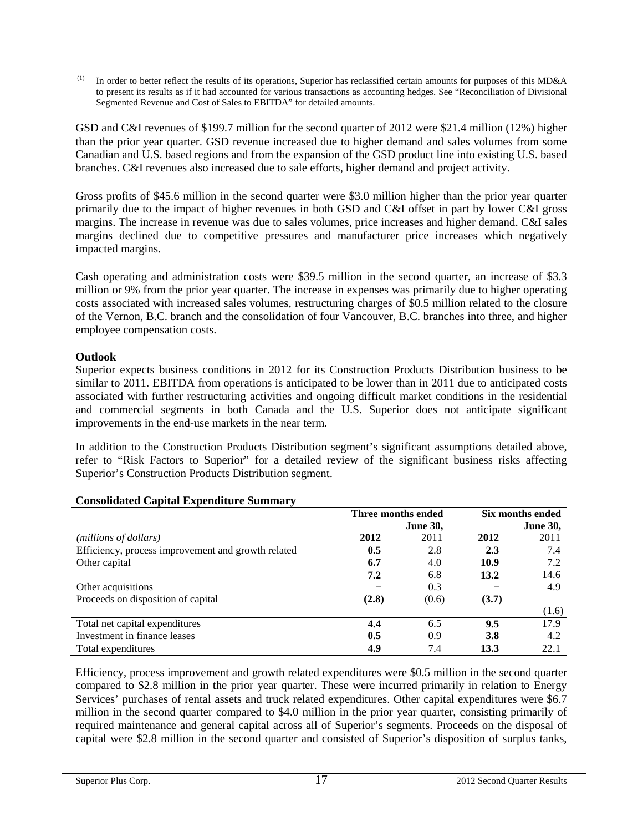(1) In order to better reflect the results of its operations, Superior has reclassified certain amounts for purposes of this MD&A to present its results as if it had accounted for various transactions as accounting hedges. See "Reconciliation of Divisional Segmented Revenue and Cost of Sales to EBITDA" for detailed amounts.

GSD and C&I revenues of \$199.7 million for the second quarter of 2012 were \$21.4 million (12%) higher than the prior year quarter. GSD revenue increased due to higher demand and sales volumes from some Canadian and U.S. based regions and from the expansion of the GSD product line into existing U.S. based branches. C&I revenues also increased due to sale efforts, higher demand and project activity.

Gross profits of \$45.6 million in the second quarter were \$3.0 million higher than the prior year quarter primarily due to the impact of higher revenues in both GSD and C&I offset in part by lower C&I gross margins. The increase in revenue was due to sales volumes, price increases and higher demand. C&I sales margins declined due to competitive pressures and manufacturer price increases which negatively impacted margins.

Cash operating and administration costs were \$39.5 million in the second quarter, an increase of \$3.3 million or 9% from the prior year quarter. The increase in expenses was primarily due to higher operating costs associated with increased sales volumes, restructuring charges of \$0.5 million related to the closure of the Vernon, B.C. branch and the consolidation of four Vancouver, B.C. branches into three, and higher employee compensation costs.

# **Outlook**

Superior expects business conditions in 2012 for its Construction Products Distribution business to be similar to 2011. EBITDA from operations is anticipated to be lower than in 2011 due to anticipated costs associated with further restructuring activities and ongoing difficult market conditions in the residential and commercial segments in both Canada and the U.S. Superior does not anticipate significant improvements in the end-use markets in the near term.

In addition to the Construction Products Distribution segment's significant assumptions detailed above, refer to "Risk Factors to Superior" for a detailed review of the significant business risks affecting Superior's Construction Products Distribution segment.

|                                                    | Three months ended |       | Six months ended |                 |  |
|----------------------------------------------------|--------------------|-------|------------------|-----------------|--|
|                                                    | <b>June 30,</b>    |       |                  | <b>June 30,</b> |  |
| ( <i>millions of dollars</i> )                     | 2012               | 2011  | 2012             | 2011            |  |
| Efficiency, process improvement and growth related | 0.5                | 2.8   | 2.3              | 7.4             |  |
| Other capital                                      | 6.7                | 4.0   | 10.9             | 7.2             |  |
|                                                    | 7.2                | 6.8   | 13.2             | 14.6            |  |
| Other acquisitions                                 |                    | 0.3   |                  | 4.9             |  |
| Proceeds on disposition of capital                 | (2.8)              | (0.6) | (3.7)            |                 |  |
|                                                    |                    |       |                  | (1.6)           |  |
| Total net capital expenditures                     | 4.4                | 6.5   | 9.5              | 17.9            |  |
| Investment in finance leases                       | 0.5                | 0.9   | <b>3.8</b>       | 4.2             |  |
| Total expenditures                                 | 4.9                | 7.4   | 13.3             | 22.1            |  |

# **Consolidated Capital Expenditure Summary**

Efficiency, process improvement and growth related expenditures were \$0.5 million in the second quarter compared to \$2.8 million in the prior year quarter. These were incurred primarily in relation to Energy Services' purchases of rental assets and truck related expenditures. Other capital expenditures were \$6.7 million in the second quarter compared to \$4.0 million in the prior year quarter, consisting primarily of required maintenance and general capital across all of Superior's segments. Proceeds on the disposal of capital were \$2.8 million in the second quarter and consisted of Superior's disposition of surplus tanks,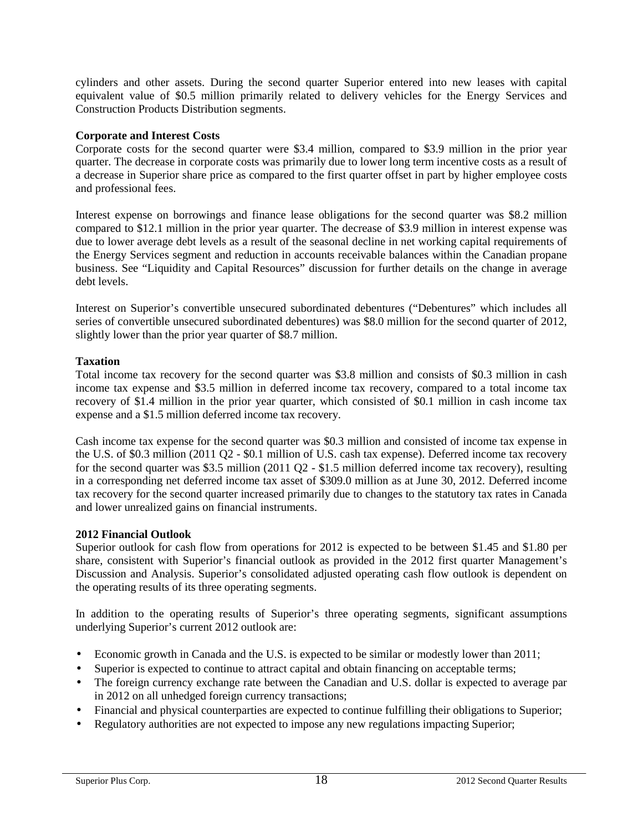cylinders and other assets. During the second quarter Superior entered into new leases with capital equivalent value of \$0.5 million primarily related to delivery vehicles for the Energy Services and Construction Products Distribution segments.

## **Corporate and Interest Costs**

Corporate costs for the second quarter were \$3.4 million, compared to \$3.9 million in the prior year quarter. The decrease in corporate costs was primarily due to lower long term incentive costs as a result of a decrease in Superior share price as compared to the first quarter offset in part by higher employee costs and professional fees.

Interest expense on borrowings and finance lease obligations for the second quarter was \$8.2 million compared to \$12.1 million in the prior year quarter. The decrease of \$3.9 million in interest expense was due to lower average debt levels as a result of the seasonal decline in net working capital requirements of the Energy Services segment and reduction in accounts receivable balances within the Canadian propane business. See "Liquidity and Capital Resources" discussion for further details on the change in average debt levels.

Interest on Superior's convertible unsecured subordinated debentures ("Debentures" which includes all series of convertible unsecured subordinated debentures) was \$8.0 million for the second quarter of 2012, slightly lower than the prior year quarter of \$8.7 million.

## **Taxation**

Total income tax recovery for the second quarter was \$3.8 million and consists of \$0.3 million in cash income tax expense and \$3.5 million in deferred income tax recovery, compared to a total income tax recovery of \$1.4 million in the prior year quarter, which consisted of \$0.1 million in cash income tax expense and a \$1.5 million deferred income tax recovery.

Cash income tax expense for the second quarter was \$0.3 million and consisted of income tax expense in the U.S. of \$0.3 million (2011 Q2 - \$0.1 million of U.S. cash tax expense). Deferred income tax recovery for the second quarter was \$3.5 million (2011 Q2 - \$1.5 million deferred income tax recovery), resulting in a corresponding net deferred income tax asset of \$309.0 million as at June 30, 2012. Deferred income tax recovery for the second quarter increased primarily due to changes to the statutory tax rates in Canada and lower unrealized gains on financial instruments.

# **2012 Financial Outlook**

Superior outlook for cash flow from operations for 2012 is expected to be between \$1.45 and \$1.80 per share, consistent with Superior's financial outlook as provided in the 2012 first quarter Management's Discussion and Analysis. Superior's consolidated adjusted operating cash flow outlook is dependent on the operating results of its three operating segments.

In addition to the operating results of Superior's three operating segments, significant assumptions underlying Superior's current 2012 outlook are:

- Economic growth in Canada and the U.S. is expected to be similar or modestly lower than 2011;
- Superior is expected to continue to attract capital and obtain financing on acceptable terms;
- The foreign currency exchange rate between the Canadian and U.S. dollar is expected to average par in 2012 on all unhedged foreign currency transactions;
- Financial and physical counterparties are expected to continue fulfilling their obligations to Superior;
- Regulatory authorities are not expected to impose any new regulations impacting Superior;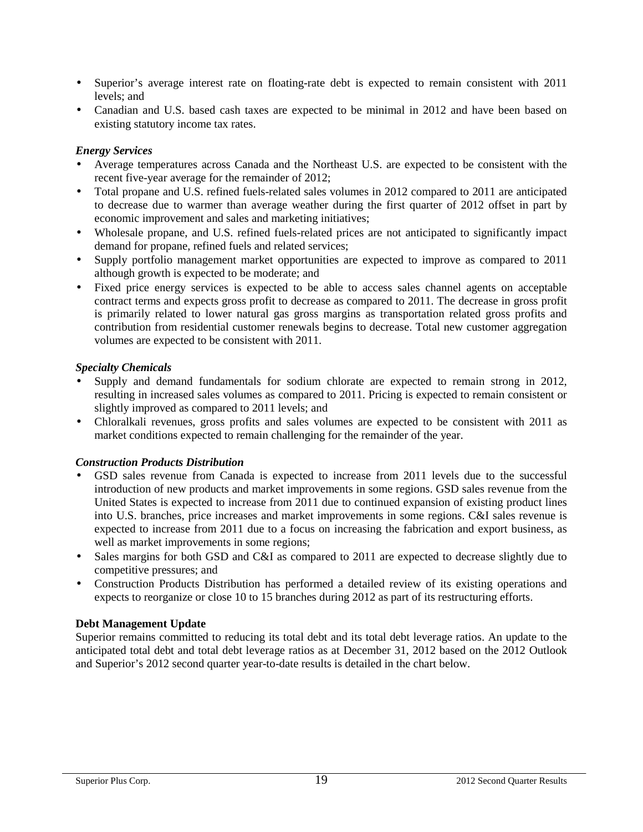- Superior's average interest rate on floating-rate debt is expected to remain consistent with 2011 levels; and
- Canadian and U.S. based cash taxes are expected to be minimal in 2012 and have been based on existing statutory income tax rates.

# *Energy Services*

- Average temperatures across Canada and the Northeast U.S. are expected to be consistent with the recent five-year average for the remainder of 2012;
- Total propane and U.S. refined fuels-related sales volumes in 2012 compared to 2011 are anticipated to decrease due to warmer than average weather during the first quarter of 2012 offset in part by economic improvement and sales and marketing initiatives;
- Wholesale propane, and U.S. refined fuels-related prices are not anticipated to significantly impact demand for propane, refined fuels and related services;
- Supply portfolio management market opportunities are expected to improve as compared to 2011 although growth is expected to be moderate; and
- Fixed price energy services is expected to be able to access sales channel agents on acceptable contract terms and expects gross profit to decrease as compared to 2011. The decrease in gross profit is primarily related to lower natural gas gross margins as transportation related gross profits and contribution from residential customer renewals begins to decrease. Total new customer aggregation volumes are expected to be consistent with 2011.

# *Specialty Chemicals*

- Supply and demand fundamentals for sodium chlorate are expected to remain strong in 2012, resulting in increased sales volumes as compared to 2011. Pricing is expected to remain consistent or slightly improved as compared to 2011 levels; and
- Chloralkali revenues, gross profits and sales volumes are expected to be consistent with 2011 as market conditions expected to remain challenging for the remainder of the year.

# *Construction Products Distribution*

- GSD sales revenue from Canada is expected to increase from 2011 levels due to the successful introduction of new products and market improvements in some regions. GSD sales revenue from the United States is expected to increase from 2011 due to continued expansion of existing product lines into U.S. branches, price increases and market improvements in some regions. C&I sales revenue is expected to increase from 2011 due to a focus on increasing the fabrication and export business, as well as market improvements in some regions;
- Sales margins for both GSD and C&I as compared to 2011 are expected to decrease slightly due to competitive pressures; and
- Construction Products Distribution has performed a detailed review of its existing operations and expects to reorganize or close 10 to 15 branches during 2012 as part of its restructuring efforts.

# **Debt Management Update**

Superior remains committed to reducing its total debt and its total debt leverage ratios. An update to the anticipated total debt and total debt leverage ratios as at December 31, 2012 based on the 2012 Outlook and Superior's 2012 second quarter year-to-date results is detailed in the chart below.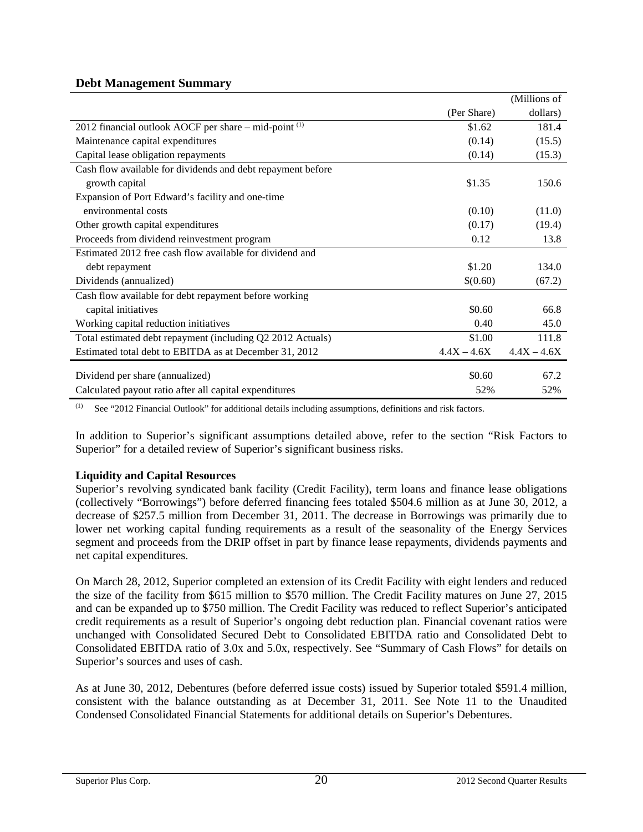# **Debt Management Summary**

|                                                                  |               | (Millions of  |
|------------------------------------------------------------------|---------------|---------------|
|                                                                  | (Per Share)   | dollars)      |
| 2012 financial outlook AOCF per share – mid-point <sup>(1)</sup> | \$1.62        | 181.4         |
| Maintenance capital expenditures                                 | (0.14)        | (15.5)        |
| Capital lease obligation repayments                              | (0.14)        | (15.3)        |
| Cash flow available for dividends and debt repayment before      |               |               |
| growth capital                                                   | \$1.35        | 150.6         |
| Expansion of Port Edward's facility and one-time                 |               |               |
| environmental costs                                              | (0.10)        | (11.0)        |
| Other growth capital expenditures                                | (0.17)        | (19.4)        |
| Proceeds from dividend reinvestment program                      | 0.12          | 13.8          |
| Estimated 2012 free cash flow available for dividend and         |               |               |
| debt repayment                                                   | \$1.20        | 134.0         |
| Dividends (annualized)                                           | \$(0.60)      | (67.2)        |
| Cash flow available for debt repayment before working            |               |               |
| capital initiatives                                              | \$0.60        | 66.8          |
| Working capital reduction initiatives                            | 0.40          | 45.0          |
| Total estimated debt repayment (including Q2 2012 Actuals)       | \$1.00        | 111.8         |
| Estimated total debt to EBITDA as at December 31, 2012           | $4.4X - 4.6X$ | $4.4X - 4.6X$ |
| Dividend per share (annualized)                                  | \$0.60        | 67.2          |
| Calculated payout ratio after all capital expenditures           | 52%           | 52%           |

See "2012 Financial Outlook" for additional details including assumptions, definitions and risk factors.

In addition to Superior's significant assumptions detailed above, refer to the section "Risk Factors to Superior" for a detailed review of Superior's significant business risks.

# **Liquidity and Capital Resources**

Superior's revolving syndicated bank facility (Credit Facility), term loans and finance lease obligations (collectively "Borrowings") before deferred financing fees totaled \$504.6 million as at June 30, 2012, a decrease of \$257.5 million from December 31, 2011. The decrease in Borrowings was primarily due to lower net working capital funding requirements as a result of the seasonality of the Energy Services segment and proceeds from the DRIP offset in part by finance lease repayments, dividends payments and net capital expenditures.

On March 28, 2012, Superior completed an extension of its Credit Facility with eight lenders and reduced the size of the facility from \$615 million to \$570 million. The Credit Facility matures on June 27, 2015 and can be expanded up to \$750 million. The Credit Facility was reduced to reflect Superior's anticipated credit requirements as a result of Superior's ongoing debt reduction plan. Financial covenant ratios were unchanged with Consolidated Secured Debt to Consolidated EBITDA ratio and Consolidated Debt to Consolidated EBITDA ratio of 3.0x and 5.0x, respectively. See "Summary of Cash Flows" for details on Superior's sources and uses of cash.

As at June 30, 2012, Debentures (before deferred issue costs) issued by Superior totaled \$591.4 million, consistent with the balance outstanding as at December 31, 2011. See Note 11 to the Unaudited Condensed Consolidated Financial Statements for additional details on Superior's Debentures.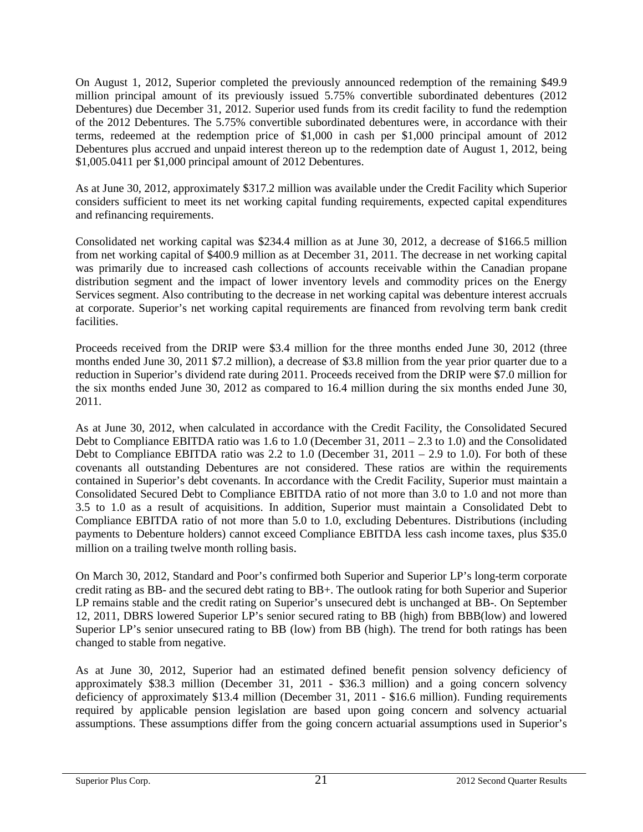On August 1, 2012, Superior completed the previously announced redemption of the remaining \$49.9 million principal amount of its previously issued 5.75% convertible subordinated debentures (2012 Debentures) due December 31, 2012. Superior used funds from its credit facility to fund the redemption of the 2012 Debentures. The 5.75% convertible subordinated debentures were, in accordance with their terms, redeemed at the redemption price of \$1,000 in cash per \$1,000 principal amount of 2012 Debentures plus accrued and unpaid interest thereon up to the redemption date of August 1, 2012, being \$1,005.0411 per \$1,000 principal amount of 2012 Debentures.

As at June 30, 2012, approximately \$317.2 million was available under the Credit Facility which Superior considers sufficient to meet its net working capital funding requirements, expected capital expenditures and refinancing requirements.

Consolidated net working capital was \$234.4 million as at June 30, 2012, a decrease of \$166.5 million from net working capital of \$400.9 million as at December 31, 2011. The decrease in net working capital was primarily due to increased cash collections of accounts receivable within the Canadian propane distribution segment and the impact of lower inventory levels and commodity prices on the Energy Services segment. Also contributing to the decrease in net working capital was debenture interest accruals at corporate. Superior's net working capital requirements are financed from revolving term bank credit facilities.

Proceeds received from the DRIP were \$3.4 million for the three months ended June 30, 2012 (three months ended June 30, 2011 \$7.2 million), a decrease of \$3.8 million from the year prior quarter due to a reduction in Superior's dividend rate during 2011. Proceeds received from the DRIP were \$7.0 million for the six months ended June 30, 2012 as compared to 16.4 million during the six months ended June 30, 2011.

As at June 30, 2012, when calculated in accordance with the Credit Facility, the Consolidated Secured Debt to Compliance EBITDA ratio was 1.6 to 1.0 (December 31,  $2011 - 2.3$  to 1.0) and the Consolidated Debt to Compliance EBITDA ratio was 2.2 to 1.0 (December 31,  $2011 - 2.9$  to 1.0). For both of these covenants all outstanding Debentures are not considered. These ratios are within the requirements contained in Superior's debt covenants. In accordance with the Credit Facility, Superior must maintain a Consolidated Secured Debt to Compliance EBITDA ratio of not more than 3.0 to 1.0 and not more than 3.5 to 1.0 as a result of acquisitions. In addition, Superior must maintain a Consolidated Debt to Compliance EBITDA ratio of not more than 5.0 to 1.0, excluding Debentures. Distributions (including payments to Debenture holders) cannot exceed Compliance EBITDA less cash income taxes, plus \$35.0 million on a trailing twelve month rolling basis.

On March 30, 2012, Standard and Poor's confirmed both Superior and Superior LP's long-term corporate credit rating as BB- and the secured debt rating to BB+. The outlook rating for both Superior and Superior LP remains stable and the credit rating on Superior's unsecured debt is unchanged at BB-. On September 12, 2011, DBRS lowered Superior LP's senior secured rating to BB (high) from BBB(low) and lowered Superior LP's senior unsecured rating to BB (low) from BB (high). The trend for both ratings has been changed to stable from negative.

As at June 30, 2012, Superior had an estimated defined benefit pension solvency deficiency of approximately \$38.3 million (December 31, 2011 - \$36.3 million) and a going concern solvency deficiency of approximately \$13.4 million (December 31, 2011 - \$16.6 million). Funding requirements required by applicable pension legislation are based upon going concern and solvency actuarial assumptions. These assumptions differ from the going concern actuarial assumptions used in Superior's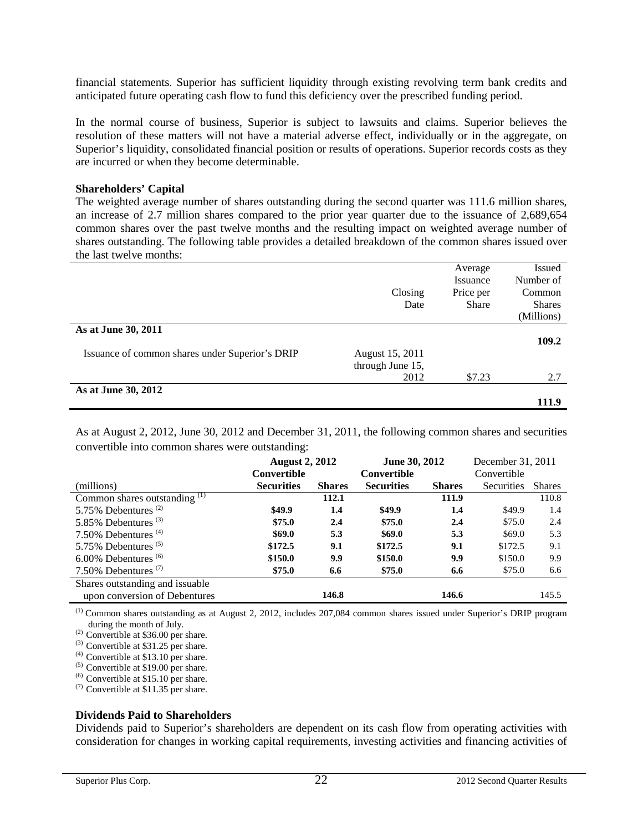financial statements. Superior has sufficient liquidity through existing revolving term bank credits and anticipated future operating cash flow to fund this deficiency over the prescribed funding period.

In the normal course of business, Superior is subject to lawsuits and claims. Superior believes the resolution of these matters will not have a material adverse effect, individually or in the aggregate, on Superior's liquidity, consolidated financial position or results of operations. Superior records costs as they are incurred or when they become determinable.

#### **Shareholders' Capital**

The weighted average number of shares outstanding during the second quarter was 111.6 million shares, an increase of 2.7 million shares compared to the prior year quarter due to the issuance of 2,689,654 common shares over the past twelve months and the resulting impact on weighted average number of shares outstanding. The following table provides a detailed breakdown of the common shares issued over the last twelve months:

|                                                 |                  | Average      | Issued        |
|-------------------------------------------------|------------------|--------------|---------------|
|                                                 |                  | Issuance     | Number of     |
|                                                 | Closing          | Price per    | Common        |
|                                                 | Date             | <b>Share</b> | <b>Shares</b> |
|                                                 |                  |              | (Millions)    |
| As at June 30, 2011                             |                  |              |               |
|                                                 |                  |              | 109.2         |
| Issuance of common shares under Superior's DRIP | August 15, 2011  |              |               |
|                                                 | through June 15, |              |               |
|                                                 | 2012             | \$7.23       | 2.7           |
| As at June 30, 2012                             |                  |              |               |
|                                                 |                  |              | 111.9         |

As at August 2, 2012, June 30, 2012 and December 31, 2011, the following common shares and securities convertible into common shares were outstanding:

|                                          | <b>August 2, 2012</b> |               | June 30, 2012     |               | December 31, 2011 |               |  |
|------------------------------------------|-----------------------|---------------|-------------------|---------------|-------------------|---------------|--|
|                                          | Convertible           |               | Convertible       |               | Convertible       |               |  |
| (millions)                               | <b>Securities</b>     | <b>Shares</b> | <b>Securities</b> | <b>Shares</b> | <b>Securities</b> | <b>Shares</b> |  |
| Common shares outstanding <sup>(1)</sup> |                       | 112.1         |                   | 111.9         |                   | 110.8         |  |
| 5.75% Debentures $(2)$                   | \$49.9                | 1.4           | \$49.9            | 1.4           | \$49.9            | 1.4           |  |
| 5.85% Debentures $(3)$                   | \$75.0                | 2.4           | \$75.0            | 2.4           | \$75.0            | 2.4           |  |
| 7.50% Debentures $(4)$                   | \$69.0                | 5.3           | \$69.0            | 5.3           | \$69.0            | 5.3           |  |
| 5.75% Debentures $(5)$                   | \$172.5               | 9.1           | \$172.5           | 9.1           | \$172.5           | 9.1           |  |
| 6.00% Debentures <sup>(6)</sup>          | \$150.0               | 9.9           | \$150.0           | 9.9           | \$150.0           | 9.9           |  |
| 7.50% Debentures $(7)$                   | \$75.0                | 6.6           | \$75.0            | 6.6           | \$75.0            | 6.6           |  |
| Shares outstanding and issuable          |                       |               |                   |               |                   |               |  |
| upon conversion of Debentures            |                       | 146.8         |                   | 146.6         |                   | 145.5         |  |

(1) Common shares outstanding as at August 2, 2012, includes 207,084 common shares issued under Superior's DRIP program during the month of July.

(2) Convertible at \$36.00 per share.

 $^{(3)}$  Convertible at \$31.25 per share.

 $^{(4)}$  Convertible at \$13.10 per share.

 $(5)$  Convertible at \$19.00 per share.

 $^{(6)}$  Convertible at \$15.10 per share.

 $(7)$  Convertible at \$11.35 per share.

#### **Dividends Paid to Shareholders**

Dividends paid to Superior's shareholders are dependent on its cash flow from operating activities with consideration for changes in working capital requirements, investing activities and financing activities of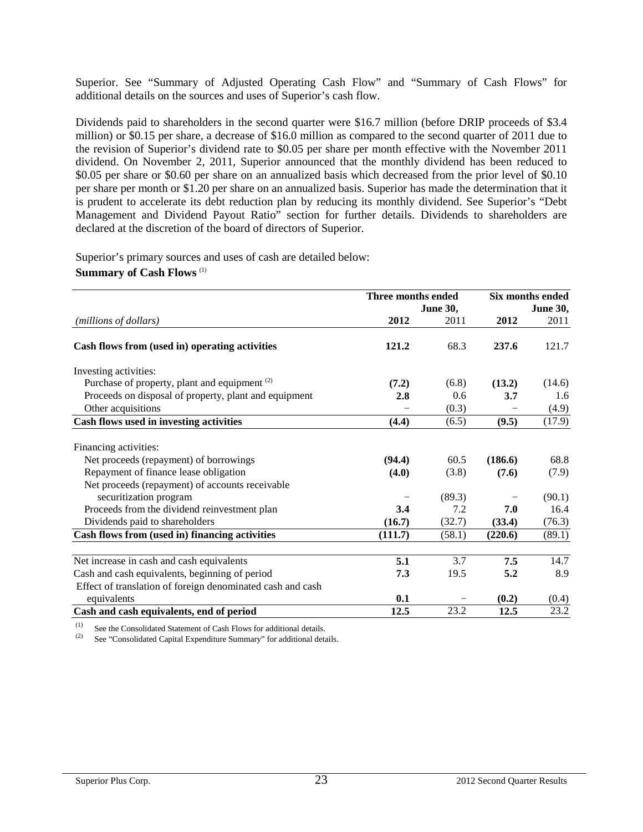Superior. See "Summary of Adjusted Operating Cash Flow" and "Summary of Cash Flows" for additional details on the sources and uses of Superior's cash flow.

Dividends paid to shareholders in the second quarter were \$16.7 million (before DRIP proceeds of \$3.4 million) or \$0.15 per share, a decrease of \$16.0 million as compared to the second quarter of 2011 due to the revision of Superior's dividend rate to \$0.05 per share per month effective with the November 2011 dividend. On November 2, 2011, Superior announced that the monthly dividend has been reduced to \$0.05 per share or \$0.60 per share on an annualized basis which decreased from the prior level of \$0.10 per share per month or \$1.20 per share on an annualized basis. Superior has made the determination that it is prudent to accelerate its debt reduction plan by reducing its monthly dividend. See Superior's "Debt Management and Dividend Payout Ratio" section for further details. Dividends to shareholders are declared at the discretion of the board of directors of Superior.

Superior's primary sources and uses of cash are detailed below:

#### **Summary of Cash Flows** (1)

|                                                            | Three months ended | Six months ended<br><b>June 30,</b> |         |        |
|------------------------------------------------------------|--------------------|-------------------------------------|---------|--------|
| (millions of dollars)                                      | 2012               | <b>June 30,</b><br>2011             | 2012    | 2011   |
| Cash flows from (used in) operating activities             | 121.2              | 68.3                                | 237.6   | 121.7  |
| Investing activities:                                      |                    |                                     |         |        |
| Purchase of property, plant and equipment <sup>(2)</sup>   | (7.2)              | (6.8)                               | (13.2)  | (14.6) |
| Proceeds on disposal of property, plant and equipment      | 2.8                | 0.6                                 | 3.7     | 1.6    |
| Other acquisitions                                         |                    | (0.3)                               |         | (4.9)  |
| Cash flows used in investing activities                    | (4.4)              | (6.5)                               | (9.5)   | (17.9) |
|                                                            |                    |                                     |         |        |
| Financing activities:                                      |                    |                                     |         |        |
| Net proceeds (repayment) of borrowings                     | (94.4)             | 60.5                                | (186.6) | 68.8   |
| Repayment of finance lease obligation                      | (4.0)              | (3.8)                               | (7.6)   | (7.9)  |
| Net proceeds (repayment) of accounts receivable            |                    |                                     |         |        |
| securitization program                                     |                    | (89.3)                              |         | (90.1) |
| Proceeds from the dividend reinvestment plan               | 3.4                | 7.2                                 | 7.0     | 16.4   |
| Dividends paid to shareholders                             | (16.7)             | (32.7)                              | (33.4)  | (76.3) |
| Cash flows from (used in) financing activities             | (111.7)            | (58.1)                              | (220.6) | (89.1) |
|                                                            |                    |                                     |         |        |
| Net increase in cash and cash equivalents                  | 5.1                | 3.7                                 | 7.5     | 14.7   |
| Cash and cash equivalents, beginning of period             | 7.3                | 19.5                                | 5.2     | 8.9    |
| Effect of translation of foreign denominated cash and cash |                    |                                     |         |        |
| equivalents                                                | 0.1                |                                     | (0.2)   | (0.4)  |
| Cash and cash equivalents, end of period                   | 12.5               | 23.2                                | 12.5    | 23.2   |

 $(1)$ (1) See the Consolidated Statement of Cash Flows for additional details.<br>(2) See "Consolidated Conital Europeiiums Summers" for additional details.

See "Consolidated Capital Expenditure Summary" for additional details.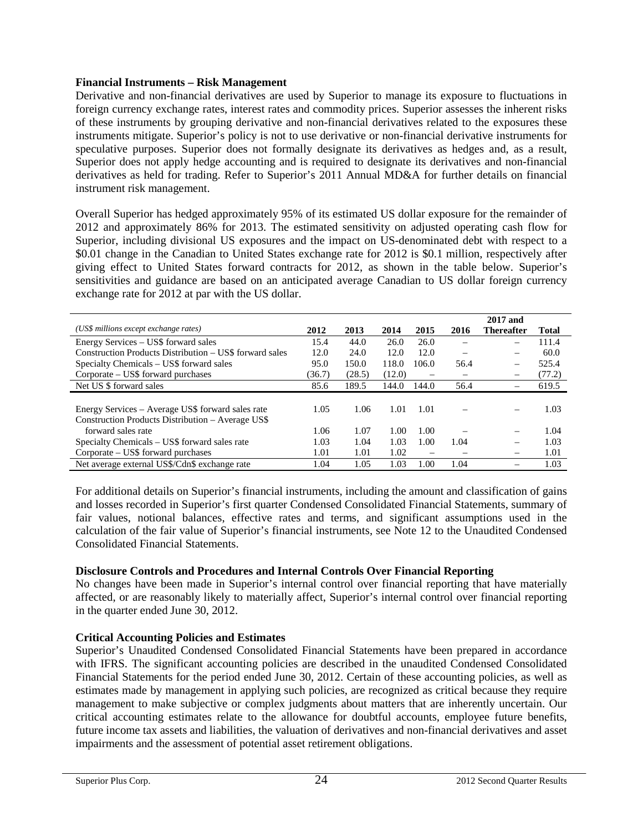## **Financial Instruments – Risk Management**

Derivative and non-financial derivatives are used by Superior to manage its exposure to fluctuations in foreign currency exchange rates, interest rates and commodity prices. Superior assesses the inherent risks of these instruments by grouping derivative and non-financial derivatives related to the exposures these instruments mitigate. Superior's policy is not to use derivative or non-financial derivative instruments for speculative purposes. Superior does not formally designate its derivatives as hedges and, as a result, Superior does not apply hedge accounting and is required to designate its derivatives and non-financial derivatives as held for trading. Refer to Superior's 2011 Annual MD&A for further details on financial instrument risk management.

Overall Superior has hedged approximately 95% of its estimated US dollar exposure for the remainder of 2012 and approximately 86% for 2013. The estimated sensitivity on adjusted operating cash flow for Superior, including divisional US exposures and the impact on US-denominated debt with respect to a \$0.01 change in the Canadian to United States exchange rate for 2012 is \$0.1 million, respectively after giving effect to United States forward contracts for 2012, as shown in the table below. Superior's sensitivities and guidance are based on an anticipated average Canadian to US dollar foreign currency exchange rate for 2012 at par with the US dollar.

|                                                         |        |        |        |                          |      | 2017 and                 |              |
|---------------------------------------------------------|--------|--------|--------|--------------------------|------|--------------------------|--------------|
| (US\$ millions except exchange rates)                   | 2012   | 2013   | 2014   | 2015                     | 2016 | <b>Thereafter</b>        | <b>Total</b> |
| Energy Services – US\$ forward sales                    | 15.4   | 44.0   | 26.0   | 26.0                     |      |                          | 111.4        |
| Construction Products Distribution – US\$ forward sales | 12.0   | 24.0   | 12.0   | 12.0                     |      | $\overline{\phantom{0}}$ | 60.0         |
| Specialty Chemicals – US\$ forward sales                | 95.0   | 150.0  | 118.0  | 106.0                    | 56.4 | $\overline{\phantom{0}}$ | 525.4        |
| Corporate $-$ US\$ forward purchases                    | (36.7) | (28.5) | (12.0) | $\overline{\phantom{m}}$ |      | $\overline{\phantom{m}}$ | (77.2)       |
| Net US \$ forward sales                                 | 85.6   | 189.5  | 144.0  | 144.0                    | 56.4 | -                        | 619.5        |
|                                                         |        |        |        |                          |      |                          |              |
| Energy Services – Average US\$ forward sales rate       | 1.05   | 1.06   | 1.01   | 1.01                     |      |                          | 1.03         |
| Construction Products Distribution – Average US\$       |        |        |        |                          |      |                          |              |
| forward sales rate                                      | 1.06   | 1.07   | 1.00   | 1.00                     |      |                          | 1.04         |
| Specialty Chemicals – US\$ forward sales rate           | 1.03   | 1.04   | 1.03   | 1.00                     | 1.04 | $\overline{\phantom{0}}$ | 1.03         |
| Corporate – US\$ forward purchases                      | 1.01   | 1.01   | 1.02   | -                        |      | $\overline{\phantom{m}}$ | 1.01         |
| Net average external US\$/Cdn\$ exchange rate           | 1.04   | 1.05   | 1.03   | 1.00                     | 1.04 |                          | 1.03         |

For additional details on Superior's financial instruments, including the amount and classification of gains and losses recorded in Superior's first quarter Condensed Consolidated Financial Statements, summary of fair values, notional balances, effective rates and terms, and significant assumptions used in the calculation of the fair value of Superior's financial instruments, see Note 12 to the Unaudited Condensed Consolidated Financial Statements.

# **Disclosure Controls and Procedures and Internal Controls Over Financial Reporting**

No changes have been made in Superior's internal control over financial reporting that have materially affected, or are reasonably likely to materially affect, Superior's internal control over financial reporting in the quarter ended June 30, 2012.

# **Critical Accounting Policies and Estimates**

Superior's Unaudited Condensed Consolidated Financial Statements have been prepared in accordance with IFRS. The significant accounting policies are described in the unaudited Condensed Consolidated Financial Statements for the period ended June 30, 2012. Certain of these accounting policies, as well as estimates made by management in applying such policies, are recognized as critical because they require management to make subjective or complex judgments about matters that are inherently uncertain. Our critical accounting estimates relate to the allowance for doubtful accounts, employee future benefits, future income tax assets and liabilities, the valuation of derivatives and non-financial derivatives and asset impairments and the assessment of potential asset retirement obligations.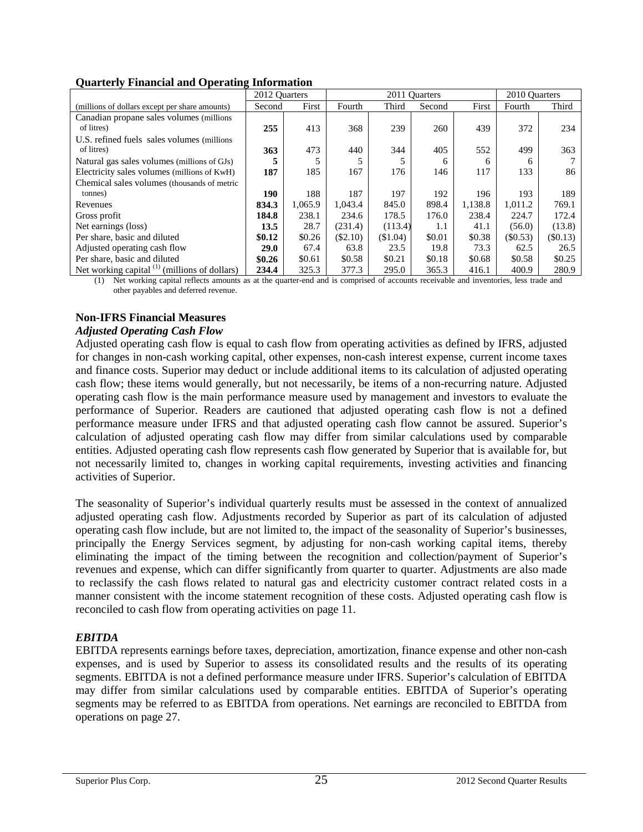|  |  | <b>Quarterly Financial and Operating Information</b> |
|--|--|------------------------------------------------------|
|  |  |                                                      |

|                                                 |             | 2012 Ouarters |          |          | 2011 Ouarters |         | 2010 Ouarters |            |
|-------------------------------------------------|-------------|---------------|----------|----------|---------------|---------|---------------|------------|
| (millions of dollars except per share amounts)  | Second      | First         | Fourth   | Third    | Second        | First   | Fourth        | Third      |
| Canadian propane sales volumes (millions)       |             |               |          |          |               |         |               |            |
| of litres)                                      | 255         | 413           | 368      | 239      | 260           | 439     | 372           | 234        |
| U.S. refined fuels sales volumes (millions)     |             |               |          |          |               |         |               |            |
| of litres)                                      | 363         | 473           | 440      | 344      | 405           | 552     | 499           | 363        |
| Natural gas sales volumes (millions of GJs)     |             |               |          |          | 6             | 6       | 6             |            |
| Electricity sales volumes (millions of KwH)     | 187         | 185           | 167      | 176      | 146           | 117     | 133           | 86         |
| Chemical sales volumes (thousands of metric     |             |               |          |          |               |         |               |            |
| tonnes)                                         | 190         | 188           | 187      | 197      | 192           | 196     | 193           | 189        |
| Revenues                                        | 834.3       | 1,065.9       | 1,043.4  | 845.0    | 898.4         | 1,138.8 | 1.011.2       | 769.1      |
| Gross profit                                    | 184.8       | 238.1         | 234.6    | 178.5    | 176.0         | 238.4   | 224.7         | 172.4      |
| Net earnings (loss)                             | 13.5        | 28.7          | (231.4)  | (113.4)  | 1.1           | 41.1    | (56.0)        | (13.8)     |
| Per share, basic and diluted                    | \$0.12      | \$0.26        | (\$2.10) | (\$1.04) | \$0.01        | \$0.38  | $(\$0.53)$    | $(\$0.13)$ |
| Adjusted operating cash flow                    | <b>29.0</b> | 67.4          | 63.8     | 23.5     | 19.8          | 73.3    | 62.5          | 26.5       |
| Per share, basic and diluted                    | \$0.26      | \$0.61        | \$0.58   | \$0.21   | \$0.18        | \$0.68  | \$0.58        | \$0.25     |
| Net working capital $(1)$ (millions of dollars) | 234.4       | 325.3         | 377.3    | 295.0    | 365.3         | 416.1   | 400.9         | 280.9      |

(1) Net working capital reflects amounts as at the quarter-end and is comprised of accounts receivable and inventories, less trade and other payables and deferred revenue.

# **Non-IFRS Financial Measures**

# *Adjusted Operating Cash Flow*

Adjusted operating cash flow is equal to cash flow from operating activities as defined by IFRS, adjusted for changes in non-cash working capital, other expenses, non-cash interest expense, current income taxes and finance costs. Superior may deduct or include additional items to its calculation of adjusted operating cash flow; these items would generally, but not necessarily, be items of a non-recurring nature. Adjusted operating cash flow is the main performance measure used by management and investors to evaluate the performance of Superior. Readers are cautioned that adjusted operating cash flow is not a defined performance measure under IFRS and that adjusted operating cash flow cannot be assured. Superior's calculation of adjusted operating cash flow may differ from similar calculations used by comparable entities. Adjusted operating cash flow represents cash flow generated by Superior that is available for, but not necessarily limited to, changes in working capital requirements, investing activities and financing activities of Superior.

The seasonality of Superior's individual quarterly results must be assessed in the context of annualized adjusted operating cash flow. Adjustments recorded by Superior as part of its calculation of adjusted operating cash flow include, but are not limited to, the impact of the seasonality of Superior's businesses, principally the Energy Services segment, by adjusting for non-cash working capital items, thereby eliminating the impact of the timing between the recognition and collection/payment of Superior's revenues and expense, which can differ significantly from quarter to quarter. Adjustments are also made to reclassify the cash flows related to natural gas and electricity customer contract related costs in a manner consistent with the income statement recognition of these costs. Adjusted operating cash flow is reconciled to cash flow from operating activities on page 11.

# *EBITDA*

EBITDA represents earnings before taxes, depreciation, amortization, finance expense and other non-cash expenses, and is used by Superior to assess its consolidated results and the results of its operating segments. EBITDA is not a defined performance measure under IFRS. Superior's calculation of EBITDA may differ from similar calculations used by comparable entities. EBITDA of Superior's operating segments may be referred to as EBITDA from operations. Net earnings are reconciled to EBITDA from operations on page 27.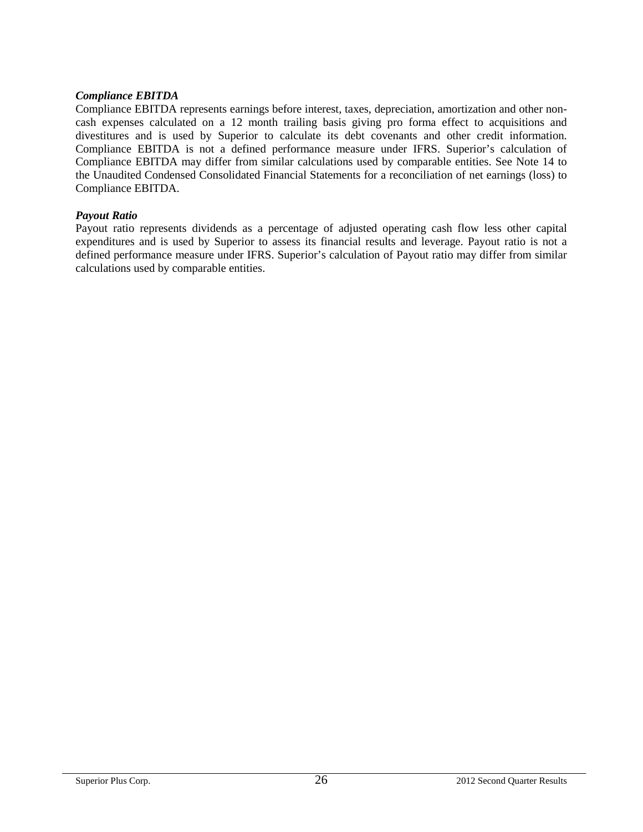## *Compliance EBITDA*

Compliance EBITDA represents earnings before interest, taxes, depreciation, amortization and other noncash expenses calculated on a 12 month trailing basis giving pro forma effect to acquisitions and divestitures and is used by Superior to calculate its debt covenants and other credit information. Compliance EBITDA is not a defined performance measure under IFRS. Superior's calculation of Compliance EBITDA may differ from similar calculations used by comparable entities. See Note 14 to the Unaudited Condensed Consolidated Financial Statements for a reconciliation of net earnings (loss) to Compliance EBITDA.

## *Payout Ratio*

Payout ratio represents dividends as a percentage of adjusted operating cash flow less other capital expenditures and is used by Superior to assess its financial results and leverage. Payout ratio is not a defined performance measure under IFRS. Superior's calculation of Payout ratio may differ from similar calculations used by comparable entities.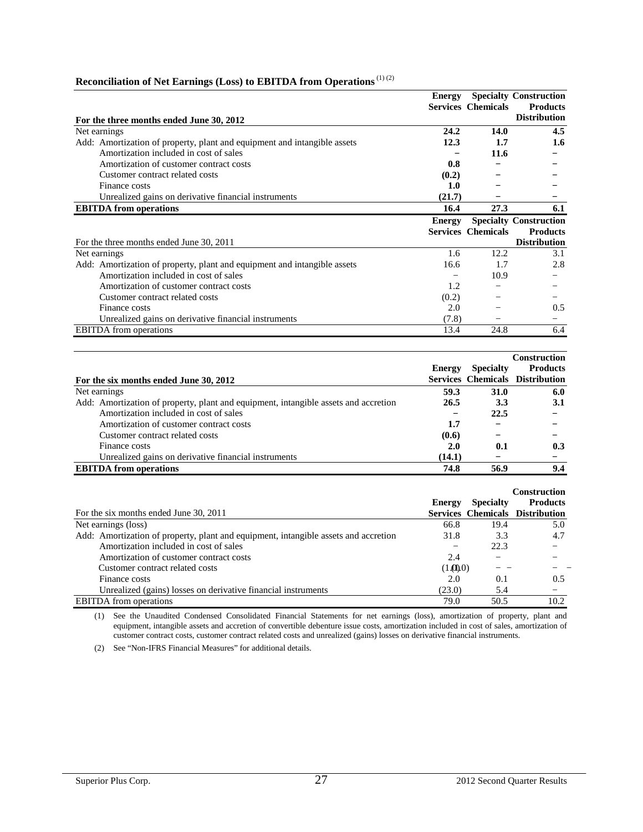## **Reconciliation of Net Earnings (Loss) to EBITDA from Operations** (1) (2)

|                                                                          | Energy | <b>Services Chemicals</b> | <b>Specialty Construction</b><br><b>Products</b> |
|--------------------------------------------------------------------------|--------|---------------------------|--------------------------------------------------|
| For the three months ended June 30, 2012                                 |        |                           | <b>Distribution</b>                              |
| Net earnings                                                             | 24.2   | 14.0                      | 4.5                                              |
| Add: Amortization of property, plant and equipment and intangible assets | 12.3   | 1.7                       | 1.6                                              |
| Amortization included in cost of sales                                   |        | 11.6                      |                                                  |
| Amortization of customer contract costs                                  | 0.8    |                           |                                                  |
| Customer contract related costs                                          | (0.2)  |                           |                                                  |
| Finance costs                                                            | 1.0    |                           |                                                  |
| Unrealized gains on derivative financial instruments                     | (21.7) |                           |                                                  |
| <b>EBITDA</b> from operations                                            | 16.4   | 27.3                      | 6.1                                              |
|                                                                          |        |                           |                                                  |
|                                                                          | Energy |                           | <b>Specialty Construction</b>                    |
|                                                                          |        | <b>Services Chemicals</b> | <b>Products</b>                                  |
| For the three months ended June 30, 2011                                 |        |                           | <b>Distribution</b>                              |
| Net earnings                                                             | 1.6    | 12.2                      | 3.1                                              |
| Add: Amortization of property, plant and equipment and intangible assets | 16.6   | 1.7                       | 2.8                                              |
| Amortization included in cost of sales                                   |        | 10.9                      |                                                  |
| Amortization of customer contract costs                                  | 1.2    |                           |                                                  |
| Customer contract related costs                                          | (0.2)  |                           |                                                  |
| Finance costs                                                            | 2.0    |                           | 0.5                                              |
| Unrealized gains on derivative financial instruments                     | (7.8)  |                           |                                                  |

|                                                                                     |        |                  | <b>Construction</b>                    |
|-------------------------------------------------------------------------------------|--------|------------------|----------------------------------------|
|                                                                                     | Energy | <b>Specialty</b> | <b>Products</b>                        |
| For the six months ended June 30, 2012                                              |        |                  | <b>Services Chemicals Distribution</b> |
| Net earnings                                                                        | 59.3   | 31.0             | 6.0                                    |
| Add: Amortization of property, plant and equipment, intangible assets and accretion | 26.5   | 3.3              | 3.1                                    |
| Amortization included in cost of sales                                              |        | 22.5             |                                        |
| Amortization of customer contract costs                                             | 1.7    |                  |                                        |
| Customer contract related costs                                                     | (0.6)  |                  |                                        |
| Finance costs                                                                       | 2.0    | 0.1              | 0.3                                    |
| Unrealized gains on derivative financial instruments                                | (14.1) |                  |                                        |
| <b>EBITDA</b> from operations                                                       | 74.8   | 56.9             | 9.4                                    |

|                                                                                     |          |                  | <b>Construction</b>                    |
|-------------------------------------------------------------------------------------|----------|------------------|----------------------------------------|
|                                                                                     | Energy   | <b>Specialty</b> | <b>Products</b>                        |
| For the six months ended June 30, 2011                                              |          |                  | <b>Services Chemicals Distribution</b> |
| Net earnings (loss)                                                                 | 66.8     | 19.4             | 5.0                                    |
| Add: Amortization of property, plant and equipment, intangible assets and accretion | 31.8     | 3.3              | 4.7                                    |
| Amortization included in cost of sales                                              |          | 22.3             |                                        |
| Amortization of customer contract costs                                             | 2.4      |                  |                                        |
| Customer contract related costs                                                     | (1.00.0) |                  |                                        |
| Finance costs                                                                       | 2.0      | 0.1              | 0.5                                    |
| Unrealized (gains) losses on derivative financial instruments                       | (23.0)   | 5.4              |                                        |
| <b>EBITDA</b> from operations                                                       | 79.0     | 50.5             | 10.2                                   |

(1) See the Unaudited Condensed Consolidated Financial Statements for net earnings (loss), amortization of property, plant and equipment, intangible assets and accretion of convertible debenture issue costs, amortization included in cost of sales, amortization of customer contract costs, customer contract related costs and unrealized (gains) losses on derivative financial instruments.

(2) See "Non-IFRS Financial Measures" for additional details.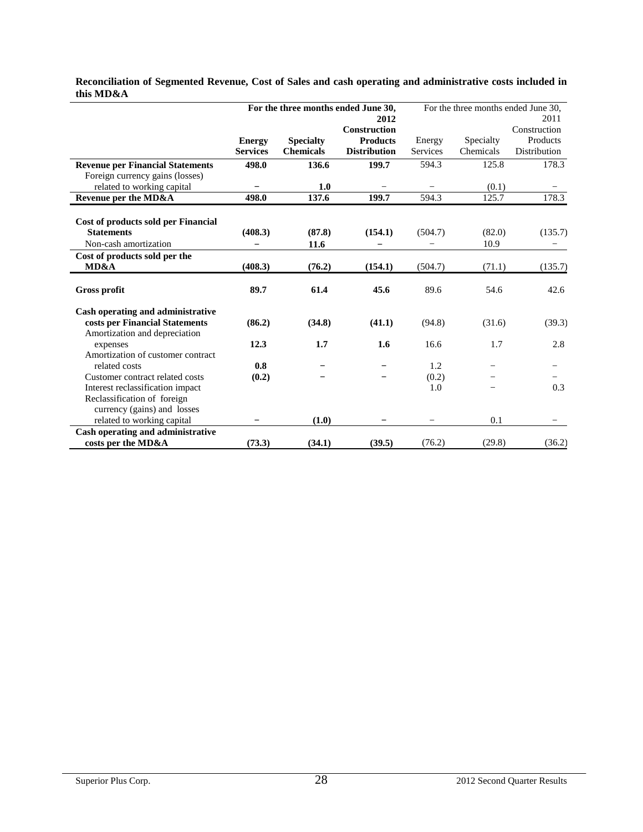|                                                          | For the three months ended June 30, |                  |                                        | For the three months ended June 30, |           |                      |
|----------------------------------------------------------|-------------------------------------|------------------|----------------------------------------|-------------------------------------|-----------|----------------------|
|                                                          |                                     |                  | 2012                                   |                                     |           | 2011<br>Construction |
|                                                          | <b>Energy</b>                       | <b>Specialty</b> | <b>Construction</b><br><b>Products</b> | Energy                              | Specialty | Products             |
|                                                          | <b>Services</b>                     | <b>Chemicals</b> | <b>Distribution</b>                    | Services                            | Chemicals | Distribution         |
| <b>Revenue per Financial Statements</b>                  | 498.0                               | 136.6            | 199.7                                  | 594.3                               | 125.8     | 178.3                |
| Foreign currency gains (losses)                          |                                     |                  |                                        |                                     |           |                      |
| related to working capital                               |                                     | 1.0              |                                        |                                     | (0.1)     |                      |
| Revenue per the MD&A                                     | 498.0                               | 137.6            | 199.7                                  | 594.3                               | 125.7     | 178.3                |
|                                                          |                                     |                  |                                        |                                     |           |                      |
| Cost of products sold per Financial<br><b>Statements</b> |                                     |                  |                                        | (504.7)                             |           |                      |
|                                                          | (408.3)                             | (87.8)           | (154.1)                                |                                     | (82.0)    | (135.7)              |
| Non-cash amortization                                    |                                     | 11.6             |                                        |                                     | 10.9      |                      |
| Cost of products sold per the<br>MD&A                    | (408.3)                             | (76.2)           | (154.1)                                | (504.7)                             | (71.1)    | (135.7)              |
|                                                          |                                     |                  |                                        |                                     |           |                      |
| <b>Gross profit</b>                                      | 89.7                                | 61.4             | 45.6                                   | 89.6                                | 54.6      | 42.6                 |
| Cash operating and administrative                        |                                     |                  |                                        |                                     |           |                      |
| costs per Financial Statements                           | (86.2)                              | (34.8)           | (41.1)                                 | (94.8)                              | (31.6)    | (39.3)               |
| Amortization and depreciation                            |                                     |                  |                                        |                                     |           |                      |
| expenses                                                 | 12.3                                | 1.7              | 1.6                                    | 16.6                                | 1.7       | 2.8                  |
| Amortization of customer contract                        |                                     |                  |                                        |                                     |           |                      |
| related costs                                            | 0.8                                 |                  |                                        | 1.2                                 |           |                      |
| Customer contract related costs                          | (0.2)                               |                  |                                        | (0.2)                               |           |                      |
| Interest reclassification impact                         |                                     |                  |                                        | 1.0                                 |           | 0.3                  |
| Reclassification of foreign                              |                                     |                  |                                        |                                     |           |                      |
| currency (gains) and losses                              |                                     |                  |                                        |                                     |           |                      |
| related to working capital                               |                                     | (1.0)            |                                        |                                     | 0.1       |                      |
| Cash operating and administrative                        |                                     |                  |                                        |                                     |           |                      |
| costs per the MD&A                                       | (73.3)                              | (34.1)           | (39.5)                                 | (76.2)                              | (29.8)    | (36.2)               |

**Reconciliation of Segmented Revenue, Cost of Sales and cash operating and administrative costs included in this MD&A**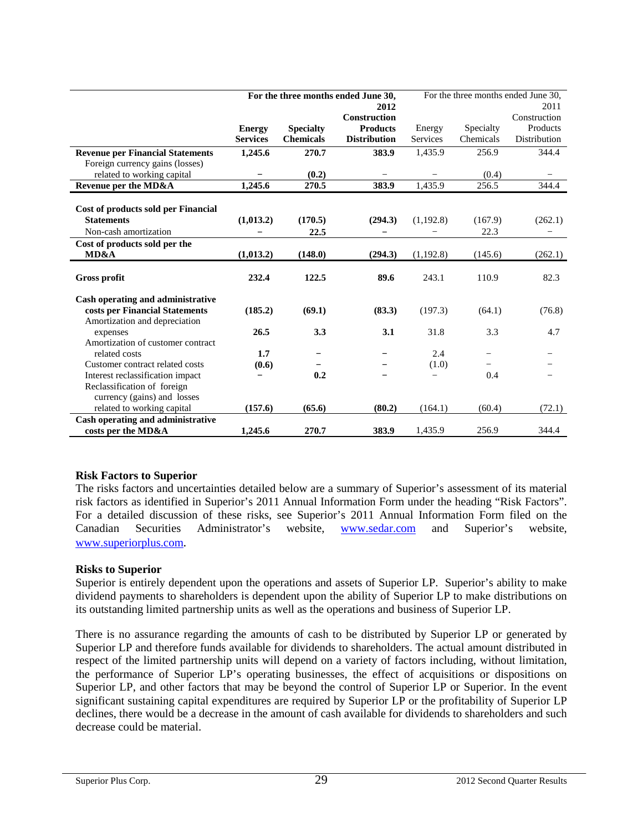|                                         | For the three months ended June 30, |                  |                     | For the three months ended June 30, |           |              |
|-----------------------------------------|-------------------------------------|------------------|---------------------|-------------------------------------|-----------|--------------|
|                                         |                                     |                  | 2012                |                                     |           | 2011         |
|                                         |                                     |                  | <b>Construction</b> |                                     |           | Construction |
|                                         | <b>Energy</b>                       | <b>Specialty</b> | <b>Products</b>     | Energy                              | Specialty | Products     |
|                                         | <b>Services</b>                     | <b>Chemicals</b> | <b>Distribution</b> | Services                            | Chemicals | Distribution |
| <b>Revenue per Financial Statements</b> | 1,245.6                             | 270.7            | 383.9               | 1,435.9                             | 256.9     | 344.4        |
| Foreign currency gains (losses)         |                                     |                  |                     |                                     |           |              |
| related to working capital              |                                     | (0.2)            |                     |                                     | (0.4)     |              |
| Revenue per the MD&A                    | 1,245.6                             | 270.5            | 383.9               | 1,435.9                             | 256.5     | 344.4        |
|                                         |                                     |                  |                     |                                     |           |              |
| Cost of products sold per Financial     |                                     |                  |                     |                                     |           |              |
| <b>Statements</b>                       | (1,013.2)                           | (170.5)          | (294.3)             | (1,192.8)                           | (167.9)   | (262.1)      |
| Non-cash amortization                   |                                     | 22.5             |                     |                                     | 22.3      |              |
| Cost of products sold per the           |                                     |                  |                     |                                     |           |              |
| MD&A                                    | (1,013.2)                           | (148.0)          | (294.3)             | (1,192.8)                           | (145.6)   | (262.1)      |
|                                         |                                     |                  |                     |                                     |           |              |
| <b>Gross profit</b>                     | 232.4                               | 122.5            | 89.6                | 243.1                               | 110.9     | 82.3         |
| Cash operating and administrative       |                                     |                  |                     |                                     |           |              |
| costs per Financial Statements          | (185.2)                             | (69.1)           | (83.3)              | (197.3)                             | (64.1)    | (76.8)       |
| Amortization and depreciation           |                                     |                  |                     |                                     |           |              |
| expenses                                | 26.5                                | 3.3              | 3.1                 | 31.8                                | 3.3       | 4.7          |
| Amortization of customer contract       |                                     |                  |                     |                                     |           |              |
| related costs                           | 1.7                                 |                  |                     | 2.4                                 |           |              |
| Customer contract related costs         | (0.6)                               |                  |                     | (1.0)                               |           |              |
| Interest reclassification impact        |                                     | 0.2              |                     |                                     | 0.4       |              |
| Reclassification of foreign             |                                     |                  |                     |                                     |           |              |
| currency (gains) and losses             |                                     |                  |                     |                                     |           |              |
| related to working capital              | (157.6)                             | (65.6)           | (80.2)              | (164.1)                             | (60.4)    | (72.1)       |
| Cash operating and administrative       |                                     |                  |                     |                                     |           |              |
| costs per the MD&A                      | 1,245.6                             | 270.7            | 383.9               | 1,435.9                             | 256.9     | 344.4        |

# **Risk Factors to Superior**

The risks factors and uncertainties detailed below are a summary of Superior's assessment of its material risk factors as identified in Superior's 2011 Annual Information Form under the heading "Risk Factors". For a detailed discussion of these risks, see Superior's 2011 Annual Information Form filed on the Canadian Securities Administrator's website, www.sedar.com and Superior's website, www.superiorplus.com.

# **Risks to Superior**

Superior is entirely dependent upon the operations and assets of Superior LP. Superior's ability to make dividend payments to shareholders is dependent upon the ability of Superior LP to make distributions on its outstanding limited partnership units as well as the operations and business of Superior LP.

There is no assurance regarding the amounts of cash to be distributed by Superior LP or generated by Superior LP and therefore funds available for dividends to shareholders. The actual amount distributed in respect of the limited partnership units will depend on a variety of factors including, without limitation, the performance of Superior LP's operating businesses, the effect of acquisitions or dispositions on Superior LP, and other factors that may be beyond the control of Superior LP or Superior. In the event significant sustaining capital expenditures are required by Superior LP or the profitability of Superior LP declines, there would be a decrease in the amount of cash available for dividends to shareholders and such decrease could be material.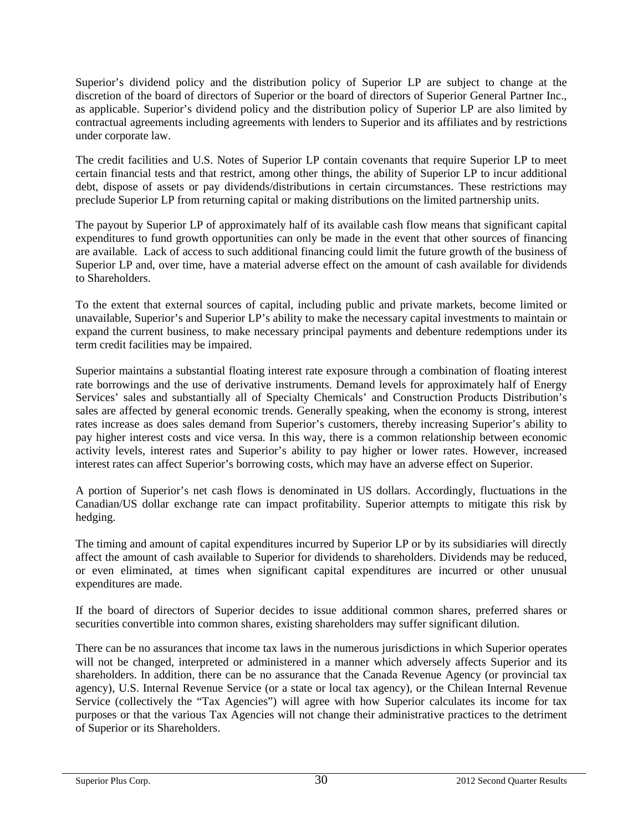Superior's dividend policy and the distribution policy of Superior LP are subject to change at the discretion of the board of directors of Superior or the board of directors of Superior General Partner Inc., as applicable. Superior's dividend policy and the distribution policy of Superior LP are also limited by contractual agreements including agreements with lenders to Superior and its affiliates and by restrictions under corporate law.

The credit facilities and U.S. Notes of Superior LP contain covenants that require Superior LP to meet certain financial tests and that restrict, among other things, the ability of Superior LP to incur additional debt, dispose of assets or pay dividends/distributions in certain circumstances. These restrictions may preclude Superior LP from returning capital or making distributions on the limited partnership units.

The payout by Superior LP of approximately half of its available cash flow means that significant capital expenditures to fund growth opportunities can only be made in the event that other sources of financing are available. Lack of access to such additional financing could limit the future growth of the business of Superior LP and, over time, have a material adverse effect on the amount of cash available for dividends to Shareholders.

To the extent that external sources of capital, including public and private markets, become limited or unavailable, Superior's and Superior LP's ability to make the necessary capital investments to maintain or expand the current business, to make necessary principal payments and debenture redemptions under its term credit facilities may be impaired.

Superior maintains a substantial floating interest rate exposure through a combination of floating interest rate borrowings and the use of derivative instruments. Demand levels for approximately half of Energy Services' sales and substantially all of Specialty Chemicals' and Construction Products Distribution's sales are affected by general economic trends. Generally speaking, when the economy is strong, interest rates increase as does sales demand from Superior's customers, thereby increasing Superior's ability to pay higher interest costs and vice versa. In this way, there is a common relationship between economic activity levels, interest rates and Superior's ability to pay higher or lower rates. However, increased interest rates can affect Superior's borrowing costs, which may have an adverse effect on Superior.

A portion of Superior's net cash flows is denominated in US dollars. Accordingly, fluctuations in the Canadian/US dollar exchange rate can impact profitability. Superior attempts to mitigate this risk by hedging.

The timing and amount of capital expenditures incurred by Superior LP or by its subsidiaries will directly affect the amount of cash available to Superior for dividends to shareholders. Dividends may be reduced, or even eliminated, at times when significant capital expenditures are incurred or other unusual expenditures are made.

If the board of directors of Superior decides to issue additional common shares, preferred shares or securities convertible into common shares, existing shareholders may suffer significant dilution.

There can be no assurances that income tax laws in the numerous jurisdictions in which Superior operates will not be changed, interpreted or administered in a manner which adversely affects Superior and its shareholders. In addition, there can be no assurance that the Canada Revenue Agency (or provincial tax agency), U.S. Internal Revenue Service (or a state or local tax agency), or the Chilean Internal Revenue Service (collectively the "Tax Agencies") will agree with how Superior calculates its income for tax purposes or that the various Tax Agencies will not change their administrative practices to the detriment of Superior or its Shareholders.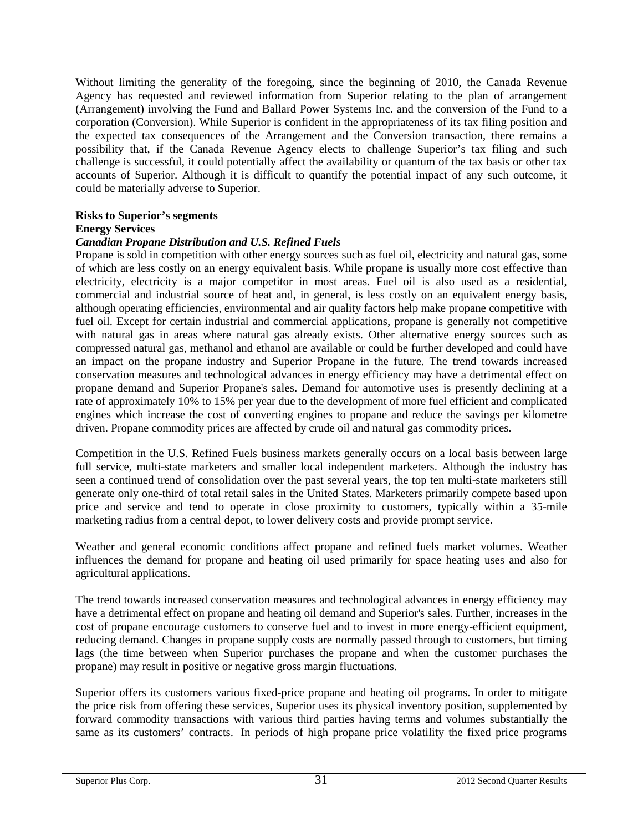Without limiting the generality of the foregoing, since the beginning of 2010, the Canada Revenue Agency has requested and reviewed information from Superior relating to the plan of arrangement (Arrangement) involving the Fund and Ballard Power Systems Inc. and the conversion of the Fund to a corporation (Conversion). While Superior is confident in the appropriateness of its tax filing position and the expected tax consequences of the Arrangement and the Conversion transaction, there remains a possibility that, if the Canada Revenue Agency elects to challenge Superior's tax filing and such challenge is successful, it could potentially affect the availability or quantum of the tax basis or other tax accounts of Superior. Although it is difficult to quantify the potential impact of any such outcome, it could be materially adverse to Superior.

## **Risks to Superior's segments**

## **Energy Services**

## *Canadian Propane Distribution and U.S. Refined Fuels*

Propane is sold in competition with other energy sources such as fuel oil, electricity and natural gas, some of which are less costly on an energy equivalent basis. While propane is usually more cost effective than electricity, electricity is a major competitor in most areas. Fuel oil is also used as a residential, commercial and industrial source of heat and, in general, is less costly on an equivalent energy basis, although operating efficiencies, environmental and air quality factors help make propane competitive with fuel oil. Except for certain industrial and commercial applications, propane is generally not competitive with natural gas in areas where natural gas already exists. Other alternative energy sources such as compressed natural gas, methanol and ethanol are available or could be further developed and could have an impact on the propane industry and Superior Propane in the future. The trend towards increased conservation measures and technological advances in energy efficiency may have a detrimental effect on propane demand and Superior Propane's sales. Demand for automotive uses is presently declining at a rate of approximately 10% to 15% per year due to the development of more fuel efficient and complicated engines which increase the cost of converting engines to propane and reduce the savings per kilometre driven. Propane commodity prices are affected by crude oil and natural gas commodity prices.

Competition in the U.S. Refined Fuels business markets generally occurs on a local basis between large full service, multi-state marketers and smaller local independent marketers. Although the industry has seen a continued trend of consolidation over the past several years, the top ten multi-state marketers still generate only one-third of total retail sales in the United States. Marketers primarily compete based upon price and service and tend to operate in close proximity to customers, typically within a 35-mile marketing radius from a central depot, to lower delivery costs and provide prompt service.

Weather and general economic conditions affect propane and refined fuels market volumes. Weather influences the demand for propane and heating oil used primarily for space heating uses and also for agricultural applications.

The trend towards increased conservation measures and technological advances in energy efficiency may have a detrimental effect on propane and heating oil demand and Superior's sales. Further, increases in the cost of propane encourage customers to conserve fuel and to invest in more energy-efficient equipment, reducing demand. Changes in propane supply costs are normally passed through to customers, but timing lags (the time between when Superior purchases the propane and when the customer purchases the propane) may result in positive or negative gross margin fluctuations.

Superior offers its customers various fixed-price propane and heating oil programs. In order to mitigate the price risk from offering these services, Superior uses its physical inventory position, supplemented by forward commodity transactions with various third parties having terms and volumes substantially the same as its customers' contracts. In periods of high propane price volatility the fixed price programs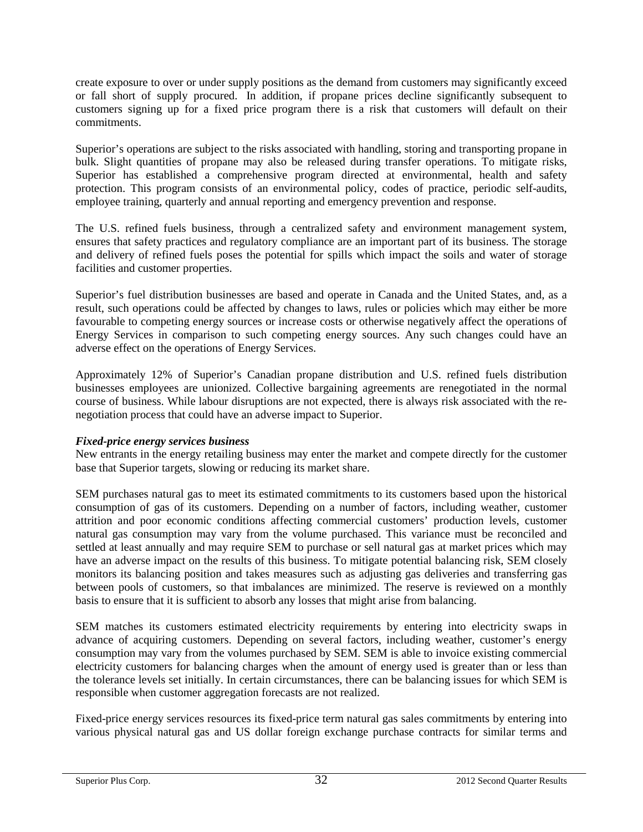create exposure to over or under supply positions as the demand from customers may significantly exceed or fall short of supply procured. In addition, if propane prices decline significantly subsequent to customers signing up for a fixed price program there is a risk that customers will default on their commitments.

Superior's operations are subject to the risks associated with handling, storing and transporting propane in bulk. Slight quantities of propane may also be released during transfer operations. To mitigate risks, Superior has established a comprehensive program directed at environmental, health and safety protection. This program consists of an environmental policy, codes of practice, periodic self-audits, employee training, quarterly and annual reporting and emergency prevention and response.

The U.S. refined fuels business, through a centralized safety and environment management system, ensures that safety practices and regulatory compliance are an important part of its business. The storage and delivery of refined fuels poses the potential for spills which impact the soils and water of storage facilities and customer properties.

Superior's fuel distribution businesses are based and operate in Canada and the United States, and, as a result, such operations could be affected by changes to laws, rules or policies which may either be more favourable to competing energy sources or increase costs or otherwise negatively affect the operations of Energy Services in comparison to such competing energy sources. Any such changes could have an adverse effect on the operations of Energy Services.

Approximately 12% of Superior's Canadian propane distribution and U.S. refined fuels distribution businesses employees are unionized. Collective bargaining agreements are renegotiated in the normal course of business. While labour disruptions are not expected, there is always risk associated with the renegotiation process that could have an adverse impact to Superior.

# *Fixed-price energy services business*

New entrants in the energy retailing business may enter the market and compete directly for the customer base that Superior targets, slowing or reducing its market share.

SEM purchases natural gas to meet its estimated commitments to its customers based upon the historical consumption of gas of its customers. Depending on a number of factors, including weather, customer attrition and poor economic conditions affecting commercial customers' production levels, customer natural gas consumption may vary from the volume purchased. This variance must be reconciled and settled at least annually and may require SEM to purchase or sell natural gas at market prices which may have an adverse impact on the results of this business. To mitigate potential balancing risk, SEM closely monitors its balancing position and takes measures such as adjusting gas deliveries and transferring gas between pools of customers, so that imbalances are minimized. The reserve is reviewed on a monthly basis to ensure that it is sufficient to absorb any losses that might arise from balancing.

SEM matches its customers estimated electricity requirements by entering into electricity swaps in advance of acquiring customers. Depending on several factors, including weather, customer's energy consumption may vary from the volumes purchased by SEM. SEM is able to invoice existing commercial electricity customers for balancing charges when the amount of energy used is greater than or less than the tolerance levels set initially. In certain circumstances, there can be balancing issues for which SEM is responsible when customer aggregation forecasts are not realized.

Fixed-price energy services resources its fixed-price term natural gas sales commitments by entering into various physical natural gas and US dollar foreign exchange purchase contracts for similar terms and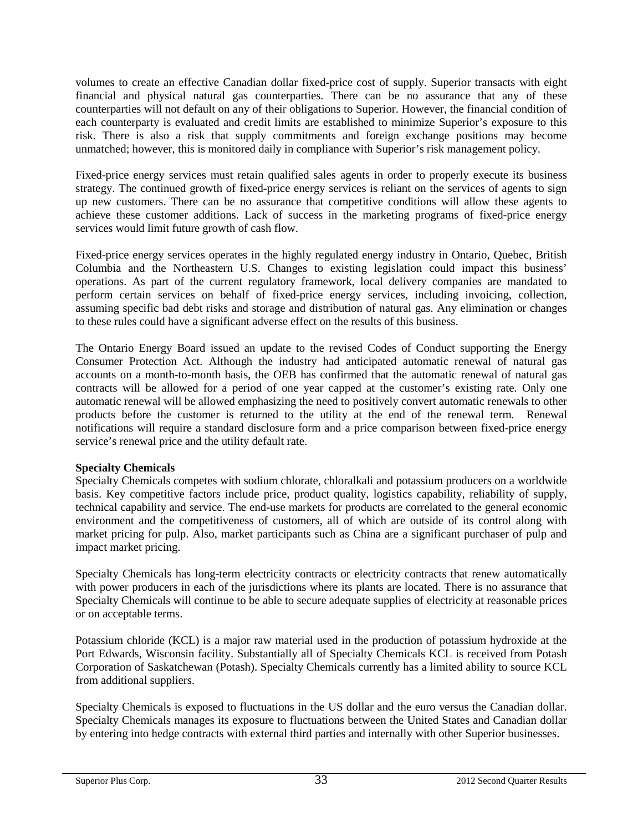volumes to create an effective Canadian dollar fixed-price cost of supply. Superior transacts with eight financial and physical natural gas counterparties. There can be no assurance that any of these counterparties will not default on any of their obligations to Superior. However, the financial condition of each counterparty is evaluated and credit limits are established to minimize Superior's exposure to this risk. There is also a risk that supply commitments and foreign exchange positions may become unmatched; however, this is monitored daily in compliance with Superior's risk management policy.

Fixed-price energy services must retain qualified sales agents in order to properly execute its business strategy. The continued growth of fixed-price energy services is reliant on the services of agents to sign up new customers. There can be no assurance that competitive conditions will allow these agents to achieve these customer additions. Lack of success in the marketing programs of fixed-price energy services would limit future growth of cash flow.

Fixed-price energy services operates in the highly regulated energy industry in Ontario, Quebec, British Columbia and the Northeastern U.S. Changes to existing legislation could impact this business' operations. As part of the current regulatory framework, local delivery companies are mandated to perform certain services on behalf of fixed-price energy services, including invoicing, collection, assuming specific bad debt risks and storage and distribution of natural gas. Any elimination or changes to these rules could have a significant adverse effect on the results of this business.

The Ontario Energy Board issued an update to the revised Codes of Conduct supporting the Energy Consumer Protection Act. Although the industry had anticipated automatic renewal of natural gas accounts on a month-to-month basis, the OEB has confirmed that the automatic renewal of natural gas contracts will be allowed for a period of one year capped at the customer's existing rate. Only one automatic renewal will be allowed emphasizing the need to positively convert automatic renewals to other products before the customer is returned to the utility at the end of the renewal term. Renewal notifications will require a standard disclosure form and a price comparison between fixed-price energy service's renewal price and the utility default rate.

# **Specialty Chemicals**

Specialty Chemicals competes with sodium chlorate, chloralkali and potassium producers on a worldwide basis. Key competitive factors include price, product quality, logistics capability, reliability of supply, technical capability and service. The end-use markets for products are correlated to the general economic environment and the competitiveness of customers, all of which are outside of its control along with market pricing for pulp. Also, market participants such as China are a significant purchaser of pulp and impact market pricing.

Specialty Chemicals has long-term electricity contracts or electricity contracts that renew automatically with power producers in each of the jurisdictions where its plants are located. There is no assurance that Specialty Chemicals will continue to be able to secure adequate supplies of electricity at reasonable prices or on acceptable terms.

Potassium chloride (KCL) is a major raw material used in the production of potassium hydroxide at the Port Edwards, Wisconsin facility. Substantially all of Specialty Chemicals KCL is received from Potash Corporation of Saskatchewan (Potash). Specialty Chemicals currently has a limited ability to source KCL from additional suppliers.

Specialty Chemicals is exposed to fluctuations in the US dollar and the euro versus the Canadian dollar. Specialty Chemicals manages its exposure to fluctuations between the United States and Canadian dollar by entering into hedge contracts with external third parties and internally with other Superior businesses.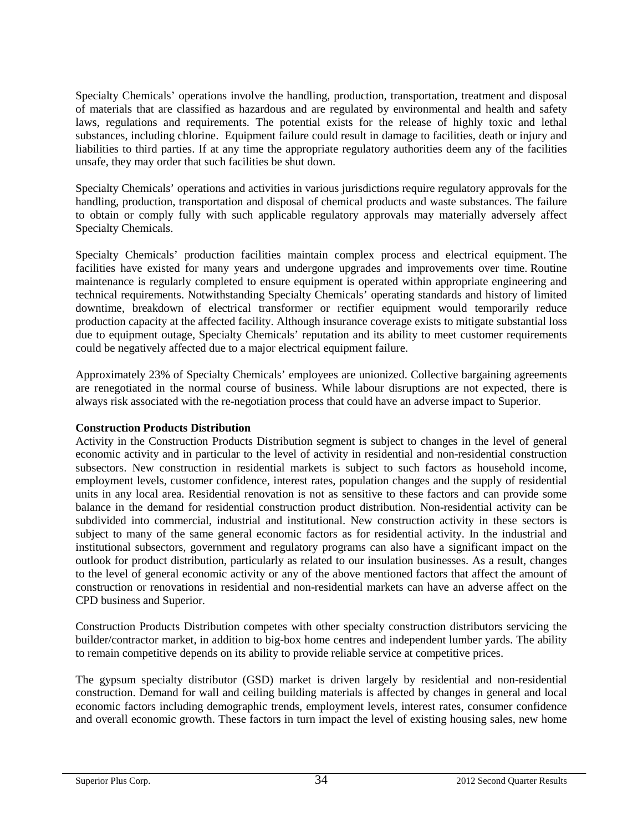Specialty Chemicals' operations involve the handling, production, transportation, treatment and disposal of materials that are classified as hazardous and are regulated by environmental and health and safety laws, regulations and requirements. The potential exists for the release of highly toxic and lethal substances, including chlorine. Equipment failure could result in damage to facilities, death or injury and liabilities to third parties. If at any time the appropriate regulatory authorities deem any of the facilities unsafe, they may order that such facilities be shut down.

Specialty Chemicals' operations and activities in various jurisdictions require regulatory approvals for the handling, production, transportation and disposal of chemical products and waste substances. The failure to obtain or comply fully with such applicable regulatory approvals may materially adversely affect Specialty Chemicals.

Specialty Chemicals' production facilities maintain complex process and electrical equipment. The facilities have existed for many years and undergone upgrades and improvements over time. Routine maintenance is regularly completed to ensure equipment is operated within appropriate engineering and technical requirements. Notwithstanding Specialty Chemicals' operating standards and history of limited downtime, breakdown of electrical transformer or rectifier equipment would temporarily reduce production capacity at the affected facility. Although insurance coverage exists to mitigate substantial loss due to equipment outage, Specialty Chemicals' reputation and its ability to meet customer requirements could be negatively affected due to a major electrical equipment failure.

Approximately 23% of Specialty Chemicals' employees are unionized. Collective bargaining agreements are renegotiated in the normal course of business. While labour disruptions are not expected, there is always risk associated with the re-negotiation process that could have an adverse impact to Superior.

# **Construction Products Distribution**

Activity in the Construction Products Distribution segment is subject to changes in the level of general economic activity and in particular to the level of activity in residential and non-residential construction subsectors. New construction in residential markets is subject to such factors as household income, employment levels, customer confidence, interest rates, population changes and the supply of residential units in any local area. Residential renovation is not as sensitive to these factors and can provide some balance in the demand for residential construction product distribution. Non-residential activity can be subdivided into commercial, industrial and institutional. New construction activity in these sectors is subject to many of the same general economic factors as for residential activity. In the industrial and institutional subsectors, government and regulatory programs can also have a significant impact on the outlook for product distribution, particularly as related to our insulation businesses. As a result, changes to the level of general economic activity or any of the above mentioned factors that affect the amount of construction or renovations in residential and non-residential markets can have an adverse affect on the CPD business and Superior.

Construction Products Distribution competes with other specialty construction distributors servicing the builder/contractor market, in addition to big-box home centres and independent lumber yards. The ability to remain competitive depends on its ability to provide reliable service at competitive prices.

The gypsum specialty distributor (GSD) market is driven largely by residential and non-residential construction. Demand for wall and ceiling building materials is affected by changes in general and local economic factors including demographic trends, employment levels, interest rates, consumer confidence and overall economic growth. These factors in turn impact the level of existing housing sales, new home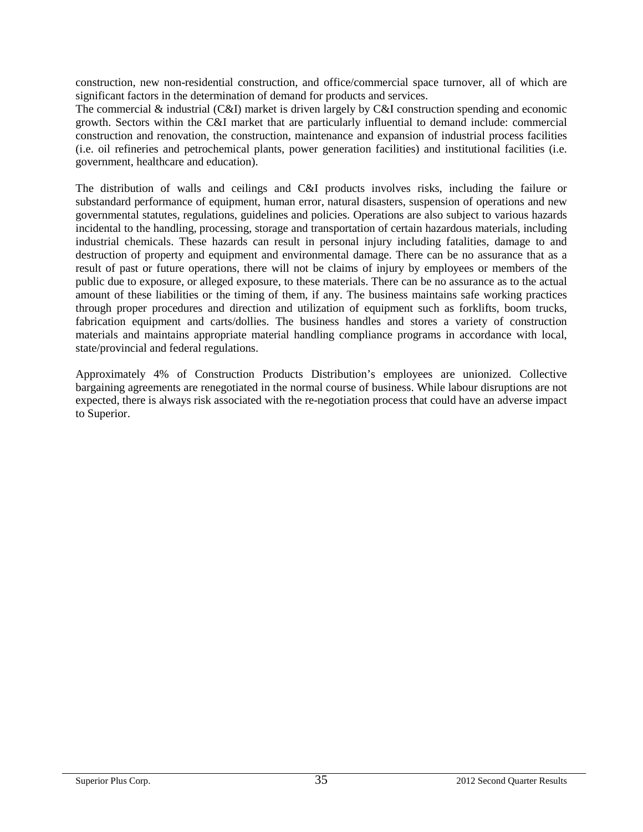construction, new non-residential construction, and office/commercial space turnover, all of which are significant factors in the determination of demand for products and services.

The commercial  $\&$  industrial (C $\&$ I) market is driven largely by C $\&$ I construction spending and economic growth. Sectors within the C&I market that are particularly influential to demand include: commercial construction and renovation, the construction, maintenance and expansion of industrial process facilities (i.e. oil refineries and petrochemical plants, power generation facilities) and institutional facilities (i.e. government, healthcare and education).

The distribution of walls and ceilings and C&I products involves risks, including the failure or substandard performance of equipment, human error, natural disasters, suspension of operations and new governmental statutes, regulations, guidelines and policies. Operations are also subject to various hazards incidental to the handling, processing, storage and transportation of certain hazardous materials, including industrial chemicals. These hazards can result in personal injury including fatalities, damage to and destruction of property and equipment and environmental damage. There can be no assurance that as a result of past or future operations, there will not be claims of injury by employees or members of the public due to exposure, or alleged exposure, to these materials. There can be no assurance as to the actual amount of these liabilities or the timing of them, if any. The business maintains safe working practices through proper procedures and direction and utilization of equipment such as forklifts, boom trucks, fabrication equipment and carts/dollies. The business handles and stores a variety of construction materials and maintains appropriate material handling compliance programs in accordance with local, state/provincial and federal regulations.

Approximately 4% of Construction Products Distribution's employees are unionized. Collective bargaining agreements are renegotiated in the normal course of business. While labour disruptions are not expected, there is always risk associated with the re-negotiation process that could have an adverse impact to Superior.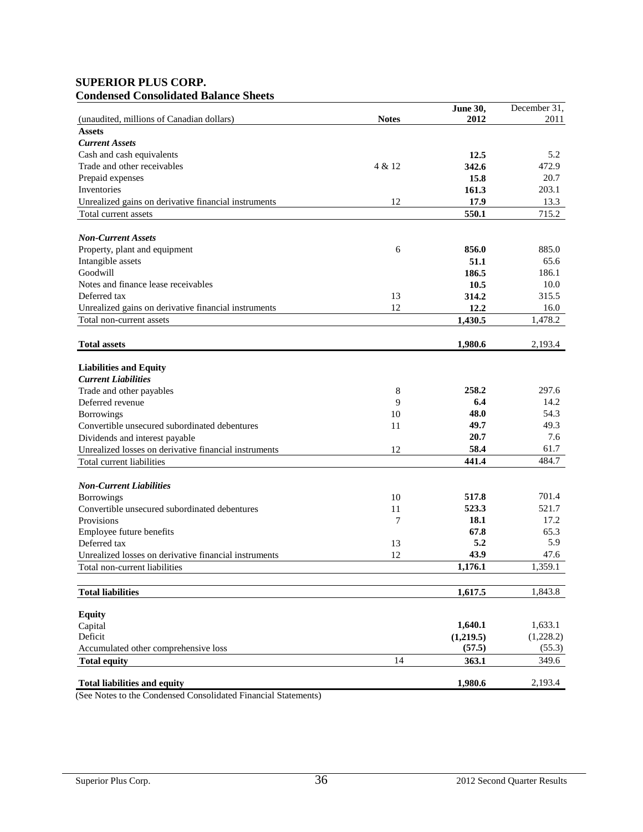#### **SUPERIOR PLUS CORP. Condensed Consolidated Balance Sheets**

|                                                       |              | <b>June 30,</b> | December 31, |
|-------------------------------------------------------|--------------|-----------------|--------------|
| (unaudited, millions of Canadian dollars)             | <b>Notes</b> | 2012            | 2011         |
| <b>Assets</b>                                         |              |                 |              |
| <b>Current Assets</b>                                 |              |                 |              |
| Cash and cash equivalents                             |              | 12.5            | 5.2          |
| Trade and other receivables                           | 4 & 12       | 342.6           | 472.9        |
| Prepaid expenses                                      |              | 15.8            | 20.7         |
| Inventories                                           |              | 161.3           | 203.1        |
| Unrealized gains on derivative financial instruments  | 12           | 17.9            | 13.3         |
| Total current assets                                  |              | 550.1           | 715.2        |
|                                                       |              |                 |              |
| <b>Non-Current Assets</b>                             |              |                 |              |
| Property, plant and equipment                         | 6            | 856.0           | 885.0        |
| Intangible assets                                     |              | 51.1            | 65.6         |
| Goodwill                                              |              | 186.5           | 186.1        |
| Notes and finance lease receivables                   |              | 10.5            | 10.0         |
| Deferred tax                                          | 13           | 314.2           | 315.5        |
| Unrealized gains on derivative financial instruments  | 12           | 12.2            | 16.0         |
| Total non-current assets                              |              | 1,430.5         | 1,478.2      |
|                                                       |              |                 |              |
| <b>Total assets</b>                                   |              | 1,980.6         | 2,193.4      |
|                                                       |              |                 |              |
| <b>Liabilities and Equity</b>                         |              |                 |              |
| <b>Current Liabilities</b>                            |              |                 |              |
| Trade and other payables                              | 8            | 258.2           | 297.6        |
| Deferred revenue                                      | 9            | 6.4             | 14.2         |
| <b>Borrowings</b>                                     | 10           | 48.0            | 54.3         |
| Convertible unsecured subordinated debentures         | 11           | 49.7            | 49.3         |
| Dividends and interest payable                        |              | 20.7            | 7.6          |
| Unrealized losses on derivative financial instruments | 12           | 58.4            | 61.7         |
| Total current liabilities                             |              | 441.4           | 484.7        |
| <b>Non-Current Liabilities</b>                        |              |                 |              |
| Borrowings                                            | 10           | 517.8           | 701.4        |
| Convertible unsecured subordinated debentures         | 11           | 523.3           | 521.7        |
| Provisions                                            | 7            | 18.1            | 17.2         |
| Employee future benefits                              |              | 67.8            | 65.3         |
| Deferred tax                                          | 13           | 5.2             | 5.9          |
| Unrealized losses on derivative financial instruments | 12           | 43.9            | 47.6         |
| Total non-current liabilities                         |              | 1,176.1         | 1,359.1      |
|                                                       |              |                 |              |
| <b>Total liabilities</b>                              |              | 1,617.5         | 1,843.8      |
|                                                       |              |                 |              |
| <b>Equity</b>                                         |              |                 |              |
| Capital                                               |              | 1,640.1         | 1,633.1      |
| Deficit                                               |              | (1,219.5)       | (1,228.2)    |
| Accumulated other comprehensive loss                  |              | (57.5)          | (55.3)       |
| <b>Total equity</b>                                   | 14           | 363.1           | 349.6        |
|                                                       |              |                 |              |
| <b>Total liabilities and equity</b>                   |              | 1,980.6         | 2,193.4      |

(See Notes to the Condensed Consolidated Financial Statements)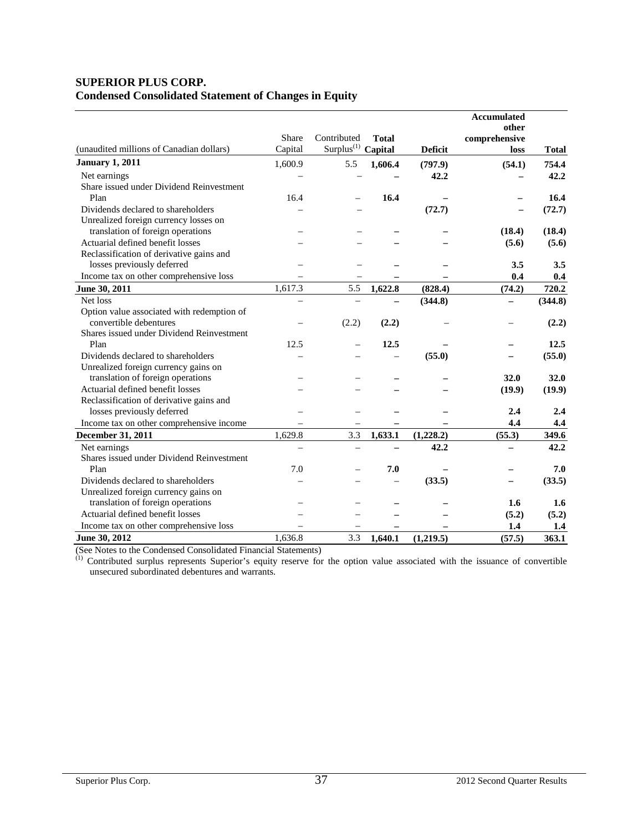#### **SUPERIOR PLUS CORP. Condensed Consolidated Statement of Changes in Equity**

|                                            | Share                    | Contributed              | <b>Total</b> |                | <b>Accumulated</b><br>other<br>comprehensive |              |
|--------------------------------------------|--------------------------|--------------------------|--------------|----------------|----------------------------------------------|--------------|
| (unaudited millions of Canadian dollars)   | Capital                  | $Surplus$ <sup>(1)</sup> | Capital      | <b>Deficit</b> | loss                                         | <b>Total</b> |
| <b>January 1, 2011</b>                     | 1,600.9                  | 5.5                      | 1,606.4      | (797.9)        | (54.1)                                       | 754.4        |
| Net earnings                               |                          |                          |              | 42.2           |                                              | 42.2         |
| Share issued under Dividend Reinvestment   |                          |                          |              |                |                                              |              |
| Plan                                       | 16.4                     |                          | 16.4         |                |                                              | 16.4         |
| Dividends declared to shareholders         |                          |                          |              | (72.7)         |                                              | (72.7)       |
| Unrealized foreign currency losses on      |                          |                          |              |                |                                              |              |
| translation of foreign operations          |                          |                          |              |                | (18.4)                                       | (18.4)       |
| Actuarial defined benefit losses           |                          |                          |              |                | (5.6)                                        | (5.6)        |
| Reclassification of derivative gains and   |                          |                          |              |                |                                              |              |
| losses previously deferred                 |                          |                          |              |                | 3.5                                          | 3.5          |
| Income tax on other comprehensive loss     |                          |                          |              |                | 0.4                                          | 0.4          |
| June 30, 2011                              | 1,617.3                  | 5.5                      | 1,622.8      | (828.4)        | (74.2)                                       | 720.2        |
| Net loss                                   |                          |                          |              | (344.8)        |                                              | (344.8)      |
| Option value associated with redemption of |                          |                          |              |                |                                              |              |
| convertible debentures                     |                          | (2.2)                    | (2.2)        |                |                                              | (2.2)        |
| Shares issued under Dividend Reinvestment  |                          |                          |              |                |                                              |              |
| Plan                                       | 12.5                     |                          | 12.5         |                |                                              | 12.5         |
| Dividends declared to shareholders         |                          |                          |              | (55.0)         |                                              | (55.0)       |
| Unrealized foreign currency gains on       |                          |                          |              |                |                                              |              |
| translation of foreign operations          |                          |                          |              |                | 32.0                                         | 32.0         |
| Actuarial defined benefit losses           |                          |                          |              |                | (19.9)                                       | (19.9)       |
| Reclassification of derivative gains and   |                          |                          |              |                |                                              |              |
| losses previously deferred                 |                          |                          |              |                | 2.4                                          | 2.4          |
| Income tax on other comprehensive income   |                          |                          |              |                | 4.4                                          | 4.4          |
| December 31, 2011                          | 1,629.8                  | 3.3                      | 1,633.1      | (1,228.2)      | (55.3)                                       | 349.6        |
| Net earnings                               | $\overline{\phantom{0}}$ |                          |              | 42.2           |                                              | 42.2         |
| Shares issued under Dividend Reinvestment  |                          |                          |              |                |                                              |              |
| Plan                                       | 7.0                      |                          | 7.0          |                |                                              | 7.0          |
| Dividends declared to shareholders         |                          |                          |              | (33.5)         |                                              | (33.5)       |
| Unrealized foreign currency gains on       |                          |                          |              |                |                                              |              |
| translation of foreign operations          |                          |                          |              |                | 1.6                                          | 1.6          |
| Actuarial defined benefit losses           |                          |                          |              |                | (5.2)                                        | (5.2)        |
| Income tax on other comprehensive loss     |                          |                          |              |                | 1.4                                          | 1.4          |
| June 30, 2012                              | 1,636.8                  | 3.3                      | 1,640.1      | (1,219.5)      | (57.5)                                       | 363.1        |

(See Notes to the Condensed Consolidated Financial Statements)

 $<sup>(1)</sup>$  Contributed surplus represents Superior's equity reserve for the option value associated with the issuance of convertible</sup> unsecured subordinated debentures and warrants.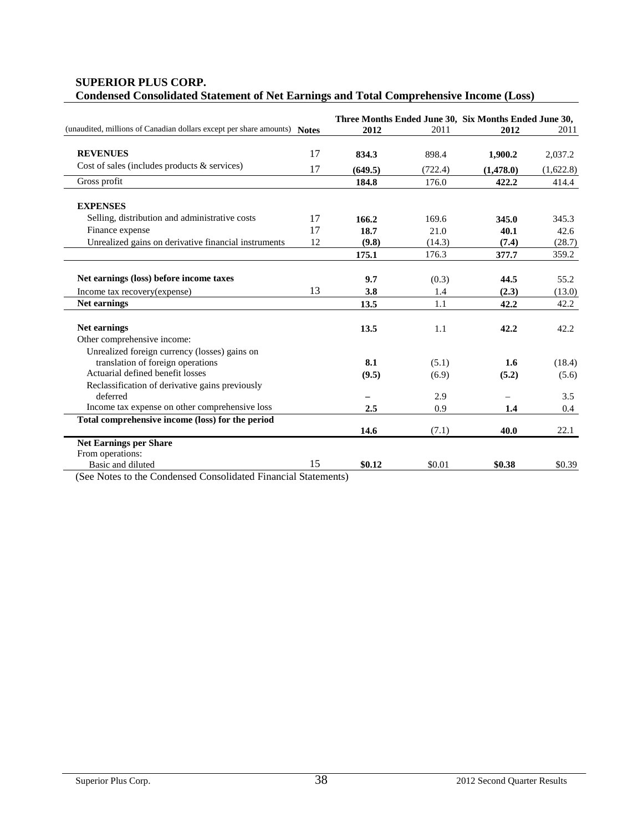|                                                                                    |    | Three Months Ended June 30, Six Months Ended June 30, |         |           |           |
|------------------------------------------------------------------------------------|----|-------------------------------------------------------|---------|-----------|-----------|
| (unaudited, millions of Canadian dollars except per share amounts) Notes           |    | 2012                                                  | 2011    | 2012      | 2011      |
| <b>REVENUES</b>                                                                    | 17 | 834.3                                                 | 898.4   | 1,900.2   | 2,037.2   |
| Cost of sales (includes products $\&$ services)                                    | 17 | (649.5)                                               | (722.4) | (1,478.0) | (1,622.8) |
| Gross profit                                                                       |    | 184.8                                                 | 176.0   | 422.2     | 414.4     |
| <b>EXPENSES</b>                                                                    |    |                                                       |         |           |           |
| Selling, distribution and administrative costs                                     | 17 | 166.2                                                 | 169.6   | 345.0     | 345.3     |
| Finance expense                                                                    | 17 | 18.7                                                  | 21.0    | 40.1      | 42.6      |
| Unrealized gains on derivative financial instruments                               | 12 | (9.8)                                                 | (14.3)  | (7.4)     | (28.7)    |
|                                                                                    |    | 175.1                                                 | 176.3   | 377.7     | 359.2     |
| Net earnings (loss) before income taxes                                            |    | 9.7                                                   | (0.3)   | 44.5      | 55.2      |
| Income tax recovery (expense)                                                      | 13 | 3.8                                                   | 1.4     | (2.3)     | (13.0)    |
| Net earnings                                                                       |    | 13.5                                                  | 1.1     | 42.2      | 42.2      |
| Net earnings                                                                       |    | 13.5                                                  | 1.1     | 42.2      | 42.2      |
| Other comprehensive income:                                                        |    |                                                       |         |           |           |
| Unrealized foreign currency (losses) gains on<br>translation of foreign operations |    | 8.1                                                   | (5.1)   | 1.6       | (18.4)    |
| Actuarial defined benefit losses                                                   |    | (9.5)                                                 | (6.9)   | (5.2)     | (5.6)     |
| Reclassification of derivative gains previously                                    |    |                                                       |         |           |           |
| deferred                                                                           |    |                                                       | 2.9     |           | 3.5       |
| Income tax expense on other comprehensive loss                                     |    | 2.5                                                   | 0.9     | 1.4       | 0.4       |
| Total comprehensive income (loss) for the period                                   |    |                                                       |         |           |           |
|                                                                                    |    | 14.6                                                  | (7.1)   | 40.0      | 22.1      |

Basic and diluted 15 **\$0.12** \$0.01 **\$0.38** \$0.39

# **SUPERIOR PLUS CORP. Condensed Consolidated Statement of Net Earnings and Total Comprehensive Income (Loss)**

(See Notes to the Condensed Consolidated Financial Statements)

From operations: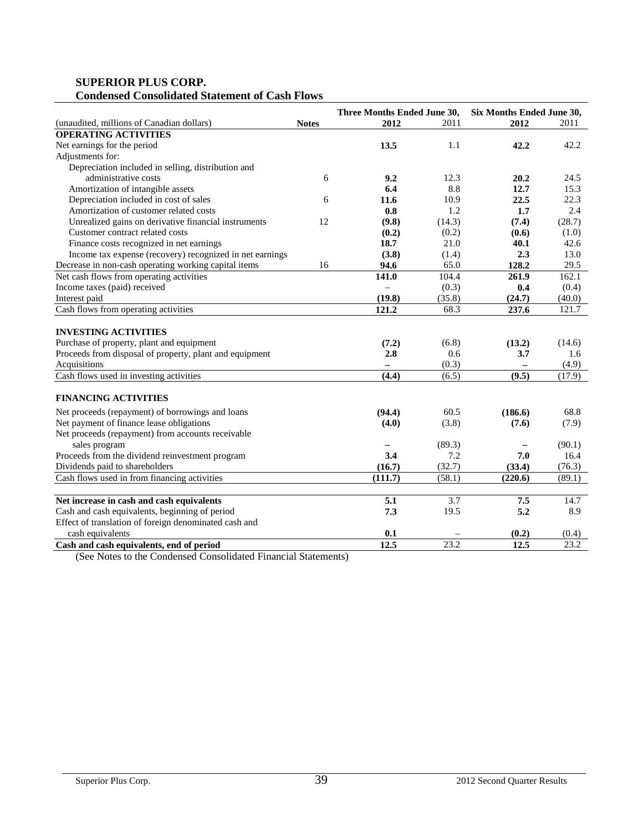# **SUPERIOR PLUS CORP. Condensed Consolidated Statement of Cash Flows**

|                                                          |              | Three Months Ended June 30, |        | Six Months Ended June 30, |        |
|----------------------------------------------------------|--------------|-----------------------------|--------|---------------------------|--------|
| (unaudited, millions of Canadian dollars)                | <b>Notes</b> | 2012                        | 2011   | 2012                      | 2011   |
| <b>OPERATING ACTIVITIES</b>                              |              |                             |        |                           |        |
| Net earnings for the period                              |              | 13.5                        | 1.1    | 42.2                      | 42.2   |
| Adjustments for:                                         |              |                             |        |                           |        |
| Depreciation included in selling, distribution and       |              |                             |        |                           |        |
| administrative costs                                     | 6            | 9.2                         | 12.3   | 20.2                      | 24.5   |
| Amortization of intangible assets                        |              | 6.4                         | 8.8    | 12.7                      | 15.3   |
| Depreciation included in cost of sales                   | 6            | 11.6                        | 10.9   | 22.5                      | 22.3   |
| Amortization of customer related costs                   |              | 0.8                         | 1.2    | 1.7                       | 2.4    |
| Unrealized gains on derivative financial instruments     | 12           | (9.8)                       | (14.3) | (7.4)                     | (28.7) |
| Customer contract related costs                          |              | (0.2)                       | (0.2)  | (0.6)                     | (1.0)  |
| Finance costs recognized in net earnings                 |              | 18.7                        | 21.0   | 40.1                      | 42.6   |
| Income tax expense (recovery) recognized in net earnings |              | (3.8)                       | (1.4)  | 2.3                       | 13.0   |
| Decrease in non-cash operating working capital items     | 16           | 94.6                        | 65.0   | 128.2                     | 29.5   |
| Net cash flows from operating activities                 |              | 141.0                       | 104.4  | 261.9                     | 162.1  |
| Income taxes (paid) received                             |              | $\equiv$                    | (0.3)  | 0.4                       | (0.4)  |
| Interest paid                                            |              | (19.8)                      | (35.8) | (24.7)                    | (40.0) |
| Cash flows from operating activities                     |              | 121.2                       | 68.3   | 237.6                     | 121.7  |
|                                                          |              |                             |        |                           |        |
| <b>INVESTING ACTIVITIES</b>                              |              |                             |        |                           |        |
| Purchase of property, plant and equipment                |              | (7.2)                       | (6.8)  | (13.2)                    | (14.6) |
| Proceeds from disposal of property, plant and equipment  |              | 2.8                         | 0.6    | 3.7                       | 1.6    |
| Acquisitions                                             |              |                             | (0.3)  |                           | (4.9)  |
| Cash flows used in investing activities                  |              | (4.4)                       | (6.5)  | (9.5)                     | (17.9) |
|                                                          |              |                             |        |                           |        |
| <b>FINANCING ACTIVITIES</b>                              |              |                             |        |                           |        |
| Net proceeds (repayment) of borrowings and loans         |              | (94.4)                      | 60.5   | (186.6)                   | 68.8   |
| Net payment of finance lease obligations                 |              | (4.0)                       | (3.8)  | (7.6)                     | (7.9)  |
| Net proceeds (repayment) from accounts receivable        |              |                             |        |                           |        |
| sales program                                            |              |                             | (89.3) |                           | (90.1) |
| Proceeds from the dividend reinvestment program          |              | 3.4                         | 7.2    | 7.0                       | 16.4   |
| Dividends paid to shareholders                           |              | (16.7)                      | (32.7) | (33.4)                    | (76.3) |
| Cash flows used in from financing activities             |              | (111.7)                     | (58.1) | (220.6)                   | (89.1) |
|                                                          |              |                             |        |                           |        |
| Net increase in cash and cash equivalents                |              | 5.1                         | 3.7    | 7.5                       | 14.7   |
| Cash and cash equivalents, beginning of period           |              | 7.3                         | 19.5   | 5.2                       | 8.9    |
| Effect of translation of foreign denominated cash and    |              |                             |        |                           |        |
| cash equivalents                                         |              | 0.1                         |        | (0.2)                     | (0.4)  |
| Cash and cash equivalents, end of period                 |              | 12.5                        | 23.2   | 12.5                      | 23.2   |

(See Notes to the Condensed Consolidated Financial Statements)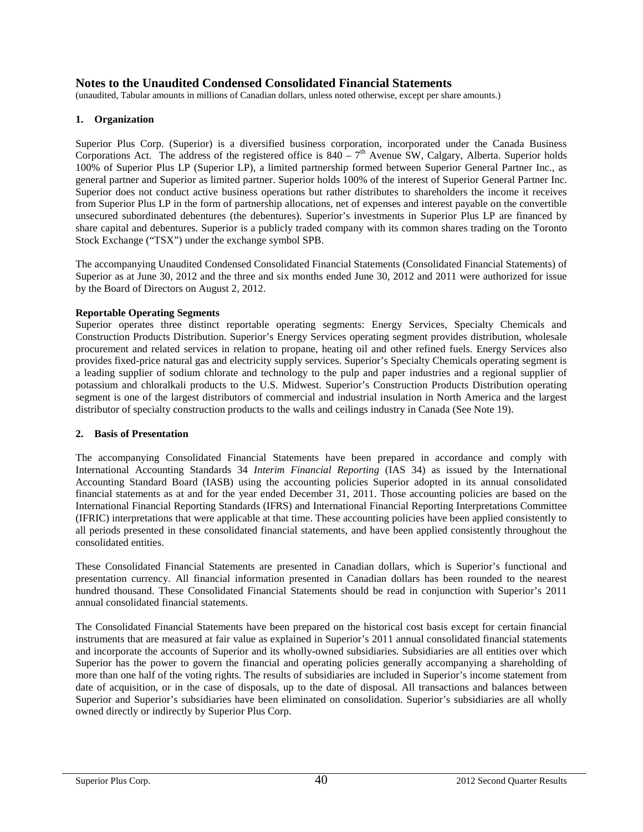# **Notes to the Unaudited Condensed Consolidated Financial Statements**

(unaudited, Tabular amounts in millions of Canadian dollars, unless noted otherwise, except per share amounts.)

#### **1. Organization**

Superior Plus Corp. (Superior) is a diversified business corporation, incorporated under the Canada Business Corporations Act. The address of the registered office is  $840 - 7<sup>th</sup>$  Avenue SW, Calgary, Alberta. Superior holds 100% of Superior Plus LP (Superior LP), a limited partnership formed between Superior General Partner Inc., as general partner and Superior as limited partner. Superior holds 100% of the interest of Superior General Partner Inc. Superior does not conduct active business operations but rather distributes to shareholders the income it receives from Superior Plus LP in the form of partnership allocations, net of expenses and interest payable on the convertible unsecured subordinated debentures (the debentures). Superior's investments in Superior Plus LP are financed by share capital and debentures. Superior is a publicly traded company with its common shares trading on the Toronto Stock Exchange ("TSX") under the exchange symbol SPB.

The accompanying Unaudited Condensed Consolidated Financial Statements (Consolidated Financial Statements) of Superior as at June 30, 2012 and the three and six months ended June 30, 2012 and 2011 were authorized for issue by the Board of Directors on August 2, 2012.

#### **Reportable Operating Segments**

Superior operates three distinct reportable operating segments: Energy Services, Specialty Chemicals and Construction Products Distribution. Superior's Energy Services operating segment provides distribution, wholesale procurement and related services in relation to propane, heating oil and other refined fuels. Energy Services also provides fixed-price natural gas and electricity supply services. Superior's Specialty Chemicals operating segment is a leading supplier of sodium chlorate and technology to the pulp and paper industries and a regional supplier of potassium and chloralkali products to the U.S. Midwest. Superior's Construction Products Distribution operating segment is one of the largest distributors of commercial and industrial insulation in North America and the largest distributor of specialty construction products to the walls and ceilings industry in Canada (See Note 19).

#### **2. Basis of Presentation**

The accompanying Consolidated Financial Statements have been prepared in accordance and comply with International Accounting Standards 34 *Interim Financial Reporting* (IAS 34) as issued by the International Accounting Standard Board (IASB) using the accounting policies Superior adopted in its annual consolidated financial statements as at and for the year ended December 31, 2011. Those accounting policies are based on the International Financial Reporting Standards (IFRS) and International Financial Reporting Interpretations Committee (IFRIC) interpretations that were applicable at that time. These accounting policies have been applied consistently to all periods presented in these consolidated financial statements, and have been applied consistently throughout the consolidated entities.

These Consolidated Financial Statements are presented in Canadian dollars, which is Superior's functional and presentation currency. All financial information presented in Canadian dollars has been rounded to the nearest hundred thousand. These Consolidated Financial Statements should be read in conjunction with Superior's 2011 annual consolidated financial statements.

The Consolidated Financial Statements have been prepared on the historical cost basis except for certain financial instruments that are measured at fair value as explained in Superior's 2011 annual consolidated financial statements and incorporate the accounts of Superior and its wholly-owned subsidiaries. Subsidiaries are all entities over which Superior has the power to govern the financial and operating policies generally accompanying a shareholding of more than one half of the voting rights. The results of subsidiaries are included in Superior's income statement from date of acquisition, or in the case of disposals, up to the date of disposal. All transactions and balances between Superior and Superior's subsidiaries have been eliminated on consolidation. Superior's subsidiaries are all wholly owned directly or indirectly by Superior Plus Corp.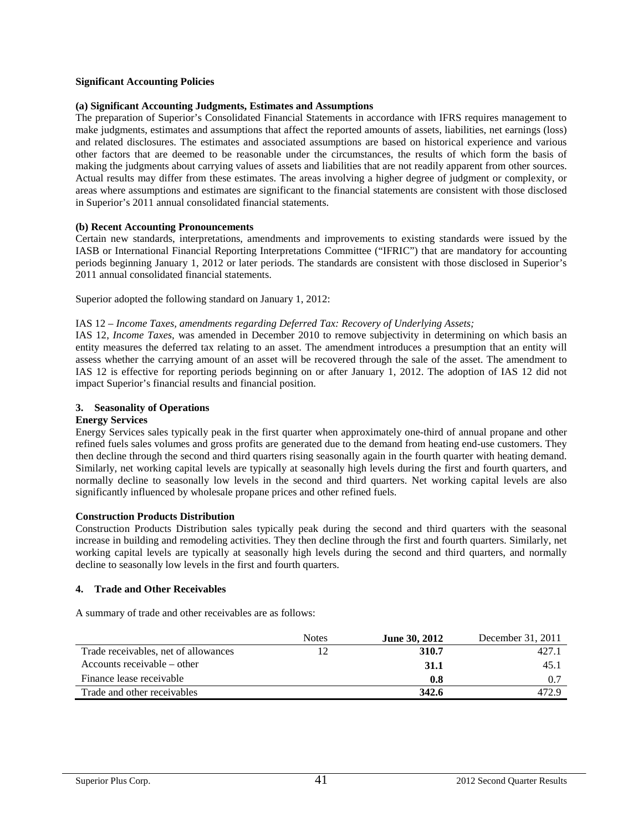#### **Significant Accounting Policies**

#### **(a) Significant Accounting Judgments, Estimates and Assumptions**

The preparation of Superior's Consolidated Financial Statements in accordance with IFRS requires management to make judgments, estimates and assumptions that affect the reported amounts of assets, liabilities, net earnings (loss) and related disclosures. The estimates and associated assumptions are based on historical experience and various other factors that are deemed to be reasonable under the circumstances, the results of which form the basis of making the judgments about carrying values of assets and liabilities that are not readily apparent from other sources. Actual results may differ from these estimates. The areas involving a higher degree of judgment or complexity, or areas where assumptions and estimates are significant to the financial statements are consistent with those disclosed in Superior's 2011 annual consolidated financial statements.

#### **(b) Recent Accounting Pronouncements**

Certain new standards, interpretations, amendments and improvements to existing standards were issued by the IASB or International Financial Reporting Interpretations Committee ("IFRIC") that are mandatory for accounting periods beginning January 1, 2012 or later periods. The standards are consistent with those disclosed in Superior's 2011 annual consolidated financial statements.

Superior adopted the following standard on January 1, 2012:

#### IAS 12 – *Income Taxes, amendments regarding Deferred Tax: Recovery of Underlying Assets;*

IAS 12, *Income Taxes,* was amended in December 2010 to remove subjectivity in determining on which basis an entity measures the deferred tax relating to an asset. The amendment introduces a presumption that an entity will assess whether the carrying amount of an asset will be recovered through the sale of the asset. The amendment to IAS 12 is effective for reporting periods beginning on or after January 1, 2012. The adoption of IAS 12 did not impact Superior's financial results and financial position.

#### **3. Seasonality of Operations**

#### **Energy Services**

Energy Services sales typically peak in the first quarter when approximately one-third of annual propane and other refined fuels sales volumes and gross profits are generated due to the demand from heating end-use customers. They then decline through the second and third quarters rising seasonally again in the fourth quarter with heating demand. Similarly, net working capital levels are typically at seasonally high levels during the first and fourth quarters, and normally decline to seasonally low levels in the second and third quarters. Net working capital levels are also significantly influenced by wholesale propane prices and other refined fuels.

#### **Construction Products Distribution**

Construction Products Distribution sales typically peak during the second and third quarters with the seasonal increase in building and remodeling activities. They then decline through the first and fourth quarters. Similarly, net working capital levels are typically at seasonally high levels during the second and third quarters, and normally decline to seasonally low levels in the first and fourth quarters.

#### **4. Trade and Other Receivables**

A summary of trade and other receivables are as follows:

|                                      | Notes | <b>June 30, 2012</b> | December 31, 2011 |
|--------------------------------------|-------|----------------------|-------------------|
| Trade receivables, net of allowances |       | 310.7                | 427.1             |
| Accounts receivable – other          |       | 31.1                 | 45.1              |
| Finance lease receivable             |       | 0.8                  | 0.7               |
| Trade and other receivables          |       | 342.6                | 472.9             |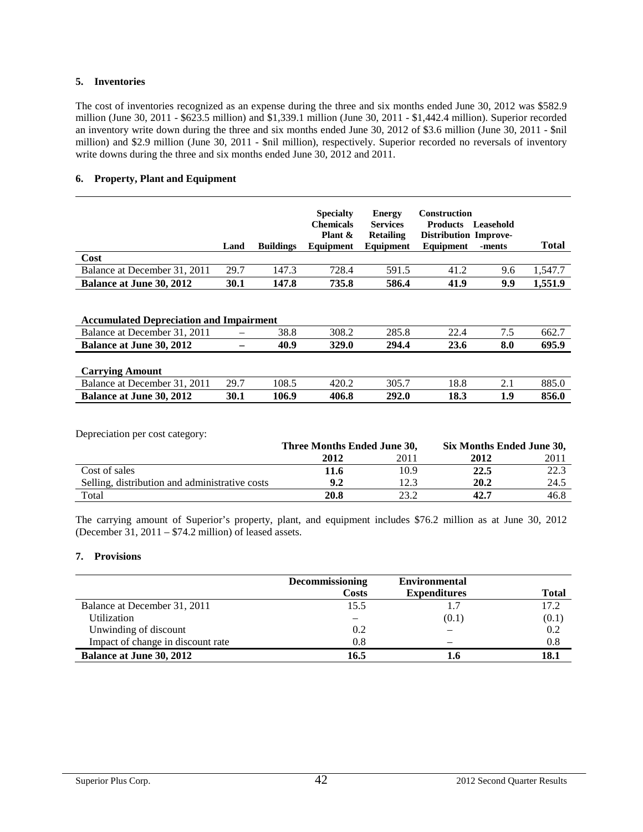#### **5. Inventories**

The cost of inventories recognized as an expense during the three and six months ended June 30, 2012 was \$582.9 million (June 30, 2011 - \$623.5 million) and \$1,339.1 million (June 30, 2011 - \$1,442.4 million). Superior recorded an inventory write down during the three and six months ended June 30, 2012 of \$3.6 million (June 30, 2011 - \$nil million) and \$2.9 million (June 30, 2011 - \$nil million), respectively. Superior recorded no reversals of inventory write downs during the three and six months ended June 30, 2012 and 2011.

#### **6. Property, Plant and Equipment**

|                                                                                |      |                  | <b>Specialty</b><br><b>Chemicals</b><br>Plant & | <b>Energy</b><br><b>Services</b><br><b>Retailing</b> | <b>Construction</b><br><b>Products</b><br><b>Distribution Improve-</b> | Leasehold |              |
|--------------------------------------------------------------------------------|------|------------------|-------------------------------------------------|------------------------------------------------------|------------------------------------------------------------------------|-----------|--------------|
|                                                                                | Land | <b>Buildings</b> | Equipment                                       | Equipment                                            | Equipment                                                              | -ments    | <b>Total</b> |
| Cost                                                                           |      |                  |                                                 |                                                      |                                                                        |           |              |
| Balance at December 31, 2011                                                   | 29.7 | 147.3            | 728.4                                           | 591.5                                                | 41.2                                                                   | 9.6       | 1,547.7      |
| <b>Balance at June 30, 2012</b>                                                | 30.1 | 147.8            | 735.8                                           | 586.4                                                | 41.9                                                                   | 9.9       | 1,551.9      |
| <b>Accumulated Depreciation and Impairment</b><br>Balance at December 31, 2011 |      | 38.8             | 308.2                                           | 285.8                                                | 22.4                                                                   | 7.5       | 662.7        |
| <b>Balance at June 30, 2012</b>                                                |      | 40.9             | 329.0                                           | 294.4                                                | 23.6                                                                   | 8.0       | 695.9        |
| <b>Carrying Amount</b>                                                         |      |                  |                                                 |                                                      |                                                                        |           |              |
| Balance at December 31, 2011                                                   | 29.7 | 108.5            | 420.2                                           | 305.7                                                | 18.8                                                                   | 2.1       | 885.0        |
| <b>Balance at June 30, 2012</b>                                                | 30.1 | 106.9            | 406.8                                           | 292.0                                                | 18.3                                                                   | 1.9       | 856.0        |

Depreciation per cost category:

|                                                | Three Months Ended June 30, |      | Six Months Ended June 30, |      |  |
|------------------------------------------------|-----------------------------|------|---------------------------|------|--|
|                                                | 2012                        | 2011 | 2012                      | 2011 |  |
| Cost of sales                                  | 11.6                        | 10.9 | 22.5                      | 22.3 |  |
| Selling, distribution and administrative costs | 9.2                         | 12.3 | 20.2                      | 24.5 |  |
| Total                                          | 20.8                        | 23.2 | 42.7                      | 46.8 |  |

The carrying amount of Superior's property, plant, and equipment includes \$76.2 million as at June 30, 2012 (December 31, 2011 – \$74.2 million) of leased assets.

#### **7. Provisions**

|                                   | <b>Decommissioning</b> | <b>Environmental</b> |       |
|-----------------------------------|------------------------|----------------------|-------|
|                                   | Costs                  | <b>Expenditures</b>  | Total |
| Balance at December 31, 2011      | 15.5                   |                      | 17.2  |
| Utilization                       |                        | (0.1)                | (0.1) |
| Unwinding of discount             | 0.2                    |                      | 0.2   |
| Impact of change in discount rate | 0.8                    |                      | 0.8   |
| <b>Balance at June 30, 2012</b>   | 16.5                   |                      | 18.1  |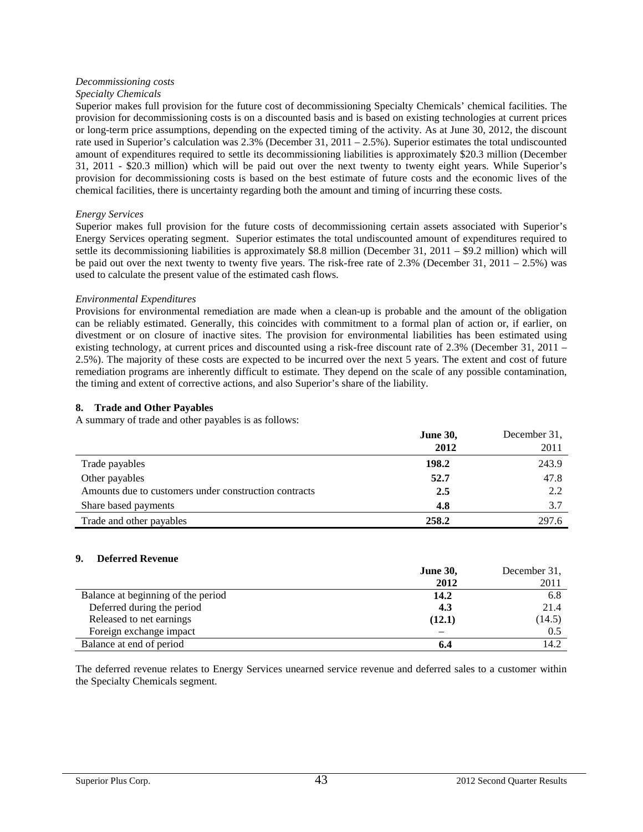#### *Decommissioning costs Specialty Chemicals*

Superior makes full provision for the future cost of decommissioning Specialty Chemicals' chemical facilities. The provision for decommissioning costs is on a discounted basis and is based on existing technologies at current prices or long-term price assumptions, depending on the expected timing of the activity. As at June 30, 2012, the discount rate used in Superior's calculation was 2.3% (December 31, 2011 – 2.5%). Superior estimates the total undiscounted amount of expenditures required to settle its decommissioning liabilities is approximately \$20.3 million (December 31, 2011 - \$20.3 million) which will be paid out over the next twenty to twenty eight years. While Superior's provision for decommissioning costs is based on the best estimate of future costs and the economic lives of the chemical facilities, there is uncertainty regarding both the amount and timing of incurring these costs.

#### *Energy Services*

Superior makes full provision for the future costs of decommissioning certain assets associated with Superior's Energy Services operating segment. Superior estimates the total undiscounted amount of expenditures required to settle its decommissioning liabilities is approximately \$8.8 million (December 31, 2011 – \$9.2 million) which will be paid out over the next twenty to twenty five years. The risk-free rate of 2.3% (December 31, 2011 – 2.5%) was used to calculate the present value of the estimated cash flows.

#### *Environmental Expenditures*

Provisions for environmental remediation are made when a clean-up is probable and the amount of the obligation can be reliably estimated. Generally, this coincides with commitment to a formal plan of action or, if earlier, on divestment or on closure of inactive sites. The provision for environmental liabilities has been estimated using existing technology, at current prices and discounted using a risk-free discount rate of 2.3% (December 31, 2011 – 2.5%). The majority of these costs are expected to be incurred over the next 5 years. The extent and cost of future remediation programs are inherently difficult to estimate. They depend on the scale of any possible contamination, the timing and extent of corrective actions, and also Superior's share of the liability.

#### **8. Trade and Other Payables**

A summary of trade and other payables is as follows:

|                                                       | <b>June 30,</b> | December 31. |
|-------------------------------------------------------|-----------------|--------------|
|                                                       | 2012            | 2011         |
| Trade payables                                        | 198.2           | 243.9        |
| Other payables                                        | 52.7            | 47.8         |
| Amounts due to customers under construction contracts | 2.5             | 2.2          |
| Share based payments                                  | 4.8             | 3.7          |
| Trade and other payables                              | 258.2           | 297.6        |

#### **9. Deferred Revenue**

|                                    | <b>June 30,</b> | December 31, |
|------------------------------------|-----------------|--------------|
|                                    | 2012            | 2011         |
| Balance at beginning of the period | 14.2            | 6.8          |
| Deferred during the period         | 4.3             | 21.4         |
| Released to net earnings           | (12.1)          | (14.5)       |
| Foreign exchange impact            |                 | 0.5          |
| Balance at end of period           | 6.4             | 14.2         |

The deferred revenue relates to Energy Services unearned service revenue and deferred sales to a customer within the Specialty Chemicals segment.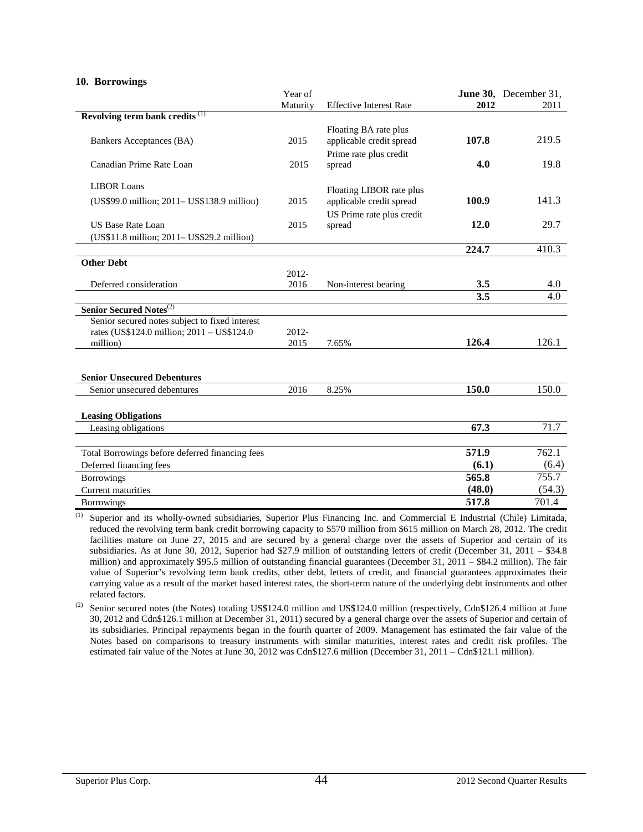#### **10. Borrowings**

|                                                                        | Year of       |                                                   |        | June 30, December 31, |
|------------------------------------------------------------------------|---------------|---------------------------------------------------|--------|-----------------------|
|                                                                        | Maturity      | <b>Effective Interest Rate</b>                    | 2012   | 2011                  |
| Revolving term bank credits <sup>(1)</sup>                             |               |                                                   |        |                       |
| Bankers Acceptances (BA)                                               | 2015          | Floating BA rate plus<br>applicable credit spread | 107.8  | 219.5                 |
| Canadian Prime Rate Loan                                               | 2015          | Prime rate plus credit<br>spread                  | 4.0    | 19.8                  |
| <b>LIBOR</b> Loans                                                     |               | Floating LIBOR rate plus                          |        |                       |
| (US\$99.0 million; 2011– US\$138.9 million)                            | 2015          | applicable credit spread                          | 100.9  | 141.3                 |
| <b>US Base Rate Loan</b><br>(US\$11.8 million; 2011- US\$29.2 million) | 2015          | US Prime rate plus credit<br>spread               | 12.0   | 29.7                  |
|                                                                        |               |                                                   | 224.7  | 410.3                 |
| <b>Other Debt</b>                                                      |               |                                                   |        |                       |
| Deferred consideration                                                 | 2012-<br>2016 | Non-interest bearing                              | 3.5    | 4.0                   |
|                                                                        |               |                                                   | 3.5    | 4.0                   |
| Senior Secured Notes <sup>(2)</sup>                                    |               |                                                   |        |                       |
| Senior secured notes subject to fixed interest                         |               |                                                   |        |                       |
| rates (US\$124.0 million; 2011 - US\$124.0                             | 2012-         |                                                   |        |                       |
| million)                                                               | 2015          | 7.65%                                             | 126.4  | 126.1                 |
| <b>Senior Unsecured Debentures</b>                                     |               |                                                   |        |                       |
| Senior unsecured debentures                                            | 2016          | 8.25%                                             | 150.0  | 150.0                 |
| <b>Leasing Obligations</b>                                             |               |                                                   |        |                       |
| Leasing obligations                                                    |               |                                                   | 67.3   | 71.7                  |
|                                                                        |               |                                                   |        |                       |
| Total Borrowings before deferred financing fees                        |               |                                                   | 571.9  | 762.1                 |
| Deferred financing fees                                                |               |                                                   | (6.1)  | (6.4)                 |
| Borrowings                                                             |               |                                                   | 565.8  | 755.7                 |
| Current maturities                                                     |               |                                                   | (48.0) | (54.3)                |
| <b>Borrowings</b>                                                      |               |                                                   | 517.8  | 701.4                 |

(1) Superior and its wholly-owned subsidiaries, Superior Plus Financing Inc. and Commercial E Industrial (Chile) Limitada, reduced the revolving term bank credit borrowing capacity to \$570 million from \$615 million on March 28, 2012. The credit facilities mature on June 27, 2015 and are secured by a general charge over the assets of Superior and certain of its subsidiaries. As at June 30, 2012, Superior had \$27.9 million of outstanding letters of credit (December 31, 2011 – \$34.8 million) and approximately \$95.5 million of outstanding financial guarantees (December 31, 2011 – \$84.2 million). The fair value of Superior's revolving term bank credits, other debt, letters of credit, and financial guarantees approximates their carrying value as a result of the market based interest rates, the short-term nature of the underlying debt instruments and other related factors.

(2) Senior secured notes (the Notes) totaling US\$124.0 million and US\$124.0 million (respectively, Cdn\$126.4 million at June 30, 2012 and Cdn\$126.1 million at December 31, 2011) secured by a general charge over the assets of Superior and certain of its subsidiaries. Principal repayments began in the fourth quarter of 2009. Management has estimated the fair value of the Notes based on comparisons to treasury instruments with similar maturities, interest rates and credit risk profiles. The estimated fair value of the Notes at June 30, 2012 was Cdn\$127.6 million (December 31, 2011 – Cdn\$121.1 million).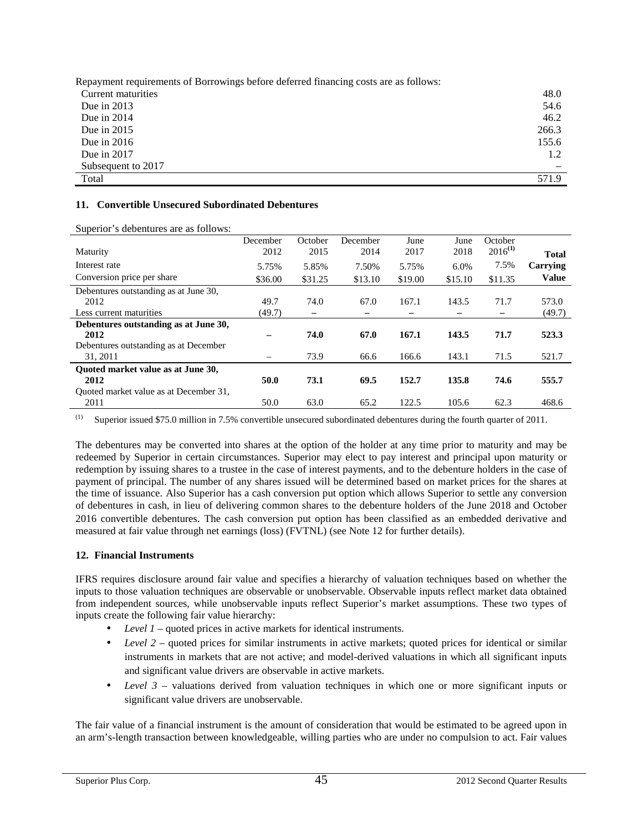| Repayment requirements of Borrowings before deferred financing costs are as follows: |       |
|--------------------------------------------------------------------------------------|-------|
| Current maturities                                                                   | 48.0  |
| Due in $2013$                                                                        | 54.6  |
| Due in $2014$                                                                        | 46.2  |
| Due in $2015$                                                                        | 266.3 |
| Due in $2016$                                                                        | 155.6 |
| Due in $2017$                                                                        | 1.2   |
| Subsequent to 2017                                                                   |       |
| Total                                                                                | 571.9 |

#### **11. Convertible Unsecured Subordinated Debentures**

| Superior s'aepentales are as follows.  | December | October | December | June    | June    | October      |              |
|----------------------------------------|----------|---------|----------|---------|---------|--------------|--------------|
| Maturity                               | 2012     | 2015    | 2014     | 2017    | 2018    | $2016^{(1)}$ | <b>Total</b> |
| Interest rate                          | 5.75%    | 5.85%   | 7.50%    | 5.75%   | 6.0%    | 7.5%         | Carrying     |
| Conversion price per share             | \$36.00  | \$31.25 | \$13.10  | \$19.00 | \$15.10 | \$11.35      | <b>Value</b> |
| Debentures outstanding as at June 30,  |          |         |          |         |         |              |              |
| 2012                                   | 49.7     | 74.0    | 67.0     | 167.1   | 143.5   | 71.7         | 573.0        |
| Less current maturities                | (49.7)   | -       |          |         |         | -            | (49.7)       |
| Debentures outstanding as at June 30,  |          |         |          |         |         |              |              |
| 2012                                   |          | 74.0    | 67.0     | 167.1   | 143.5   | 71.7         | 523.3        |
| Debentures outstanding as at December  |          |         |          |         |         |              |              |
| 31, 2011                               |          | 73.9    | 66.6     | 166.6   | 143.1   | 71.5         | 521.7        |
| Ouoted market value as at June 30,     |          |         |          |         |         |              |              |
| 2012                                   | 50.0     | 73.1    | 69.5     | 152.7   | 135.8   | 74.6         | 555.7        |
| Ouoted market value as at December 31, |          |         |          |         |         |              |              |
| 2011                                   | 50.0     | 63.0    | 65.2     | 122.5   | 105.6   | 62.3         | 468.6        |

Superior's debentures are as follows:

(1) Superior issued \$75.0 million in 7.5% convertible unsecured subordinated debentures during the fourth quarter of 2011.

The debentures may be converted into shares at the option of the holder at any time prior to maturity and may be redeemed by Superior in certain circumstances. Superior may elect to pay interest and principal upon maturity or redemption by issuing shares to a trustee in the case of interest payments, and to the debenture holders in the case of payment of principal. The number of any shares issued will be determined based on market prices for the shares at the time of issuance. Also Superior has a cash conversion put option which allows Superior to settle any conversion of debentures in cash, in lieu of delivering common shares to the debenture holders of the June 2018 and October 2016 convertible debentures. The cash conversion put option has been classified as an embedded derivative and measured at fair value through net earnings (loss) (FVTNL) (see Note 12 for further details).

#### **12. Financial Instruments**

IFRS requires disclosure around fair value and specifies a hierarchy of valuation techniques based on whether the inputs to those valuation techniques are observable or unobservable. Observable inputs reflect market data obtained from independent sources, while unobservable inputs reflect Superior's market assumptions. These two types of inputs create the following fair value hierarchy:

- *Level 1* quoted prices in active markets for identical instruments.
- *Level 2* quoted prices for similar instruments in active markets; quoted prices for identical or similar instruments in markets that are not active; and model-derived valuations in which all significant inputs and significant value drivers are observable in active markets.
- *Level 3* valuations derived from valuation techniques in which one or more significant inputs or significant value drivers are unobservable.

The fair value of a financial instrument is the amount of consideration that would be estimated to be agreed upon in an arm's-length transaction between knowledgeable, willing parties who are under no compulsion to act. Fair values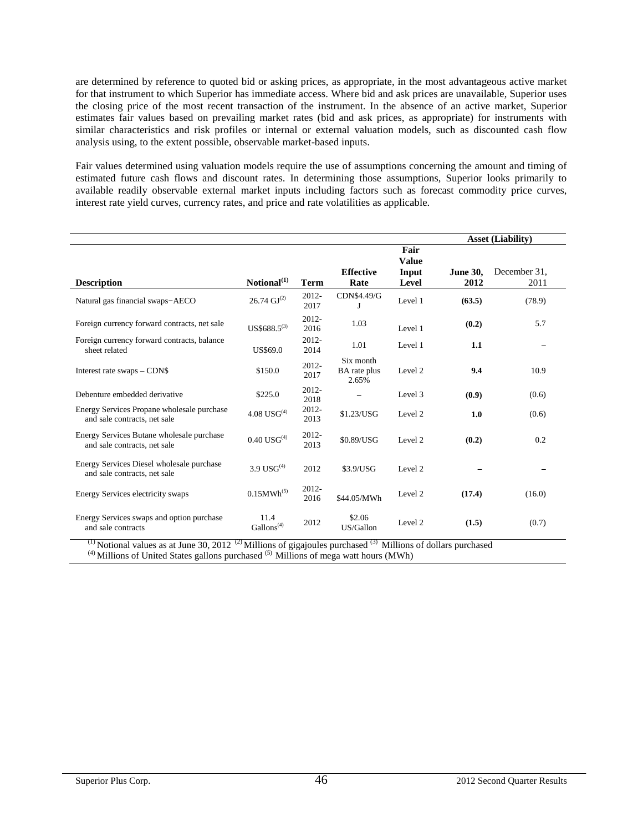are determined by reference to quoted bid or asking prices, as appropriate, in the most advantageous active market for that instrument to which Superior has immediate access. Where bid and ask prices are unavailable, Superior uses the closing price of the most recent transaction of the instrument. In the absence of an active market, Superior estimates fair values based on prevailing market rates (bid and ask prices, as appropriate) for instruments with similar characteristics and risk profiles or internal or external valuation models, such as discounted cash flow analysis using, to the extent possible, observable market-based inputs.

Fair values determined using valuation models require the use of assumptions concerning the amount and timing of estimated future cash flows and discount rates. In determining those assumptions, Superior looks primarily to available readily observable external market inputs including factors such as forecast commodity price curves, interest rate yield curves, currency rates, and price and rate volatilities as applicable.

|                                                                            |                                |                  |                                    |                      | <b>Asset (Liability)</b> |                      |  |  |
|----------------------------------------------------------------------------|--------------------------------|------------------|------------------------------------|----------------------|--------------------------|----------------------|--|--|
|                                                                            |                                |                  |                                    | Fair<br><b>Value</b> |                          |                      |  |  |
| <b>Description</b>                                                         | Notional <sup>(1)</sup>        | <b>Term</b>      | <b>Effective</b><br>Rate           | Input<br>Level       | <b>June 30.</b><br>2012  | December 31.<br>2011 |  |  |
| Natural gas financial swaps-AECO                                           | $26.74 \text{ GJ}^{(2)}$       | 2012-<br>2017    | CDN\$4.49/G                        | Level 1              | (63.5)                   | (78.9)               |  |  |
| Foreign currency forward contracts, net sale                               | $US$688.5^{(3)}$               | 2012-<br>2016    | 1.03                               | Level 1              | (0.2)                    | 5.7                  |  |  |
| Foreign currency forward contracts, balance<br>sheet related               | US\$69.0                       | $2012 -$<br>2014 | 1.01                               | Level 1              | 1.1                      |                      |  |  |
| Interest rate swaps – CDN\$                                                | \$150.0                        | 2012-<br>2017    | Six month<br>BA rate plus<br>2.65% | Level 2              | 9.4                      | 10.9                 |  |  |
| Debenture embedded derivative                                              | \$225.0                        | 2012-<br>2018    |                                    | Level 3              | (0.9)                    | (0.6)                |  |  |
| Energy Services Propane wholesale purchase<br>and sale contracts, net sale | $4.08$ USG <sup>(4)</sup>      | 2012-<br>2013    | \$1.23/USG                         | Level 2              | 1.0                      | (0.6)                |  |  |
| Energy Services Butane wholesale purchase<br>and sale contracts, net sale  | $0.40$ USG <sup>(4)</sup>      | 2012-<br>2013    | \$0.89/USG                         | Level 2              | (0.2)                    | 0.2                  |  |  |
| Energy Services Diesel wholesale purchase<br>and sale contracts, net sale  | 3.9 US $G^{(4)}$               | 2012             | \$3.9/USG                          | Level 2              |                          |                      |  |  |
| Energy Services electricity swaps                                          | $0.15MWh^{(5)}$                | 2012-<br>2016    | \$44.05/MWh                        | Level 2              | (17.4)                   | (16.0)               |  |  |
| Energy Services swaps and option purchase<br>and sale contracts            | 11.4<br>Gallons <sup>(4)</sup> | 2012             | \$2.06<br>US/Gallon                | Level 2              | (1.5)                    | (0.7)                |  |  |

 $(1)$  Notional values as at June 30, 2012  $(2)$  Millions of gigajoules purchased  $(3)$  Millions of dollars purchased

 $^{(4)}$  Millions of United States gallons purchased  $^{(5)}$  Millions of mega watt hours (MWh)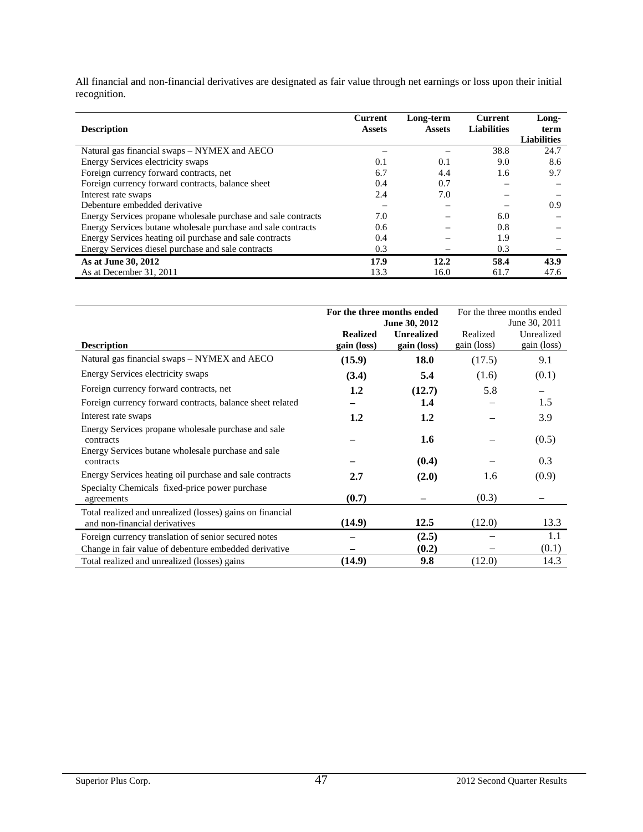All financial and non-financial derivatives are designated as fair value through net earnings or loss upon their initial recognition.

| <b>Description</b>                                            | <b>Current</b><br><b>Assets</b> | Long-term<br><b>Assets</b> | <b>Current</b><br><b>Liabilities</b> | Long-<br>term<br><b>Liabilities</b> |
|---------------------------------------------------------------|---------------------------------|----------------------------|--------------------------------------|-------------------------------------|
| Natural gas financial swaps - NYMEX and AECO                  |                                 |                            | 38.8                                 | 24.7                                |
| Energy Services electricity swaps                             | 0.1                             | 0.1                        | 9.0                                  | 8.6                                 |
| Foreign currency forward contracts, net                       | 6.7                             | 4.4                        | 1.6                                  | 9.7                                 |
| Foreign currency forward contracts, balance sheet             | 0.4                             | 0.7                        |                                      |                                     |
| Interest rate swaps                                           | 2.4                             | 7.0                        |                                      |                                     |
| Debenture embedded derivative                                 |                                 |                            |                                      | 0.9                                 |
| Energy Services propane wholesale purchase and sale contracts | 7.0                             |                            | 6.0                                  |                                     |
| Energy Services butane wholesale purchase and sale contracts  | 0.6                             |                            | 0.8                                  |                                     |
| Energy Services heating oil purchase and sale contracts       | 0.4                             |                            | 1.9                                  |                                     |
| Energy Services diesel purchase and sale contracts            | 0.3                             |                            | 0.3                                  |                                     |
| As at June 30, 2012                                           | 17.9                            | 12.2                       | 58.4                                 | 43.9                                |
| As at December 31, 2011                                       | 13.3                            | 16.0                       | 61.7                                 | 47.6                                |

|                                                                                            | For the three months ended |                   | For the three months ended |               |  |  |
|--------------------------------------------------------------------------------------------|----------------------------|-------------------|----------------------------|---------------|--|--|
|                                                                                            |                            | June 30, 2012     |                            | June 30, 2011 |  |  |
|                                                                                            | <b>Realized</b>            | <b>Unrealized</b> | Realized                   | Unrealized    |  |  |
| <b>Description</b>                                                                         | gain (loss)                | gain (loss)       | gain (loss)                | gain (loss)   |  |  |
| Natural gas financial swaps – NYMEX and AECO                                               | (15.9)                     | 18.0              | (17.5)                     | 9.1           |  |  |
| Energy Services electricity swaps                                                          | (3.4)                      | 5.4               | (1.6)                      | (0.1)         |  |  |
| Foreign currency forward contracts, net                                                    | 1.2                        | (12.7)            | 5.8                        |               |  |  |
| Foreign currency forward contracts, balance sheet related                                  |                            | 1.4               |                            | 1.5           |  |  |
| Interest rate swaps                                                                        | 1.2                        | 1.2               |                            | 3.9           |  |  |
| Energy Services propane wholesale purchase and sale<br>contracts                           |                            | 1.6               |                            | (0.5)         |  |  |
| Energy Services butane wholesale purchase and sale<br>contracts                            |                            | (0.4)             |                            | 0.3           |  |  |
| Energy Services heating oil purchase and sale contracts                                    | 2.7                        | (2.0)             | 1.6                        | (0.9)         |  |  |
| Specialty Chemicals fixed-price power purchase<br>agreements                               | (0.7)                      |                   | (0.3)                      |               |  |  |
| Total realized and unrealized (losses) gains on financial<br>and non-financial derivatives | (14.9)                     | 12.5              | (12.0)                     | 13.3          |  |  |
| Foreign currency translation of senior secured notes                                       |                            | (2.5)             |                            | 1.1           |  |  |
| Change in fair value of debenture embedded derivative                                      |                            | (0.2)             |                            | (0.1)         |  |  |
| Total realized and unrealized (losses) gains                                               | (14.9)                     | 9.8               | (12.0)                     | 14.3          |  |  |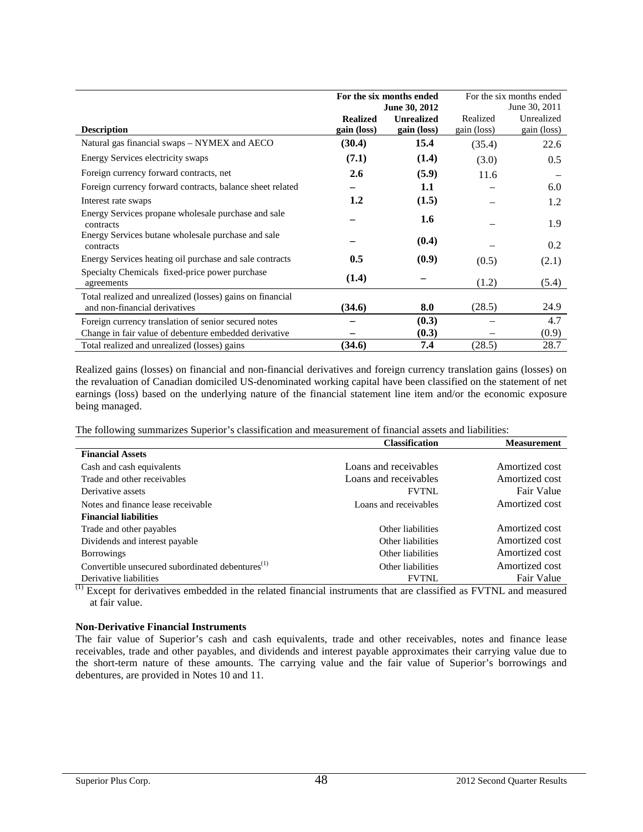|                                                                  | For the six months ended |                   |             | For the six months ended |
|------------------------------------------------------------------|--------------------------|-------------------|-------------|--------------------------|
|                                                                  |                          | June 30, 2012     |             | June 30, 2011            |
|                                                                  | <b>Realized</b>          | <b>Unrealized</b> | Realized    | Unrealized               |
| <b>Description</b>                                               | gain (loss)              | gain (loss)       | gain (loss) | gain (loss)              |
| Natural gas financial swaps - NYMEX and AECO                     | (30.4)                   | 15.4              | (35.4)      | 22.6                     |
| Energy Services electricity swaps                                | (7.1)                    | (1.4)             | (3.0)       | 0.5                      |
| Foreign currency forward contracts, net                          | 2.6                      | (5.9)             | 11.6        |                          |
| Foreign currency forward contracts, balance sheet related        |                          | 1.1               |             | 6.0                      |
| Interest rate swaps                                              | 1.2                      | (1.5)             |             | 1.2                      |
| Energy Services propane wholesale purchase and sale<br>contracts |                          | 1.6               |             | 1.9                      |
| Energy Services butane wholesale purchase and sale<br>contracts  |                          | (0.4)             |             | 0.2                      |
| Energy Services heating oil purchase and sale contracts          | 0.5                      | (0.9)             | (0.5)       | (2.1)                    |
| Specialty Chemicals fixed-price power purchase<br>agreements     | (1.4)                    |                   | (1.2)       | (5.4)                    |
| Total realized and unrealized (losses) gains on financial        |                          |                   |             |                          |
| and non-financial derivatives                                    | (34.6)                   | 8.0               | (28.5)      | 24.9                     |
| Foreign currency translation of senior secured notes             |                          | (0.3)             |             | 4.7                      |
| Change in fair value of debenture embedded derivative            |                          | (0.3)             |             | (0.9)                    |
| Total realized and unrealized (losses) gains                     | (34.6)                   | 7.4               | (28.5)      | 28.7                     |

Realized gains (losses) on financial and non-financial derivatives and foreign currency translation gains (losses) on the revaluation of Canadian domiciled US-denominated working capital have been classified on the statement of net earnings (loss) based on the underlying nature of the financial statement line item and/or the economic exposure being managed.

The following summarizes Superior's classification and measurement of financial assets and liabilities:

|                                                              | <b>Classification</b> | <b>Measurement</b> |
|--------------------------------------------------------------|-----------------------|--------------------|
| <b>Financial Assets</b>                                      |                       |                    |
| Cash and cash equivalents                                    | Loans and receivables | Amortized cost     |
| Trade and other receivables                                  | Loans and receivables | Amortized cost     |
| Derivative assets                                            | <b>FVTNL</b>          | Fair Value         |
| Notes and finance lease receivable                           | Loans and receivables | Amortized cost     |
| <b>Financial liabilities</b>                                 |                       |                    |
| Trade and other payables                                     | Other liabilities     | Amortized cost     |
| Dividends and interest payable                               | Other liabilities     | Amortized cost     |
| <b>Borrowings</b>                                            | Other liabilities     | Amortized cost     |
| Convertible unsecured subordinated debentures <sup>(1)</sup> | Other liabilities     | Amortized cost     |
| Derivative liabilities<br>$\overline{\phantom{a}}$           | <b>FVTNL</b>          | Fair Value         |

<sup>(1)</sup> Except for derivatives embedded in the related financial instruments that are classified as FVTNL and measured at fair value.

#### **Non-Derivative Financial Instruments**

The fair value of Superior's cash and cash equivalents, trade and other receivables, notes and finance lease receivables, trade and other payables, and dividends and interest payable approximates their carrying value due to the short-term nature of these amounts. The carrying value and the fair value of Superior's borrowings and debentures, are provided in Notes 10 and 11.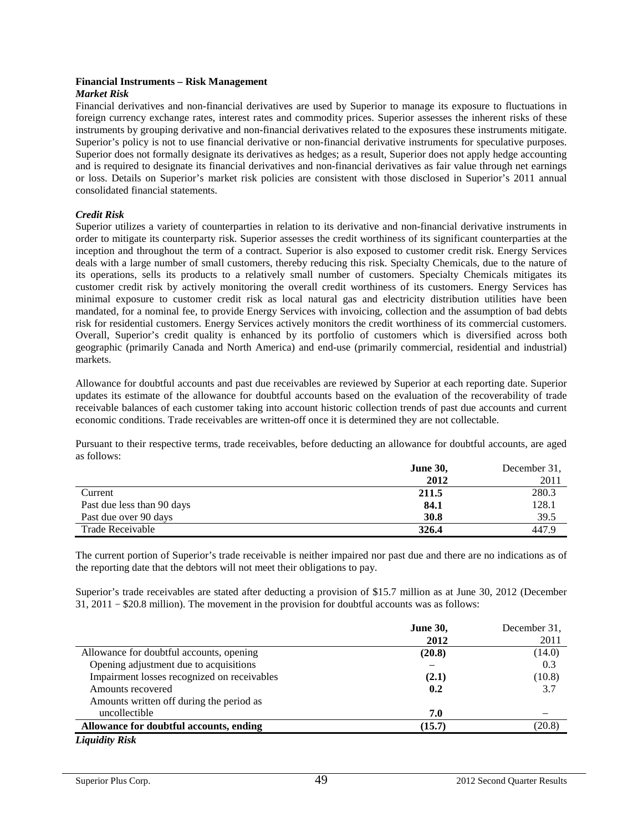#### **Financial Instruments – Risk Management**

#### *Market Risk*

Financial derivatives and non-financial derivatives are used by Superior to manage its exposure to fluctuations in foreign currency exchange rates, interest rates and commodity prices. Superior assesses the inherent risks of these instruments by grouping derivative and non-financial derivatives related to the exposures these instruments mitigate. Superior's policy is not to use financial derivative or non-financial derivative instruments for speculative purposes. Superior does not formally designate its derivatives as hedges; as a result, Superior does not apply hedge accounting and is required to designate its financial derivatives and non-financial derivatives as fair value through net earnings or loss. Details on Superior's market risk policies are consistent with those disclosed in Superior's 2011 annual consolidated financial statements.

#### *Credit Risk*

Superior utilizes a variety of counterparties in relation to its derivative and non-financial derivative instruments in order to mitigate its counterparty risk. Superior assesses the credit worthiness of its significant counterparties at the inception and throughout the term of a contract. Superior is also exposed to customer credit risk. Energy Services deals with a large number of small customers, thereby reducing this risk. Specialty Chemicals, due to the nature of its operations, sells its products to a relatively small number of customers. Specialty Chemicals mitigates its customer credit risk by actively monitoring the overall credit worthiness of its customers. Energy Services has minimal exposure to customer credit risk as local natural gas and electricity distribution utilities have been mandated, for a nominal fee, to provide Energy Services with invoicing, collection and the assumption of bad debts risk for residential customers. Energy Services actively monitors the credit worthiness of its commercial customers. Overall, Superior's credit quality is enhanced by its portfolio of customers which is diversified across both geographic (primarily Canada and North America) and end-use (primarily commercial, residential and industrial) markets.

Allowance for doubtful accounts and past due receivables are reviewed by Superior at each reporting date. Superior updates its estimate of the allowance for doubtful accounts based on the evaluation of the recoverability of trade receivable balances of each customer taking into account historic collection trends of past due accounts and current economic conditions. Trade receivables are written-off once it is determined they are not collectable.

Pursuant to their respective terms, trade receivables, before deducting an allowance for doubtful accounts, are aged as follows:

|                            | <b>June 30,</b> | December 31, |
|----------------------------|-----------------|--------------|
|                            | 2012            | 2011         |
| Current                    | 211.5           | 280.3        |
| Past due less than 90 days | 84.1            | 128.1        |
| Past due over 90 days      | 30.8            | 39.5         |
| Trade Receivable           | 326.4           | 447.9        |

The current portion of Superior's trade receivable is neither impaired nor past due and there are no indications as of the reporting date that the debtors will not meet their obligations to pay.

Superior's trade receivables are stated after deducting a provision of \$15.7 million as at June 30, 2012 (December 31, 2011 − \$20.8 million). The movement in the provision for doubtful accounts was as follows:

|                                             | <b>June 30,</b> | December 31, |
|---------------------------------------------|-----------------|--------------|
|                                             | 2012            | 2011         |
| Allowance for doubtful accounts, opening    | (20.8)          | (14.0)       |
| Opening adjustment due to acquisitions      |                 | 0.3          |
| Impairment losses recognized on receivables | (2.1)           | (10.8)       |
| Amounts recovered                           | 0.2             | 3.7          |
| Amounts written off during the period as    |                 |              |
| uncollectible                               | 7.0             |              |
| Allowance for doubtful accounts, ending     | (15.7)          | (20.8)       |
| <b>Liauidity Risk</b>                       |                 |              |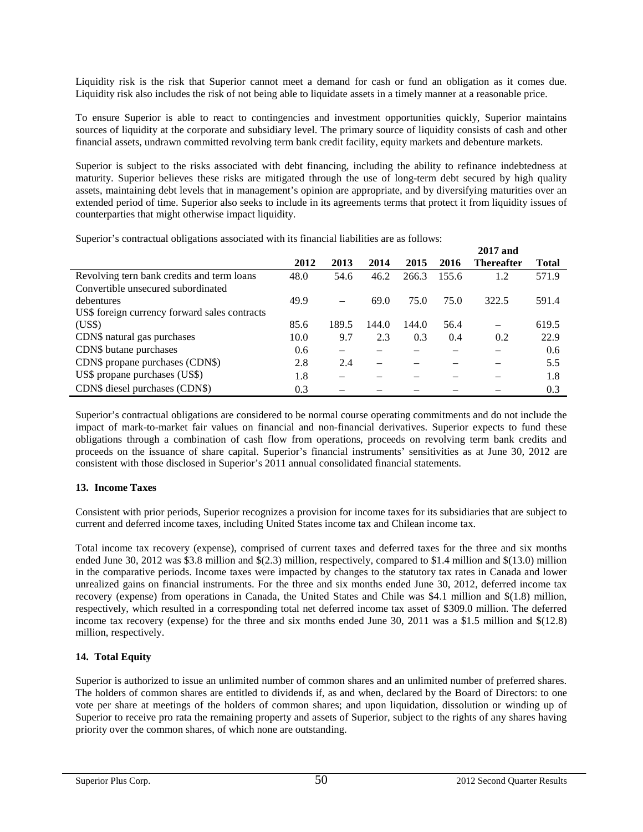Liquidity risk is the risk that Superior cannot meet a demand for cash or fund an obligation as it comes due. Liquidity risk also includes the risk of not being able to liquidate assets in a timely manner at a reasonable price.

To ensure Superior is able to react to contingencies and investment opportunities quickly, Superior maintains sources of liquidity at the corporate and subsidiary level. The primary source of liquidity consists of cash and other financial assets, undrawn committed revolving term bank credit facility, equity markets and debenture markets.

Superior is subject to the risks associated with debt financing, including the ability to refinance indebtedness at maturity. Superior believes these risks are mitigated through the use of long-term debt secured by high quality assets, maintaining debt levels that in management's opinion are appropriate, and by diversifying maturities over an extended period of time. Superior also seeks to include in its agreements terms that protect it from liquidity issues of counterparties that might otherwise impact liquidity.

|                                               |      |                          |       |       |       | <b>2017</b> and          |              |
|-----------------------------------------------|------|--------------------------|-------|-------|-------|--------------------------|--------------|
|                                               | 2012 | 2013                     | 2014  | 2015  | 2016  | <b>Thereafter</b>        | <b>Total</b> |
| Revolving tern bank credits and term loans    | 48.0 | 54.6                     | 46.2  | 266.3 | 155.6 | 1.2                      | 571.9        |
| Convertible unsecured subordinated            |      |                          |       |       |       |                          |              |
| debentures                                    | 49.9 |                          | 69.0  | 75.0  | 75.0  | 322.5                    | 591.4        |
| US\$ foreign currency forward sales contracts |      |                          |       |       |       |                          |              |
| (US\$)                                        | 85.6 | 189.5                    | 144.0 | 144.0 | 56.4  | $\overline{\phantom{0}}$ | 619.5        |
| CDN\$ natural gas purchases                   | 10.0 | 9.7                      | 2.3   | 0.3   | 0.4   | 0.2                      | 22.9         |
| CDN\$ butane purchases                        | 0.6  | $\overline{\phantom{0}}$ |       |       |       |                          | 0.6          |
| CDN\$ propane purchases (CDN\$)               | 2.8  | 2.4                      |       |       |       |                          | 5.5          |
| US\$ propane purchases (US\$)                 | 1.8  |                          |       |       |       |                          | 1.8          |
| CDN\$ diesel purchases (CDN\$)                | 0.3  |                          |       |       |       |                          | 0.3          |

Superior's contractual obligations associated with its financial liabilities are as follows:

Superior's contractual obligations are considered to be normal course operating commitments and do not include the impact of mark-to-market fair values on financial and non-financial derivatives. Superior expects to fund these obligations through a combination of cash flow from operations, proceeds on revolving term bank credits and proceeds on the issuance of share capital. Superior's financial instruments' sensitivities as at June 30, 2012 are consistent with those disclosed in Superior's 2011 annual consolidated financial statements.

#### **13. Income Taxes**

Consistent with prior periods, Superior recognizes a provision for income taxes for its subsidiaries that are subject to current and deferred income taxes, including United States income tax and Chilean income tax.

Total income tax recovery (expense), comprised of current taxes and deferred taxes for the three and six months ended June 30, 2012 was \$3.8 million and \$(2.3) million, respectively, compared to \$1.4 million and \$(13.0) million in the comparative periods. Income taxes were impacted by changes to the statutory tax rates in Canada and lower unrealized gains on financial instruments. For the three and six months ended June 30, 2012, deferred income tax recovery (expense) from operations in Canada, the United States and Chile was \$4.1 million and \$(1.8) million, respectively, which resulted in a corresponding total net deferred income tax asset of \$309.0 million. The deferred income tax recovery (expense) for the three and six months ended June 30, 2011 was a \$1.5 million and \$(12.8) million, respectively.

# **14. Total Equity**

Superior is authorized to issue an unlimited number of common shares and an unlimited number of preferred shares. The holders of common shares are entitled to dividends if, as and when, declared by the Board of Directors: to one vote per share at meetings of the holders of common shares; and upon liquidation, dissolution or winding up of Superior to receive pro rata the remaining property and assets of Superior, subject to the rights of any shares having priority over the common shares, of which none are outstanding.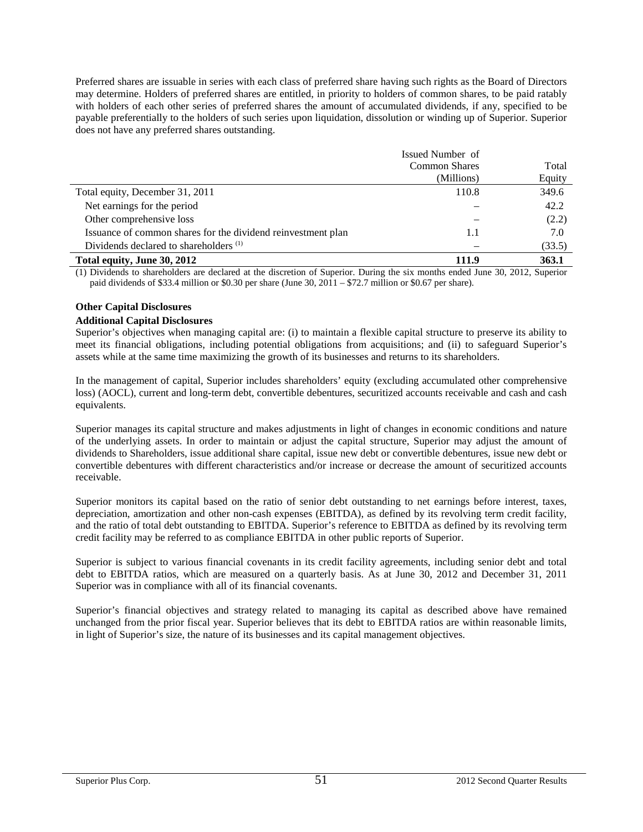Preferred shares are issuable in series with each class of preferred share having such rights as the Board of Directors may determine. Holders of preferred shares are entitled, in priority to holders of common shares, to be paid ratably with holders of each other series of preferred shares the amount of accumulated dividends, if any, specified to be payable preferentially to the holders of such series upon liquidation, dissolution or winding up of Superior. Superior does not have any preferred shares outstanding.

|                                                              | Issued Number of     |        |
|--------------------------------------------------------------|----------------------|--------|
|                                                              | <b>Common Shares</b> | Total  |
|                                                              | (Millions)           | Equity |
| Total equity, December 31, 2011                              | 110.8                | 349.6  |
| Net earnings for the period                                  |                      | 42.2   |
| Other comprehensive loss                                     |                      | (2.2)  |
| Issuance of common shares for the dividend reinvestment plan | 1.1                  | 7.0    |
| Dividends declared to shareholders <sup>(1)</sup>            |                      | (33.5) |
| Total equity, June 30, 2012                                  | 111.9                | 363.1  |

(1) Dividends to shareholders are declared at the discretion of Superior. During the six months ended June 30, 2012, Superior paid dividends of \$33.4 million or \$0.30 per share (June 30,  $2011 - 472.7$  million or \$0.67 per share).

#### **Other Capital Disclosures**

#### **Additional Capital Disclosures**

Superior's objectives when managing capital are: (i) to maintain a flexible capital structure to preserve its ability to meet its financial obligations, including potential obligations from acquisitions; and (ii) to safeguard Superior's assets while at the same time maximizing the growth of its businesses and returns to its shareholders.

In the management of capital, Superior includes shareholders' equity (excluding accumulated other comprehensive loss) (AOCL), current and long-term debt, convertible debentures, securitized accounts receivable and cash and cash equivalents.

Superior manages its capital structure and makes adjustments in light of changes in economic conditions and nature of the underlying assets. In order to maintain or adjust the capital structure, Superior may adjust the amount of dividends to Shareholders, issue additional share capital, issue new debt or convertible debentures, issue new debt or convertible debentures with different characteristics and/or increase or decrease the amount of securitized accounts receivable.

Superior monitors its capital based on the ratio of senior debt outstanding to net earnings before interest, taxes, depreciation, amortization and other non-cash expenses (EBITDA), as defined by its revolving term credit facility, and the ratio of total debt outstanding to EBITDA. Superior's reference to EBITDA as defined by its revolving term credit facility may be referred to as compliance EBITDA in other public reports of Superior.

Superior is subject to various financial covenants in its credit facility agreements, including senior debt and total debt to EBITDA ratios, which are measured on a quarterly basis. As at June 30, 2012 and December 31, 2011 Superior was in compliance with all of its financial covenants.

Superior's financial objectives and strategy related to managing its capital as described above have remained unchanged from the prior fiscal year. Superior believes that its debt to EBITDA ratios are within reasonable limits, in light of Superior's size, the nature of its businesses and its capital management objectives.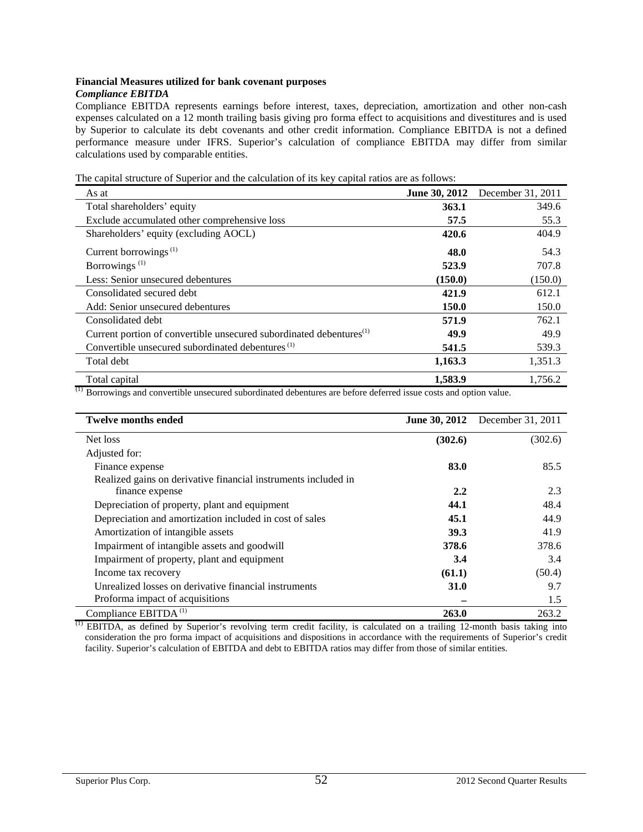#### **Financial Measures utilized for bank covenant purposes**

#### *Compliance EBITDA*

Compliance EBITDA represents earnings before interest, taxes, depreciation, amortization and other non-cash expenses calculated on a 12 month trailing basis giving pro forma effect to acquisitions and divestitures and is used by Superior to calculate its debt covenants and other credit information. Compliance EBITDA is not a defined performance measure under IFRS. Superior's calculation of compliance EBITDA may differ from similar calculations used by comparable entities.

The capital structure of Superior and the calculation of its key capital ratios are as follows:

| As at                                                                           | June 30, 2012 | December 31, 2011 |
|---------------------------------------------------------------------------------|---------------|-------------------|
| Total shareholders' equity                                                      | 363.1         | 349.6             |
| Exclude accumulated other comprehensive loss                                    | 57.5          | 55.3              |
| Shareholders' equity (excluding AOCL)                                           | 420.6         | 404.9             |
| Current borrowings $^{(1)}$                                                     | 48.0          | 54.3              |
| Borrowings <sup>(1)</sup>                                                       | 523.9         | 707.8             |
| Less: Senior unsecured debentures                                               | (150.0)       | (150.0)           |
| Consolidated secured debt                                                       | 421.9         | 612.1             |
| Add: Senior unsecured debentures                                                | 150.0         | 150.0             |
| Consolidated debt                                                               | 571.9         | 762.1             |
| Current portion of convertible unsecured subordinated debentures <sup>(1)</sup> | 49.9          | 49.9              |
| Convertible unsecured subordinated debentures <sup>(1)</sup>                    | 541.5         | 539.3             |
| Total debt                                                                      | 1,163.3       | 1,351.3           |
| Total capital                                                                   | 1.583.9       | 1.756.2           |

 $<sup>(1)</sup>$  Borrowings and convertible unsecured subordinated debentures are before deferred issue costs and option value.</sup>

| <b>Twelve months ended</b>                                     | June 30, 2012 | December 31, 2011 |
|----------------------------------------------------------------|---------------|-------------------|
| Net loss                                                       | (302.6)       | (302.6)           |
| Adjusted for:                                                  |               |                   |
| Finance expense                                                | 83.0          | 85.5              |
| Realized gains on derivative financial instruments included in |               |                   |
| finance expense                                                | 2.2           | 2.3               |
| Depreciation of property, plant and equipment                  | 44.1          | 48.4              |
| Depreciation and amortization included in cost of sales        | 45.1          | 44.9              |
| Amortization of intangible assets                              | 39.3          | 41.9              |
| Impairment of intangible assets and goodwill                   | 378.6         | 378.6             |
| Impairment of property, plant and equipment                    | 3.4           | 3.4               |
| Income tax recovery                                            | (61.1)        | (50.4)            |
| Unrealized losses on derivative financial instruments          | 31.0          | 9.7               |
| Proforma impact of acquisitions                                |               | 1.5               |
| Compliance EBITDA <sup>(1)</sup>                               | 263.0         | 263.2             |

 $<sup>(1)</sup>$  EBITDA, as defined by Superior's revolving term credit facility, is calculated on a trailing 12-month basis taking into</sup> consideration the pro forma impact of acquisitions and dispositions in accordance with the requirements of Superior's credit facility. Superior's calculation of EBITDA and debt to EBITDA ratios may differ from those of similar entities.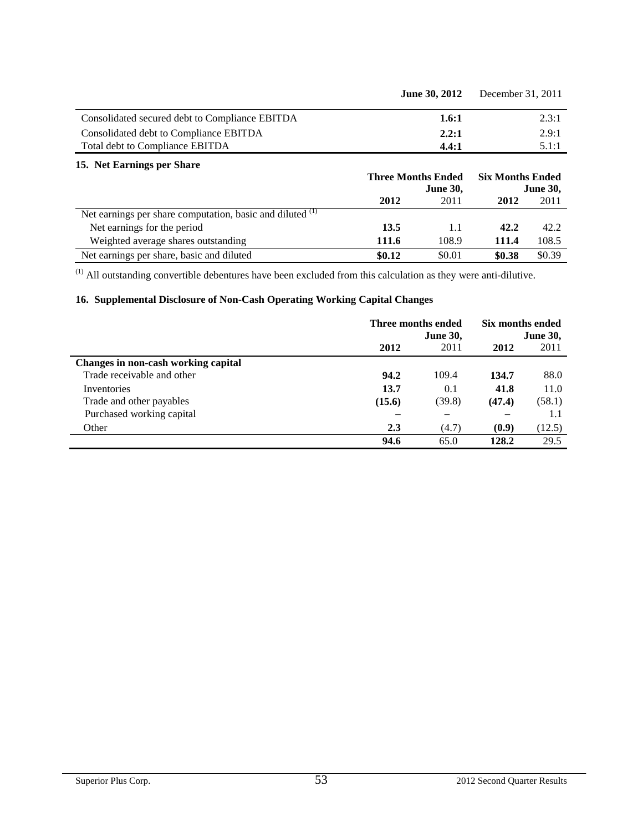|                                                | <b>June 30, 2012</b> | December 31, 2011 |
|------------------------------------------------|----------------------|-------------------|
| Consolidated secured debt to Compliance EBITDA | 1.6:1                | 2.3:1             |
| Consolidated debt to Compliance EBITDA         | 2.2:1                | 2.9:1             |
| Total debt to Compliance EBITDA                | 4.4:1                | 5.1:1             |

## **15. Net Earnings per Share**

|                                                                      | <b>Three Months Ended</b> | <b>June 30,</b> | <b>Six Months Ended</b><br><b>June 30,</b> |        |  |
|----------------------------------------------------------------------|---------------------------|-----------------|--------------------------------------------|--------|--|
|                                                                      | 2012                      | 2011            | 2012                                       | 2011   |  |
| Net earnings per share computation, basic and diluted <sup>(1)</sup> |                           |                 |                                            |        |  |
| Net earnings for the period                                          | 13.5                      | 1.1             | 42.2                                       | 42.2   |  |
| Weighted average shares outstanding                                  | 111.6                     | 108.9           | 111.4                                      | 108.5  |  |
| Net earnings per share, basic and diluted                            | \$0.12                    | \$0.01          | \$0.38                                     | \$0.39 |  |

(1) All outstanding convertible debentures have been excluded from this calculation as they were anti-dilutive.

# **16. Supplemental Disclosure of Non-Cash Operating Working Capital Changes**

|                                     |        | Three months ended<br><b>June 30,</b> |        |        |
|-------------------------------------|--------|---------------------------------------|--------|--------|
|                                     | 2012   | 2011                                  | 2012   | 2011   |
| Changes in non-cash working capital |        |                                       |        |        |
| Trade receivable and other          | 94.2   | 109.4                                 | 134.7  | 88.0   |
| Inventories                         | 13.7   | 0.1                                   | 41.8   | 11.0   |
| Trade and other payables            | (15.6) | (39.8)                                | (47.4) | (58.1) |
| Purchased working capital           |        |                                       |        | 1.1    |
| Other                               | 2.3    | (4.7)                                 | (0.9)  | (12.5) |
|                                     | 94.6   | 65.0                                  | 128.2  | 29.5   |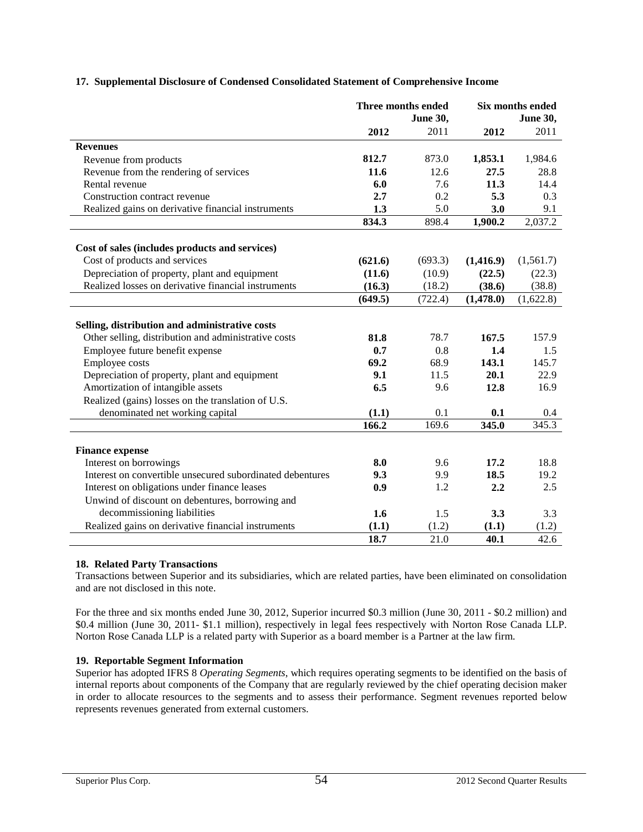|                                                           | Three months ended<br><b>June 30,</b> |         |           | Six months ended<br><b>June 30,</b> |  |
|-----------------------------------------------------------|---------------------------------------|---------|-----------|-------------------------------------|--|
|                                                           | 2012                                  | 2011    | 2012      | 2011                                |  |
| <b>Revenues</b>                                           |                                       |         |           |                                     |  |
| Revenue from products                                     | 812.7                                 | 873.0   | 1,853.1   | 1,984.6                             |  |
| Revenue from the rendering of services                    | 11.6                                  | 12.6    | 27.5      | 28.8                                |  |
| Rental revenue                                            | 6.0                                   | 7.6     | 11.3      | 14.4                                |  |
| Construction contract revenue                             | 2.7                                   | 0.2     | 5.3       | 0.3                                 |  |
| Realized gains on derivative financial instruments        | 1.3                                   | 5.0     | 3.0       | 9.1                                 |  |
|                                                           | 834.3                                 | 898.4   | 1,900.2   | $2,037.\overline{2}$                |  |
| Cost of sales (includes products and services)            |                                       |         |           |                                     |  |
| Cost of products and services                             | (621.6)                               | (693.3) | (1,416.9) | (1,561.7)                           |  |
| Depreciation of property, plant and equipment             | (11.6)                                | (10.9)  | (22.5)    | (22.3)                              |  |
| Realized losses on derivative financial instruments       | (16.3)                                | (18.2)  | (38.6)    | (38.8)                              |  |
|                                                           | (649.5)                               | (722.4) | (1,478.0) | (1,622.8)                           |  |
| Selling, distribution and administrative costs            |                                       |         |           |                                     |  |
| Other selling, distribution and administrative costs      | 81.8                                  | 78.7    | 167.5     | 157.9                               |  |
| Employee future benefit expense                           | 0.7                                   | 0.8     | 1.4       | 1.5                                 |  |
| Employee costs                                            | 69.2                                  | 68.9    | 143.1     | 145.7                               |  |
| Depreciation of property, plant and equipment             | 9.1                                   | 11.5    | 20.1      | 22.9                                |  |
| Amortization of intangible assets                         | 6.5                                   | 9.6     | 12.8      | 16.9                                |  |
| Realized (gains) losses on the translation of U.S.        |                                       |         |           |                                     |  |
| denominated net working capital                           | (1.1)                                 | 0.1     | 0.1       | 0.4                                 |  |
|                                                           | 166.2                                 | 169.6   | 345.0     | 345.3                               |  |
| <b>Finance expense</b>                                    |                                       |         |           |                                     |  |
| Interest on borrowings                                    | 8.0                                   | 9.6     | 17.2      | 18.8                                |  |
| Interest on convertible unsecured subordinated debentures | 9.3                                   | 9.9     | 18.5      | 19.2                                |  |
| Interest on obligations under finance leases              | 0.9                                   | 1.2     | 2.2       | 2.5                                 |  |
| Unwind of discount on debentures, borrowing and           |                                       |         |           |                                     |  |
| decommissioning liabilities                               | 1.6                                   | 1.5     | 3.3       | 3.3                                 |  |
| Realized gains on derivative financial instruments        | (1.1)                                 | (1.2)   | (1.1)     | (1.2)                               |  |
|                                                           | 18.7                                  | 21.0    | 40.1      | 42.6                                |  |

## **17. Supplemental Disclosure of Condensed Consolidated Statement of Comprehensive Income**

#### **18. Related Party Transactions**

Transactions between Superior and its subsidiaries, which are related parties, have been eliminated on consolidation and are not disclosed in this note.

For the three and six months ended June 30, 2012, Superior incurred \$0.3 million (June 30, 2011 - \$0.2 million) and \$0.4 million (June 30, 2011- \$1.1 million), respectively in legal fees respectively with Norton Rose Canada LLP. Norton Rose Canada LLP is a related party with Superior as a board member is a Partner at the law firm.

#### **19. Reportable Segment Information**

Superior has adopted IFRS 8 *Operating Segments*, which requires operating segments to be identified on the basis of internal reports about components of the Company that are regularly reviewed by the chief operating decision maker in order to allocate resources to the segments and to assess their performance. Segment revenues reported below represents revenues generated from external customers.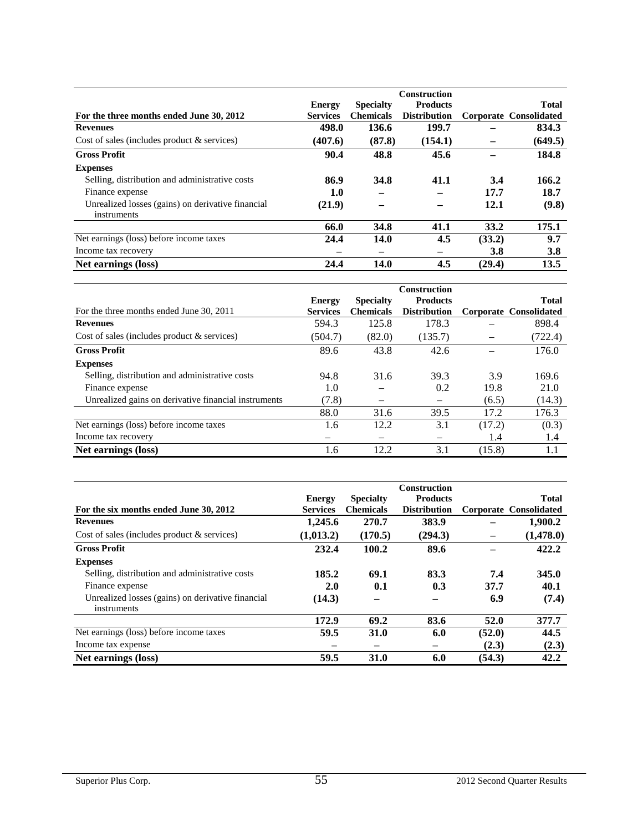|                                                                  |                 |                          | <b>Construction</b> |        |                        |
|------------------------------------------------------------------|-----------------|--------------------------|---------------------|--------|------------------------|
|                                                                  | <b>Energy</b>   | <b>Specialty</b>         | <b>Products</b>     |        | <b>Total</b>           |
| For the three months ended June 30, 2012                         | <b>Services</b> | <b>Chemicals</b>         | <b>Distribution</b> |        | Corporate Consolidated |
| <b>Revenues</b>                                                  | 498.0           | 136.6                    | 199.7               |        | 834.3                  |
| Cost of sales (includes product $\&$ services)                   | (407.6)         | (87.8)                   | (154.1)             |        | (649.5)                |
| <b>Gross Profit</b>                                              | 90.4            | 48.8                     | 45.6                |        | 184.8                  |
| <b>Expenses</b>                                                  |                 |                          |                     |        |                        |
| Selling, distribution and administrative costs                   | 86.9            | 34.8                     | 41.1                | 3.4    | 166.2                  |
| Finance expense                                                  | 1.0             |                          |                     | 17.7   | 18.7                   |
| Unrealized losses (gains) on derivative financial<br>instruments | (21.9)          |                          |                     | 12.1   | (9.8)                  |
|                                                                  | 66.0            | 34.8                     | 41.1                | 33.2   | 175.1                  |
| Net earnings (loss) before income taxes                          | 24.4            | 14.0                     | 4.5                 | (33.2) | 9.7                    |
| Income tax recovery                                              |                 | $\overline{\phantom{m}}$ |                     | 3.8    | <b>3.8</b>             |
| Net earnings (loss)                                              | 24.4            | 14.0                     | 4.5                 | (29.4) | 13.5                   |

|                                                      |                 |                  | <b>Construction</b> |        |                        |
|------------------------------------------------------|-----------------|------------------|---------------------|--------|------------------------|
|                                                      | <b>Energy</b>   | <b>Specialty</b> | <b>Products</b>     |        | <b>Total</b>           |
| For the three months ended June 30, 2011             | <b>Services</b> | <b>Chemicals</b> | <b>Distribution</b> |        | Corporate Consolidated |
| <b>Revenues</b>                                      | 594.3           | 125.8            | 178.3               |        | 898.4                  |
| Cost of sales (includes product $\&$ services)       | (504.7)         | (82.0)           | (135.7)             |        | (722.4)                |
| <b>Gross Profit</b>                                  | 89.6            | 43.8             | 42.6                |        | 176.0                  |
| <b>Expenses</b>                                      |                 |                  |                     |        |                        |
| Selling, distribution and administrative costs       | 94.8            | 31.6             | 39.3                | 3.9    | 169.6                  |
| Finance expense                                      | 1.0             |                  | 0.2                 | 19.8   | 21.0                   |
| Unrealized gains on derivative financial instruments | (7.8)           |                  | —                   | (6.5)  | (14.3)                 |
|                                                      | 88.0            | 31.6             | 39.5                | 17.2   | 176.3                  |
| Net earnings (loss) before income taxes              | 1.6             | 12.2             | 3.1                 | (17.2) | (0.3)                  |
| Income tax recovery                                  |                 |                  |                     | 1.4    | 1.4                    |
| Net earnings (loss)                                  | 1.6             | 12.2             | 3.1                 | (15.8) | $1.1\,$                |

|                                                                  |                 |                  | <b>Construction</b>      |        |                               |
|------------------------------------------------------------------|-----------------|------------------|--------------------------|--------|-------------------------------|
|                                                                  | <b>Energy</b>   | <b>Specialty</b> | <b>Products</b>          |        | <b>Total</b>                  |
| For the six months ended June 30, 2012                           | <b>Services</b> | <b>Chemicals</b> | <b>Distribution</b>      |        | <b>Corporate Consolidated</b> |
| <b>Revenues</b>                                                  | 1,245.6         | 270.7            | 383.9                    |        | 1,900.2                       |
| Cost of sales (includes product $\&$ services)                   | (1, 013.2)      | (170.5)          | (294.3)                  |        | (1,478.0)                     |
| <b>Gross Profit</b>                                              | 232.4           | 100.2            | 89.6                     |        | 422.2                         |
| <b>Expenses</b>                                                  |                 |                  |                          |        |                               |
| Selling, distribution and administrative costs                   | 185.2           | 69.1             | 83.3                     | 7.4    | 345.0                         |
| Finance expense                                                  | 2.0             | 0.1              | 0.3                      | 37.7   | 40.1                          |
| Unrealized losses (gains) on derivative financial<br>instruments | (14.3)          |                  |                          | 6.9    | (7.4)                         |
|                                                                  | 172.9           | 69.2             | 83.6                     | 52.0   | 377.7                         |
| Net earnings (loss) before income taxes                          | 59.5            | <b>31.0</b>      | 6.0                      | (52.0) | 44.5                          |
| Income tax expense                                               |                 | –                | $\overline{\phantom{0}}$ | (2.3)  | (2.3)                         |
| Net earnings (loss)                                              | 59.5            | 31.0             | 6.0                      | (54.3) | 42.2                          |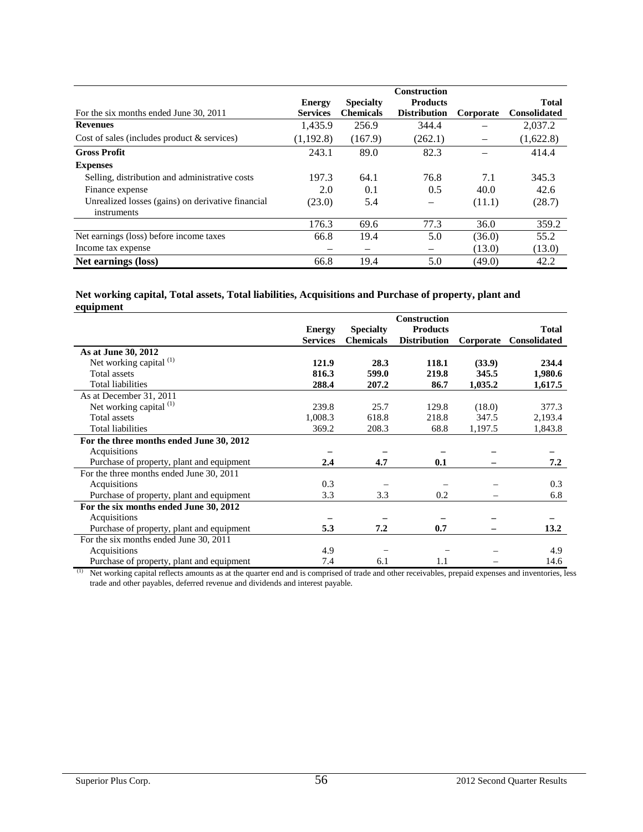|                                                                  |                 |                  | <b>Construction</b> |           |                     |
|------------------------------------------------------------------|-----------------|------------------|---------------------|-----------|---------------------|
|                                                                  | <b>Energy</b>   | <b>Specialty</b> | <b>Products</b>     |           | <b>Total</b>        |
| For the six months ended June 30, 2011                           | <b>Services</b> | <b>Chemicals</b> | <b>Distribution</b> | Corporate | <b>Consolidated</b> |
| <b>Revenues</b>                                                  | 1,435.9         | 256.9            | 344.4               |           | 2,037.2             |
| Cost of sales (includes product $\&$ services)                   | (1, 192.8)      | (167.9)          | (262.1)             |           | (1,622.8)           |
| <b>Gross Profit</b>                                              | 243.1           | 89.0             | 82.3                |           | 414.4               |
| <b>Expenses</b>                                                  |                 |                  |                     |           |                     |
| Selling, distribution and administrative costs                   | 197.3           | 64.1             | 76.8                | 7.1       | 345.3               |
| Finance expense                                                  | 2.0             | 0.1              | 0.5                 | 40.0      | 42.6                |
| Unrealized losses (gains) on derivative financial<br>instruments | (23.0)          | 5.4              |                     | (11.1)    | (28.7)              |
|                                                                  | 176.3           | 69.6             | 77.3                | 36.0      | 359.2               |
| Net earnings (loss) before income taxes                          | 66.8            | 19.4             | 5.0                 | (36.0)    | 55.2                |
| Income tax expense                                               |                 | -                | –                   | (13.0)    | (13.0)              |
| Net earnings (loss)                                              | 66.8            | 19.4             | 5.0                 | (49.0)    | 42.2                |

#### **Net working capital, Total assets, Total liabilities, Acquisitions and Purchase of property, plant and equipment**

|                                           |                 |                  | <b>Construction</b> |           |              |
|-------------------------------------------|-----------------|------------------|---------------------|-----------|--------------|
|                                           | <b>Energy</b>   | <b>Specialty</b> | <b>Products</b>     |           | <b>Total</b> |
|                                           | <b>Services</b> | <b>Chemicals</b> | <b>Distribution</b> | Corporate | Consolidated |
| As at June 30, 2012                       |                 |                  |                     |           |              |
| Net working capital <sup>(1)</sup>        | 121.9           | 28.3             | 118.1               | (33.9)    | 234.4        |
| Total assets                              | 816.3           | 599.0            | 219.8               | 345.5     | 1,980.6      |
| Total liabilities                         | 288.4           | 207.2            | 86.7                | 1,035.2   | 1,617.5      |
| As at December 31, 2011                   |                 |                  |                     |           |              |
| Net working capital $(1)$                 | 239.8           | 25.7             | 129.8               | (18.0)    | 377.3        |
| Total assets                              | 1,008.3         | 618.8            | 218.8               | 347.5     | 2,193.4      |
| <b>Total liabilities</b>                  | 369.2           | 208.3            | 68.8                | 1,197.5   | 1,843.8      |
| For the three months ended June 30, 2012  |                 |                  |                     |           |              |
| Acquisitions                              |                 |                  |                     |           |              |
| Purchase of property, plant and equipment | 2.4             | 4.7              | 0.1                 |           | 7.2          |
| For the three months ended June 30, 2011  |                 |                  |                     |           |              |
| Acquisitions                              | 0.3             |                  |                     |           | 0.3          |
| Purchase of property, plant and equipment | 3.3             | 3.3              | 0.2                 |           | 6.8          |
| For the six months ended June 30, 2012    |                 |                  |                     |           |              |
| Acquisitions                              |                 |                  |                     |           |              |
| Purchase of property, plant and equipment | 5.3             | 7.2              | 0.7                 |           | 13.2         |
| For the six months ended June 30, 2011    |                 |                  |                     |           |              |
| Acquisitions                              | 4.9             |                  |                     |           | 4.9          |
| Purchase of property, plant and equipment | 7.4             | 6.1              | 1.1                 |           | 14.6         |

<sup>(1)</sup> Net working capital reflects amounts as at the quarter end and is comprised of trade and other receivables, prepaid expenses and inventories, less trade and other payables, deferred revenue and dividends and interest payable.